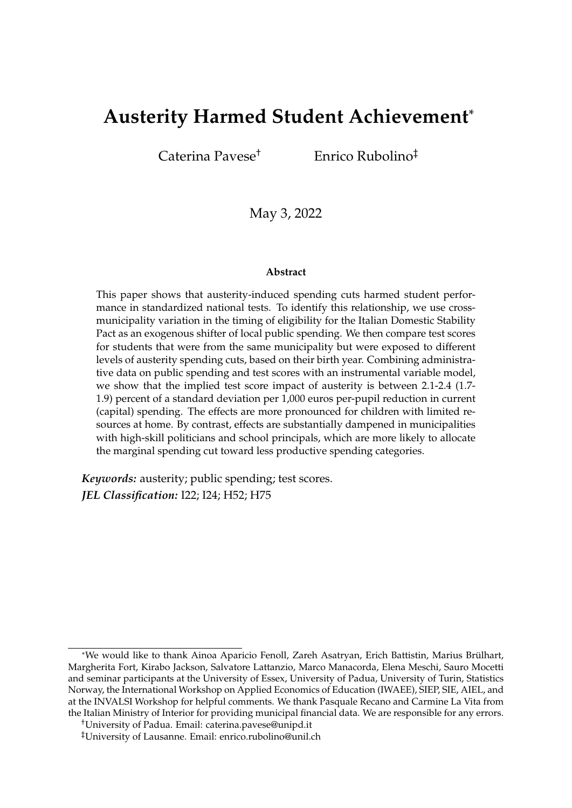# **Austerity Harmed Student Achievement**\*

Caterina Pavese† Enrico Rubolino‡

May 3, 2022

#### **Abstract**

This paper shows that austerity-induced spending cuts harmed student performance in standardized national tests. To identify this relationship, we use crossmunicipality variation in the timing of eligibility for the Italian Domestic Stability Pact as an exogenous shifter of local public spending. We then compare test scores for students that were from the same municipality but were exposed to different levels of austerity spending cuts, based on their birth year. Combining administrative data on public spending and test scores with an instrumental variable model, we show that the implied test score impact of austerity is between 2.1-2.4 (1.7- 1.9) percent of a standard deviation per 1,000 euros per-pupil reduction in current (capital) spending. The effects are more pronounced for children with limited resources at home. By contrast, effects are substantially dampened in municipalities with high-skill politicians and school principals, which are more likely to allocate the marginal spending cut toward less productive spending categories.

*Keywords:* austerity; public spending; test scores. *JEL Classification:* I22; I24; H52; H75

<sup>\*</sup>We would like to thank Ainoa Aparicio Fenoll, Zareh Asatryan, Erich Battistin, Marius Brulhart, ¨ Margherita Fort, Kirabo Jackson, Salvatore Lattanzio, Marco Manacorda, Elena Meschi, Sauro Mocetti and seminar participants at the University of Essex, University of Padua, University of Turin, Statistics Norway, the International Workshop on Applied Economics of Education (IWAEE), SIEP, SIE, AIEL, and at the INVALSI Workshop for helpful comments. We thank Pasquale Recano and Carmine La Vita from the Italian Ministry of Interior for providing municipal financial data. We are responsible for any errors.

<sup>†</sup>University of Padua. Email: caterina.pavese@unipd.it

<sup>‡</sup>University of Lausanne. Email: enrico.rubolino@unil.ch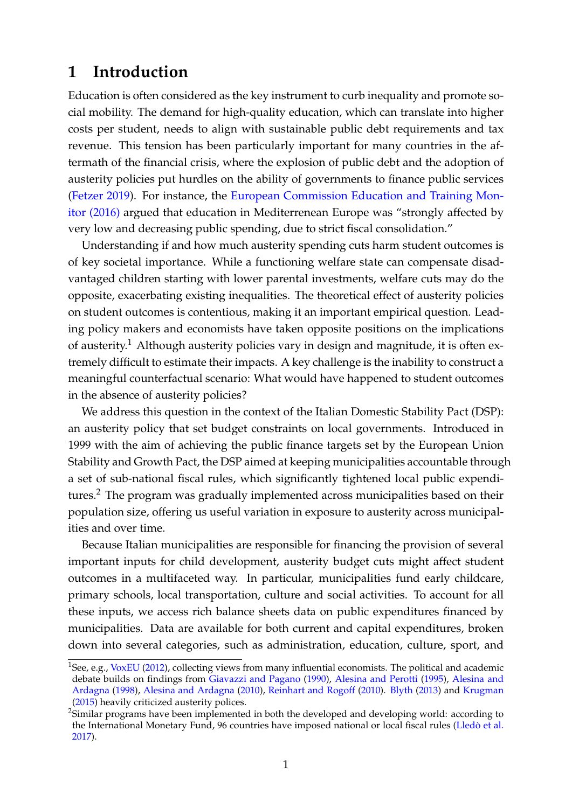# **1 Introduction**

Education is often considered as the key instrument to curb inequality and promote social mobility. The demand for high-quality education, which can translate into higher costs per student, needs to align with sustainable public debt requirements and tax revenue. This tension has been particularly important for many countries in the aftermath of the financial crisis, where the explosion of public debt and the adoption of austerity policies put hurdles on the ability of governments to finance public services [\(Fetzer](#page-42-0) [2019\)](#page-42-0). For instance, the [European Commission Education and Training Mon](https://education.ec.europa.eu/)[itor \(2016\)](https://education.ec.europa.eu/) argued that education in Mediterrenean Europe was "strongly affected by very low and decreasing public spending, due to strict fiscal consolidation."

Understanding if and how much austerity spending cuts harm student outcomes is of key societal importance. While a functioning welfare state can compensate disadvantaged children starting with lower parental investments, welfare cuts may do the opposite, exacerbating existing inequalities. The theoretical effect of austerity policies on student outcomes is contentious, making it an important empirical question. Leading policy makers and economists have taken opposite positions on the implications of austerity.<sup>[1](#page-1-0)</sup> Although austerity policies vary in design and magnitude, it is often extremely difficult to estimate their impacts. A key challenge is the inability to construct a meaningful counterfactual scenario: What would have happened to student outcomes in the absence of austerity policies?

We address this question in the context of the Italian Domestic Stability Pact (DSP): an austerity policy that set budget constraints on local governments. Introduced in 1999 with the aim of achieving the public finance targets set by the European Union Stability and Growth Pact, the DSP aimed at keeping municipalities accountable through a set of sub-national fiscal rules, which significantly tightened local public expendi-tures.<sup>[2](#page-1-1)</sup> The program was gradually implemented across municipalities based on their population size, offering us useful variation in exposure to austerity across municipalities and over time.

Because Italian municipalities are responsible for financing the provision of several important inputs for child development, austerity budget cuts might affect student outcomes in a multifaceted way. In particular, municipalities fund early childcare, primary schools, local transportation, culture and social activities. To account for all these inputs, we access rich balance sheets data on public expenditures financed by municipalities. Data are available for both current and capital expenditures, broken down into several categories, such as administration, education, culture, sport, and

<span id="page-1-0"></span><sup>&</sup>lt;sup>1</sup>See, e.g., [VoxEU](#page-44-0) [\(2012\)](#page-44-0), collecting views from many influential economists. The political and academic debate builds on findings from [Giavazzi and Pagano](#page-42-1) [\(1990\)](#page-42-1), [Alesina and Perotti](#page-39-0) [\(1995\)](#page-39-0), [Alesina and](#page-39-1) [Ardagna](#page-39-1) [\(1998\)](#page-39-1), [Alesina and Ardagna](#page-39-2) [\(2010\)](#page-39-2), [Reinhart and Rogoff](#page-44-1) [\(2010\)](#page-44-1). [Blyth](#page-40-0) [\(2013\)](#page-40-0) and [Krugman](#page-43-0) [\(2015\)](#page-43-0) heavily criticized austerity polices.

<span id="page-1-1"></span><sup>&</sup>lt;sup>2</sup>Similar programs have been implemented in both the developed and developing world: according to the International Monetary Fund, 96 countries have imposed national or local fiscal rules (Lledò et al. [2017\)](#page-43-1).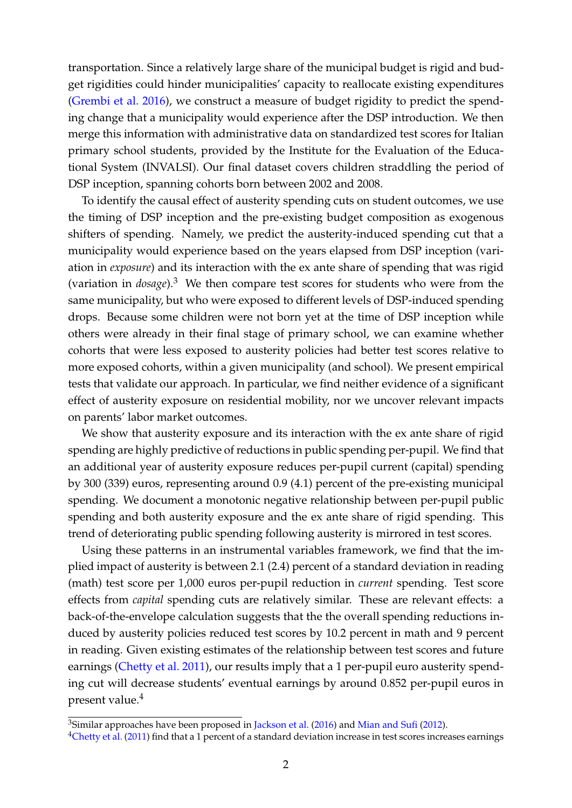transportation. Since a relatively large share of the municipal budget is rigid and budget rigidities could hinder municipalities' capacity to reallocate existing expenditures [\(Grembi et al.](#page-42-2) [2016\)](#page-42-2), we construct a measure of budget rigidity to predict the spending change that a municipality would experience after the DSP introduction. We then merge this information with administrative data on standardized test scores for Italian primary school students, provided by the Institute for the Evaluation of the Educational System (INVALSI). Our final dataset covers children straddling the period of DSP inception, spanning cohorts born between 2002 and 2008.

To identify the causal effect of austerity spending cuts on student outcomes, we use the timing of DSP inception and the pre-existing budget composition as exogenous shifters of spending. Namely, we predict the austerity-induced spending cut that a municipality would experience based on the years elapsed from DSP inception (variation in *exposure*) and its interaction with the ex ante share of spending that was rigid (variation in *dosage*).[3](#page-2-0) We then compare test scores for students who were from the same municipality, but who were exposed to different levels of DSP-induced spending drops. Because some children were not born yet at the time of DSP inception while others were already in their final stage of primary school, we can examine whether cohorts that were less exposed to austerity policies had better test scores relative to more exposed cohorts, within a given municipality (and school). We present empirical tests that validate our approach. In particular, we find neither evidence of a significant effect of austerity exposure on residential mobility, nor we uncover relevant impacts on parents' labor market outcomes.

We show that austerity exposure and its interaction with the ex ante share of rigid spending are highly predictive of reductions in public spending per-pupil. We find that an additional year of austerity exposure reduces per-pupil current (capital) spending by 300 (339) euros, representing around 0.9 (4.1) percent of the pre-existing municipal spending. We document a monotonic negative relationship between per-pupil public spending and both austerity exposure and the ex ante share of rigid spending. This trend of deteriorating public spending following austerity is mirrored in test scores.

Using these patterns in an instrumental variables framework, we find that the implied impact of austerity is between 2.1 (2.4) percent of a standard deviation in reading (math) test score per 1,000 euros per-pupil reduction in *current* spending. Test score effects from *capital* spending cuts are relatively similar. These are relevant effects: a back-of-the-envelope calculation suggests that the the overall spending reductions induced by austerity policies reduced test scores by 10.2 percent in math and 9 percent in reading. Given existing estimates of the relationship between test scores and future earnings [\(Chetty et al.](#page-41-0) [2011\)](#page-41-0), our results imply that a 1 per-pupil euro austerity spending cut will decrease students' eventual earnings by around 0.852 per-pupil euros in present value.[4](#page-2-1)

<span id="page-2-0"></span><sup>&</sup>lt;sup>3</sup>Similar approaches have been proposed in [Jackson et al.](#page-43-2) [\(2016\)](#page-43-2) and [Mian and Sufi](#page-43-3) [\(2012\)](#page-43-3).

<span id="page-2-1"></span><sup>&</sup>lt;sup>4</sup>[Chetty et al.](#page-41-0) [\(2011\)](#page-41-0) find that a 1 percent of a standard deviation increase in test scores increases earnings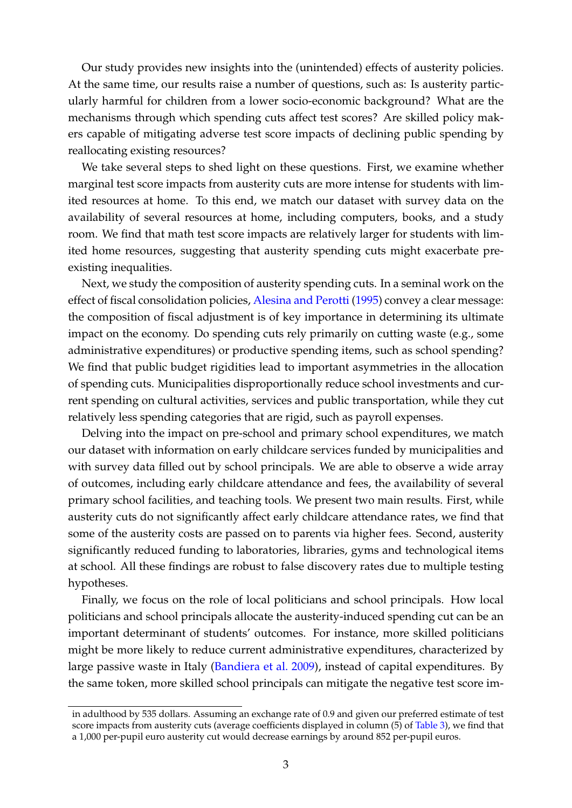Our study provides new insights into the (unintended) effects of austerity policies. At the same time, our results raise a number of questions, such as: Is austerity particularly harmful for children from a lower socio-economic background? What are the mechanisms through which spending cuts affect test scores? Are skilled policy makers capable of mitigating adverse test score impacts of declining public spending by reallocating existing resources?

We take several steps to shed light on these questions. First, we examine whether marginal test score impacts from austerity cuts are more intense for students with limited resources at home. To this end, we match our dataset with survey data on the availability of several resources at home, including computers, books, and a study room. We find that math test score impacts are relatively larger for students with limited home resources, suggesting that austerity spending cuts might exacerbate preexisting inequalities.

Next, we study the composition of austerity spending cuts. In a seminal work on the effect of fiscal consolidation policies, [Alesina and Perotti](#page-39-0) [\(1995\)](#page-39-0) convey a clear message: the composition of fiscal adjustment is of key importance in determining its ultimate impact on the economy. Do spending cuts rely primarily on cutting waste (e.g., some administrative expenditures) or productive spending items, such as school spending? We find that public budget rigidities lead to important asymmetries in the allocation of spending cuts. Municipalities disproportionally reduce school investments and current spending on cultural activities, services and public transportation, while they cut relatively less spending categories that are rigid, such as payroll expenses.

Delving into the impact on pre-school and primary school expenditures, we match our dataset with information on early childcare services funded by municipalities and with survey data filled out by school principals. We are able to observe a wide array of outcomes, including early childcare attendance and fees, the availability of several primary school facilities, and teaching tools. We present two main results. First, while austerity cuts do not significantly affect early childcare attendance rates, we find that some of the austerity costs are passed on to parents via higher fees. Second, austerity significantly reduced funding to laboratories, libraries, gyms and technological items at school. All these findings are robust to false discovery rates due to multiple testing hypotheses.

Finally, we focus on the role of local politicians and school principals. How local politicians and school principals allocate the austerity-induced spending cut can be an important determinant of students' outcomes. For instance, more skilled politicians might be more likely to reduce current administrative expenditures, characterized by large passive waste in Italy [\(Bandiera et al.](#page-40-1) [2009\)](#page-40-1), instead of capital expenditures. By the same token, more skilled school principals can mitigate the negative test score im-

in adulthood by 535 dollars. Assuming an exchange rate of 0.9 and given our preferred estimate of test score impacts from austerity cuts (average coefficients displayed in column (5) of [Table 3\)](#page-23-0), we find that a 1,000 per-pupil euro austerity cut would decrease earnings by around 852 per-pupil euros.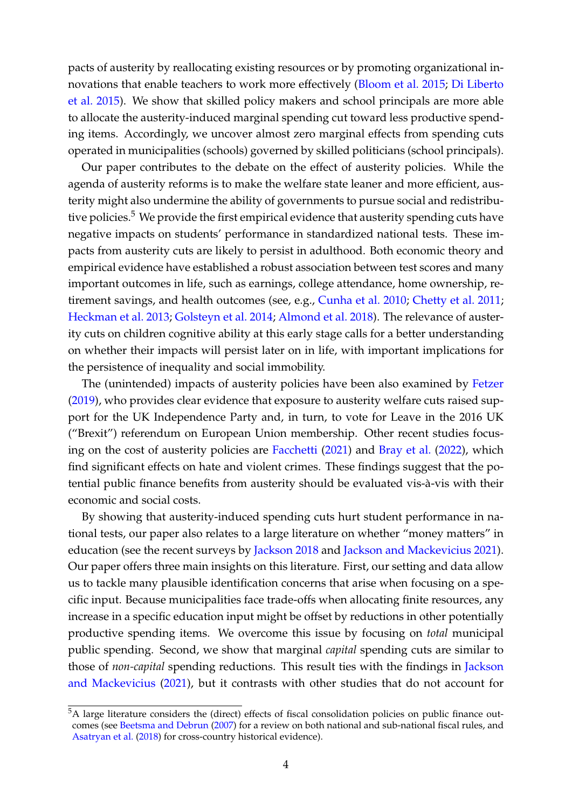pacts of austerity by reallocating existing resources or by promoting organizational innovations that enable teachers to work more effectively [\(Bloom et al.](#page-40-2) [2015;](#page-40-2) [Di Liberto](#page-41-1) [et al.](#page-41-1) [2015\)](#page-41-1). We show that skilled policy makers and school principals are more able to allocate the austerity-induced marginal spending cut toward less productive spending items. Accordingly, we uncover almost zero marginal effects from spending cuts operated in municipalities (schools) governed by skilled politicians (school principals).

Our paper contributes to the debate on the effect of austerity policies. While the agenda of austerity reforms is to make the welfare state leaner and more efficient, austerity might also undermine the ability of governments to pursue social and redistribu-tive policies.<sup>[5](#page-4-0)</sup> We provide the first empirical evidence that austerity spending cuts have negative impacts on students' performance in standardized national tests. These impacts from austerity cuts are likely to persist in adulthood. Both economic theory and empirical evidence have established a robust association between test scores and many important outcomes in life, such as earnings, college attendance, home ownership, retirement savings, and health outcomes (see, e.g., [Cunha et al.](#page-41-2) [2010;](#page-41-2) [Chetty et al.](#page-41-0) [2011;](#page-41-0) [Heckman et al.](#page-42-3) [2013;](#page-42-3) [Golsteyn et al.](#page-42-4) [2014;](#page-42-4) [Almond et al.](#page-39-3) [2018\)](#page-39-3). The relevance of austerity cuts on children cognitive ability at this early stage calls for a better understanding on whether their impacts will persist later on in life, with important implications for the persistence of inequality and social immobility.

The (unintended) impacts of austerity policies have been also examined by [Fetzer](#page-42-0) [\(2019\)](#page-42-0), who provides clear evidence that exposure to austerity welfare cuts raised support for the UK Independence Party and, in turn, to vote for Leave in the 2016 UK ("Brexit") referendum on European Union membership. Other recent studies focusing on the cost of austerity policies are [Facchetti](#page-42-5) [\(2021\)](#page-42-5) and [Bray et al.](#page-40-3) [\(2022\)](#page-40-3), which find significant effects on hate and violent crimes. These findings suggest that the potential public finance benefits from austerity should be evaluated vis-à-vis with their economic and social costs.

By showing that austerity-induced spending cuts hurt student performance in national tests, our paper also relates to a large literature on whether "money matters" in education (see the recent surveys by [Jackson](#page-43-4) [2018](#page-43-4) and [Jackson and Mackevicius](#page-43-5) [2021\)](#page-43-5). Our paper offers three main insights on this literature. First, our setting and data allow us to tackle many plausible identification concerns that arise when focusing on a specific input. Because municipalities face trade-offs when allocating finite resources, any increase in a specific education input might be offset by reductions in other potentially productive spending items. We overcome this issue by focusing on *total* municipal public spending. Second, we show that marginal *capital* spending cuts are similar to those of *non-capital* spending reductions. This result ties with the findings in [Jackson](#page-43-5) [and Mackevicius](#page-43-5) [\(2021\)](#page-43-5), but it contrasts with other studies that do not account for

<span id="page-4-0"></span><sup>5</sup>A large literature considers the (direct) effects of fiscal consolidation policies on public finance outcomes (see [Beetsma and Debrun](#page-40-4) [\(2007\)](#page-40-4) for a review on both national and sub-national fiscal rules, and [Asatryan et al.](#page-40-5) [\(2018\)](#page-40-5) for cross-country historical evidence).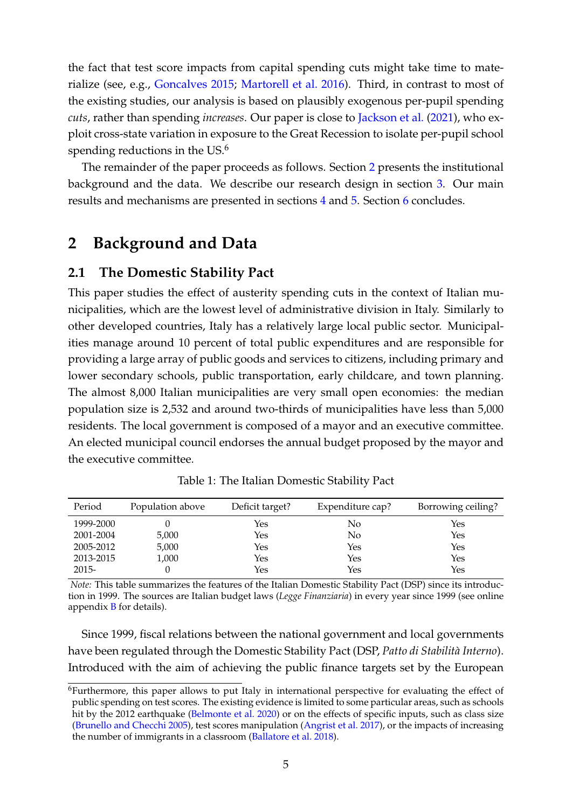the fact that test score impacts from capital spending cuts might take time to materialize (see, e.g., [Goncalves](#page-42-6) [2015;](#page-42-6) [Martorell et al.](#page-43-6) [2016\)](#page-43-6). Third, in contrast to most of the existing studies, our analysis is based on plausibly exogenous per-pupil spending *cuts*, rather than spending *increases*. Our paper is close to [Jackson et al.](#page-43-7) [\(2021\)](#page-43-7), who exploit cross-state variation in exposure to the Great Recession to isolate per-pupil school spending reductions in the US.<sup>[6](#page-5-0)</sup>

The remainder of the paper proceeds as follows. Section [2](#page-5-1) presents the institutional background and the data. We describe our research design in section [3.](#page-12-0) Our main results and mechanisms are presented in sections [4](#page-22-0) and [5.](#page-28-0) Section [6](#page-38-0) concludes.

## <span id="page-5-1"></span>**2 Background and Data**

## **2.1 The Domestic Stability Pact**

This paper studies the effect of austerity spending cuts in the context of Italian municipalities, which are the lowest level of administrative division in Italy. Similarly to other developed countries, Italy has a relatively large local public sector. Municipalities manage around 10 percent of total public expenditures and are responsible for providing a large array of public goods and services to citizens, including primary and lower secondary schools, public transportation, early childcare, and town planning. The almost 8,000 Italian municipalities are very small open economies: the median population size is 2,532 and around two-thirds of municipalities have less than 5,000 residents. The local government is composed of a mayor and an executive committee. An elected municipal council endorses the annual budget proposed by the mayor and the executive committee.

<span id="page-5-2"></span>

| Period    | Population above | Deficit target? | Expenditure cap? | Borrowing ceiling? |
|-----------|------------------|-----------------|------------------|--------------------|
| 1999-2000 |                  | Yes             | No               | Yes                |
| 2001-2004 | 5,000            | Yes             | No               | Yes                |
| 2005-2012 | 5,000            | Yes             | Yes              | Yes                |
| 2013-2015 | 1,000            | Yes             | Yes              | Yes                |
| $2015 -$  |                  | Yes             | Yes              | Yes                |

Table 1: The Italian Domestic Stability Pact

*Note:* This table summarizes the features of the Italian Domestic Stability Pact (DSP) since its introduction in 1999. The sources are Italian budget laws (*Legge Finanziaria*) in every year since 1999 (see online appendix  $\overline{B}$  $\overline{B}$  $\overline{B}$  for details).

Since 1999, fiscal relations between the national government and local governments have been regulated through the Domestic Stability Pact (DSP, Patto di Stabilità Interno). Introduced with the aim of achieving the public finance targets set by the European

<span id="page-5-0"></span><sup>6</sup>Furthermore, this paper allows to put Italy in international perspective for evaluating the effect of public spending on test scores. The existing evidence is limited to some particular areas, such as schools hit by the 2012 earthquake [\(Belmonte et al.](#page-40-6) [2020\)](#page-40-6) or on the effects of specific inputs, such as class size [\(Brunello and Checchi](#page-41-3) [2005\)](#page-41-3), test scores manipulation [\(Angrist et al.](#page-40-7) [2017\)](#page-40-7), or the impacts of increasing the number of immigrants in a classroom [\(Ballatore et al.](#page-40-8) [2018\)](#page-40-8).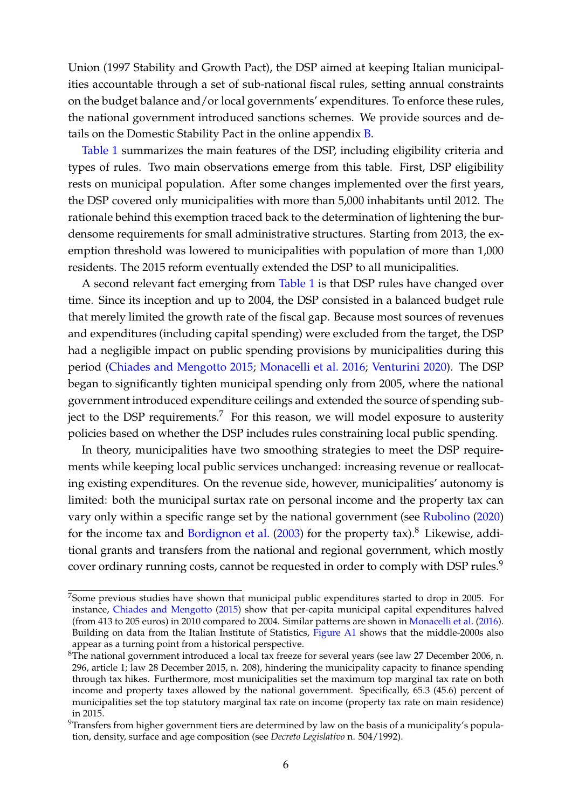Union (1997 Stability and Growth Pact), the DSP aimed at keeping Italian municipalities accountable through a set of sub-national fiscal rules, setting annual constraints on the budget balance and/or local governments' expenditures. To enforce these rules, the national government introduced sanctions schemes. We provide sources and details on the Domestic Stability Pact in the online appendix [B.](#page-63-0)

[Table 1](#page-5-2) summarizes the main features of the DSP, including eligibility criteria and types of rules. Two main observations emerge from this table. First, DSP eligibility rests on municipal population. After some changes implemented over the first years, the DSP covered only municipalities with more than 5,000 inhabitants until 2012. The rationale behind this exemption traced back to the determination of lightening the burdensome requirements for small administrative structures. Starting from 2013, the exemption threshold was lowered to municipalities with population of more than 1,000 residents. The 2015 reform eventually extended the DSP to all municipalities.

A second relevant fact emerging from [Table 1](#page-5-2) is that DSP rules have changed over time. Since its inception and up to 2004, the DSP consisted in a balanced budget rule that merely limited the growth rate of the fiscal gap. Because most sources of revenues and expenditures (including capital spending) were excluded from the target, the DSP had a negligible impact on public spending provisions by municipalities during this period [\(Chiades and Mengotto](#page-41-4) [2015;](#page-41-4) [Monacelli et al.](#page-44-2) [2016;](#page-44-2) [Venturini](#page-44-3) [2020\)](#page-44-3). The DSP began to significantly tighten municipal spending only from 2005, where the national government introduced expenditure ceilings and extended the source of spending sub-ject to the DSP requirements.<sup>[7](#page-6-0)</sup> For this reason, we will model exposure to austerity policies based on whether the DSP includes rules constraining local public spending.

In theory, municipalities have two smoothing strategies to meet the DSP requirements while keeping local public services unchanged: increasing revenue or reallocating existing expenditures. On the revenue side, however, municipalities' autonomy is limited: both the municipal surtax rate on personal income and the property tax can vary only within a specific range set by the national government (see [Rubolino](#page-44-4) [\(2020\)](#page-44-4) for the income tax and [Bordignon et al.](#page-40-9)  $(2003)$  for the property tax).<sup>[8](#page-6-1)</sup> Likewise, additional grants and transfers from the national and regional government, which mostly cover ordinary running costs, cannot be requested in order to comply with DSP rules.<sup>[9](#page-6-2)</sup>

<span id="page-6-0"></span><sup>&</sup>lt;sup>7</sup>Some previous studies have shown that municipal public expenditures started to drop in 2005. For instance, [Chiades and Mengotto](#page-41-4) [\(2015\)](#page-41-4) show that per-capita municipal capital expenditures halved (from 413 to 205 euros) in 2010 compared to 2004. Similar patterns are shown in [Monacelli et al.](#page-44-2) [\(2016\)](#page-44-2). Building on data from the Italian Institute of Statistics, [Figure A1](#page-45-0) shows that the middle-2000s also appear as a turning point from a historical perspective.

<span id="page-6-1"></span><sup>&</sup>lt;sup>8</sup>The national government introduced a local tax freeze for several years (see law 27 December 2006, n. 296, article 1; law 28 December 2015, n. 208), hindering the municipality capacity to finance spending through tax hikes. Furthermore, most municipalities set the maximum top marginal tax rate on both income and property taxes allowed by the national government. Specifically, 65.3 (45.6) percent of municipalities set the top statutory marginal tax rate on income (property tax rate on main residence) in 2015.

<span id="page-6-2"></span> $9$ Transfers from higher government tiers are determined by law on the basis of a municipality's population, density, surface and age composition (see *Decreto Legislativo* n. 504/1992).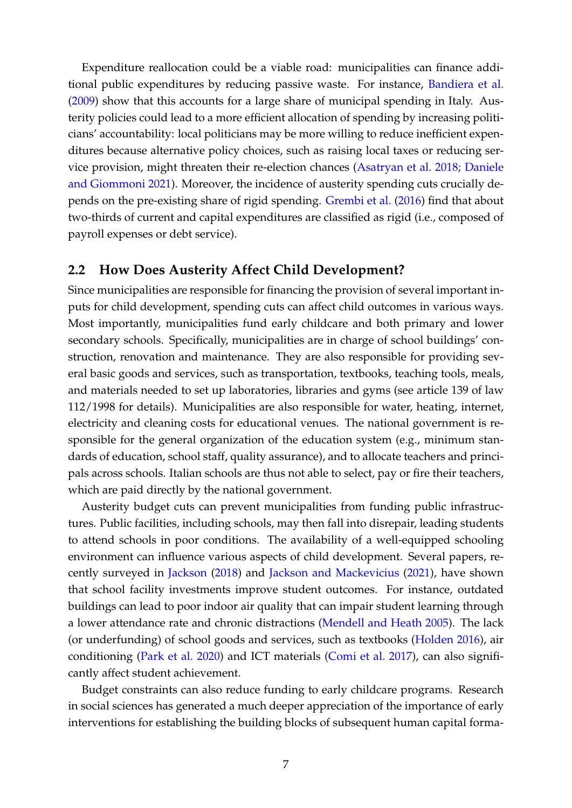Expenditure reallocation could be a viable road: municipalities can finance additional public expenditures by reducing passive waste. For instance, [Bandiera et al.](#page-40-1) [\(2009\)](#page-40-1) show that this accounts for a large share of municipal spending in Italy. Austerity policies could lead to a more efficient allocation of spending by increasing politicians' accountability: local politicians may be more willing to reduce inefficient expenditures because alternative policy choices, such as raising local taxes or reducing service provision, might threaten their re-election chances [\(Asatryan et al.](#page-40-5) [2018;](#page-40-5) [Daniele](#page-41-5) [and Giommoni](#page-41-5) [2021\)](#page-41-5). Moreover, the incidence of austerity spending cuts crucially depends on the pre-existing share of rigid spending. [Grembi et al.](#page-42-2) [\(2016\)](#page-42-2) find that about two-thirds of current and capital expenditures are classified as rigid (i.e., composed of payroll expenses or debt service).

## **2.2 How Does Austerity Affect Child Development?**

Since municipalities are responsible for financing the provision of several important inputs for child development, spending cuts can affect child outcomes in various ways. Most importantly, municipalities fund early childcare and both primary and lower secondary schools. Specifically, municipalities are in charge of school buildings' construction, renovation and maintenance. They are also responsible for providing several basic goods and services, such as transportation, textbooks, teaching tools, meals, and materials needed to set up laboratories, libraries and gyms (see article 139 of law 112/1998 for details). Municipalities are also responsible for water, heating, internet, electricity and cleaning costs for educational venues. The national government is responsible for the general organization of the education system (e.g., minimum standards of education, school staff, quality assurance), and to allocate teachers and principals across schools. Italian schools are thus not able to select, pay or fire their teachers, which are paid directly by the national government.

Austerity budget cuts can prevent municipalities from funding public infrastructures. Public facilities, including schools, may then fall into disrepair, leading students to attend schools in poor conditions. The availability of a well-equipped schooling environment can influence various aspects of child development. Several papers, recently surveyed in [Jackson](#page-43-4) [\(2018\)](#page-43-4) and [Jackson and Mackevicius](#page-43-5) [\(2021\)](#page-43-5), have shown that school facility investments improve student outcomes. For instance, outdated buildings can lead to poor indoor air quality that can impair student learning through a lower attendance rate and chronic distractions [\(Mendell and Heath](#page-43-8) [2005\)](#page-43-8). The lack (or underfunding) of school goods and services, such as textbooks [\(Holden](#page-42-7) [2016\)](#page-42-7), air conditioning [\(Park et al.](#page-44-5) [2020\)](#page-44-5) and ICT materials [\(Comi et al.](#page-41-6) [2017\)](#page-41-6), can also significantly affect student achievement.

Budget constraints can also reduce funding to early childcare programs. Research in social sciences has generated a much deeper appreciation of the importance of early interventions for establishing the building blocks of subsequent human capital forma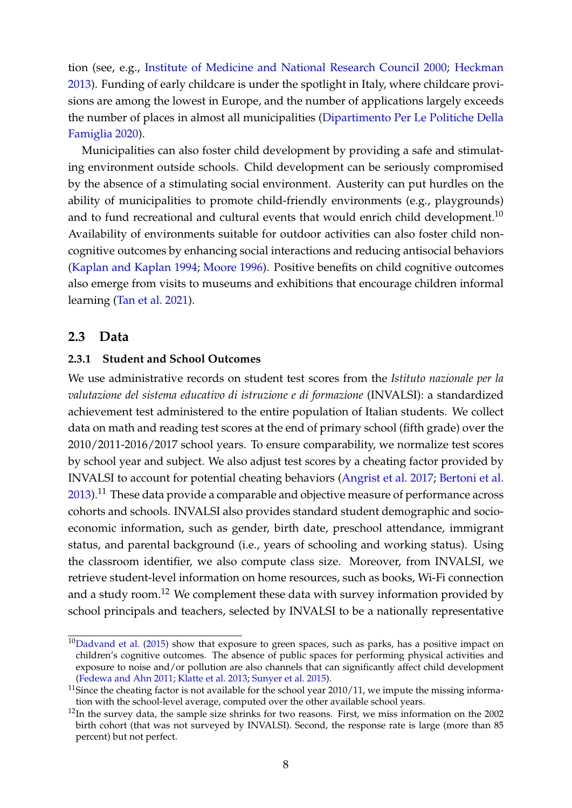tion (see, e.g., [Institute of Medicine and National Research Council](#page-43-9) [2000;](#page-43-9) [Heckman](#page-42-8) [2013\)](#page-42-8). Funding of early childcare is under the spotlight in Italy, where childcare provisions are among the lowest in Europe, and the number of applications largely exceeds the number of places in almost all municipalities [\(Dipartimento Per Le Politiche Della](#page-41-7) [Famiglia](#page-41-7) [2020\)](#page-41-7).

Municipalities can also foster child development by providing a safe and stimulating environment outside schools. Child development can be seriously compromised by the absence of a stimulating social environment. Austerity can put hurdles on the ability of municipalities to promote child-friendly environments (e.g., playgrounds) and to fund recreational and cultural events that would enrich child development.<sup>[10](#page-8-0)</sup> Availability of environments suitable for outdoor activities can also foster child noncognitive outcomes by enhancing social interactions and reducing antisocial behaviors [\(Kaplan and Kaplan](#page-43-10) [1994;](#page-43-10) [Moore](#page-44-6) [1996\)](#page-44-6). Positive benefits on child cognitive outcomes also emerge from visits to museums and exhibitions that encourage children informal learning [\(Tan et al.](#page-44-7) [2021\)](#page-44-7).

## **2.3 Data**

## **2.3.1 Student and School Outcomes**

We use administrative records on student test scores from the *Istituto nazionale per la valutazione del sistema educativo di istruzione e di formazione* (INVALSI): a standardized achievement test administered to the entire population of Italian students. We collect data on math and reading test scores at the end of primary school (fifth grade) over the 2010/2011-2016/2017 school years. To ensure comparability, we normalize test scores by school year and subject. We also adjust test scores by a cheating factor provided by INVALSI to account for potential cheating behaviors [\(Angrist et al.](#page-40-7) [2017;](#page-40-7) [Bertoni et al.](#page-40-10)  $2013$ .<sup>[11](#page-8-1)</sup> These data provide a comparable and objective measure of performance across cohorts and schools. INVALSI also provides standard student demographic and socioeconomic information, such as gender, birth date, preschool attendance, immigrant status, and parental background (i.e., years of schooling and working status). Using the classroom identifier, we also compute class size. Moreover, from INVALSI, we retrieve student-level information on home resources, such as books, Wi-Fi connection and a study room.<sup>[12](#page-8-2)</sup> We complement these data with survey information provided by school principals and teachers, selected by INVALSI to be a nationally representative

<span id="page-8-0"></span> $10$ [Dadvand et al.](#page-41-8) [\(2015\)](#page-41-8) show that exposure to green spaces, such as parks, has a positive impact on children's cognitive outcomes. The absence of public spaces for performing physical activities and exposure to noise and/or pollution are also channels that can significantly affect child development [\(Fedewa and Ahn](#page-42-9) [2011;](#page-42-9) [Klatte et al.](#page-43-11) [2013;](#page-43-11) [Sunyer et al.](#page-44-8) [2015\)](#page-44-8).

<span id="page-8-1"></span> $11$ Since the cheating factor is not available for the school year 2010/11, we impute the missing information with the school-level average, computed over the other available school years.

<span id="page-8-2"></span> $12$ In the survey data, the sample size shrinks for two reasons. First, we miss information on the 2002 birth cohort (that was not surveyed by INVALSI). Second, the response rate is large (more than 85 percent) but not perfect.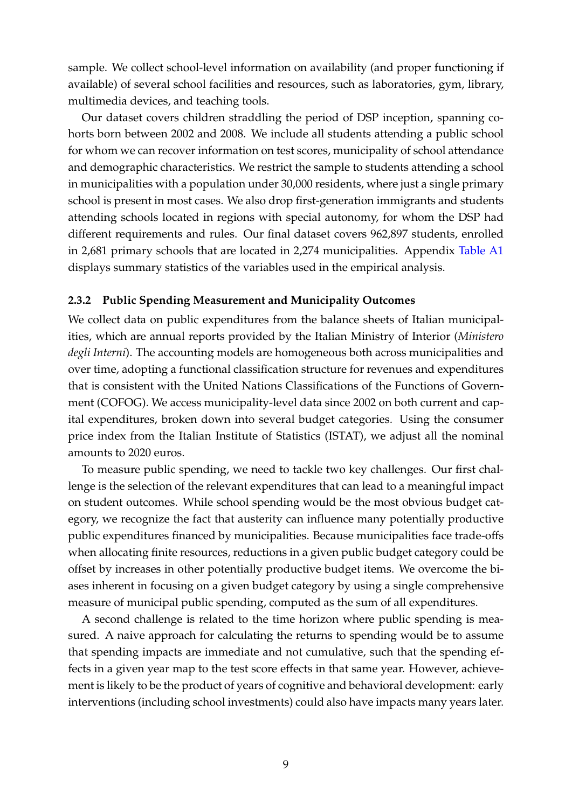sample. We collect school-level information on availability (and proper functioning if available) of several school facilities and resources, such as laboratories, gym, library, multimedia devices, and teaching tools.

Our dataset covers children straddling the period of DSP inception, spanning cohorts born between 2002 and 2008. We include all students attending a public school for whom we can recover information on test scores, municipality of school attendance and demographic characteristics. We restrict the sample to students attending a school in municipalities with a population under 30,000 residents, where just a single primary school is present in most cases. We also drop first-generation immigrants and students attending schools located in regions with special autonomy, for whom the DSP had different requirements and rules. Our final dataset covers 962,897 students, enrolled in 2,681 primary schools that are located in 2,274 municipalities. Appendix [Table A1](#page-55-0) displays summary statistics of the variables used in the empirical analysis.

#### <span id="page-9-0"></span>**2.3.2 Public Spending Measurement and Municipality Outcomes**

We collect data on public expenditures from the balance sheets of Italian municipalities, which are annual reports provided by the Italian Ministry of Interior (*Ministero degli Interni*). The accounting models are homogeneous both across municipalities and over time, adopting a functional classification structure for revenues and expenditures that is consistent with the United Nations Classifications of the Functions of Government (COFOG). We access municipality-level data since 2002 on both current and capital expenditures, broken down into several budget categories. Using the consumer price index from the Italian Institute of Statistics (ISTAT), we adjust all the nominal amounts to 2020 euros.

To measure public spending, we need to tackle two key challenges. Our first challenge is the selection of the relevant expenditures that can lead to a meaningful impact on student outcomes. While school spending would be the most obvious budget category, we recognize the fact that austerity can influence many potentially productive public expenditures financed by municipalities. Because municipalities face trade-offs when allocating finite resources, reductions in a given public budget category could be offset by increases in other potentially productive budget items. We overcome the biases inherent in focusing on a given budget category by using a single comprehensive measure of municipal public spending, computed as the sum of all expenditures.

A second challenge is related to the time horizon where public spending is measured. A naive approach for calculating the returns to spending would be to assume that spending impacts are immediate and not cumulative, such that the spending effects in a given year map to the test score effects in that same year. However, achievement is likely to be the product of years of cognitive and behavioral development: early interventions (including school investments) could also have impacts many years later.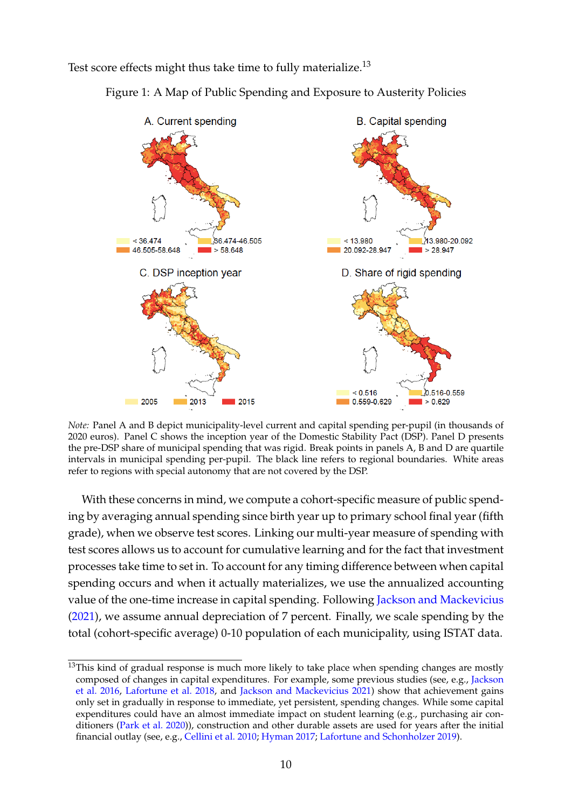<span id="page-10-1"></span>Test score effects might thus take time to fully materialize.<sup>[13](#page-10-0)</sup>



Figure 1: A Map of Public Spending and Exposure to Austerity Policies

*Note:* Panel A and B depict municipality-level current and capital spending per-pupil (in thousands of 2020 euros). Panel C shows the inception year of the Domestic Stability Pact (DSP). Panel D presents the pre-DSP share of municipal spending that was rigid. Break points in panels A, B and D are quartile intervals in municipal spending per-pupil. The black line refers to regional boundaries. White areas refer to regions with special autonomy that are not covered by the DSP.

With these concerns in mind, we compute a cohort-specific measure of public spending by averaging annual spending since birth year up to primary school final year (fifth grade), when we observe test scores. Linking our multi-year measure of spending with test scores allows us to account for cumulative learning and for the fact that investment processes take time to set in. To account for any timing difference between when capital spending occurs and when it actually materializes, we use the annualized accounting value of the one-time increase in capital spending. Following [Jackson and Mackevicius](#page-43-5) [\(2021\)](#page-43-5), we assume annual depreciation of 7 percent. Finally, we scale spending by the total (cohort-specific average) 0-10 population of each municipality, using ISTAT data.

<span id="page-10-0"></span><sup>&</sup>lt;sup>13</sup>This kind of gradual response is much more likely to take place when spending changes are mostly composed of changes in capital expenditures. For example, some previous studies (see, e.g., [Jackson](#page-43-2) [et al.](#page-43-2) [2016,](#page-43-2) [Lafortune et al.](#page-43-12) [2018,](#page-43-12) and [Jackson and Mackevicius](#page-43-5) [2021\)](#page-43-5) show that achievement gains only set in gradually in response to immediate, yet persistent, spending changes. While some capital expenditures could have an almost immediate impact on student learning (e.g., purchasing air conditioners [\(Park et al.](#page-44-5) [2020\)](#page-44-5)), construction and other durable assets are used for years after the initial financial outlay (see, e.g., [Cellini et al.](#page-41-9) [2010;](#page-41-9) [Hyman](#page-42-10) [2017;](#page-42-10) [Lafortune and Schonholzer](#page-43-13) [2019\)](#page-43-13).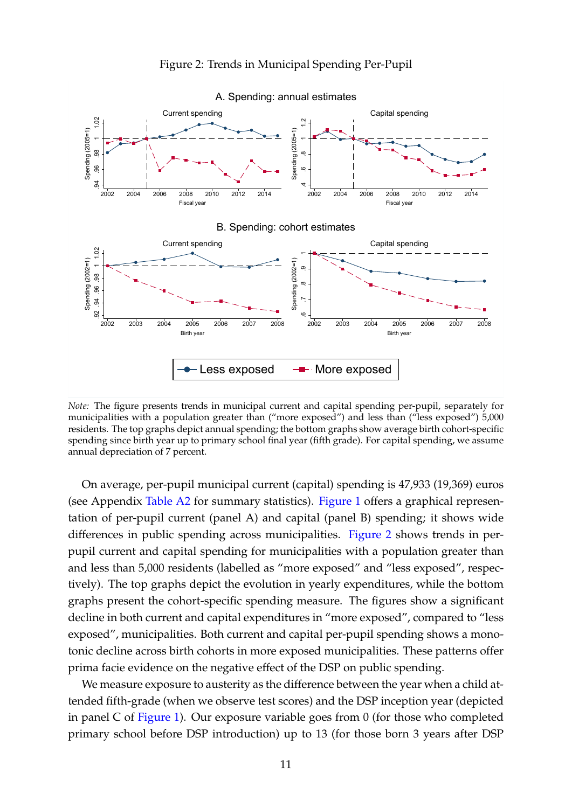<span id="page-11-0"></span>

Figure 2: Trends in Municipal Spending Per-Pupil

*Note:* The figure presents trends in municipal current and capital spending per-pupil, separately for municipalities with a population greater than ("more exposed") and less than ("less exposed") 5,000 residents. The top graphs depict annual spending; the bottom graphs show average birth cohort-specific spending since birth year up to primary school final year (fifth grade). For capital spending, we assume annual depreciation of 7 percent.

On average, per-pupil municipal current (capital) spending is 47,933 (19,369) euros (see Appendix [Table A2](#page-56-0) for summary statistics). [Figure 1](#page-10-1) offers a graphical representation of per-pupil current (panel A) and capital (panel B) spending; it shows wide differences in public spending across municipalities. [Figure 2](#page-11-0) shows trends in perpupil current and capital spending for municipalities with a population greater than and less than 5,000 residents (labelled as "more exposed" and "less exposed", respectively). The top graphs depict the evolution in yearly expenditures, while the bottom graphs present the cohort-specific spending measure. The figures show a significant decline in both current and capital expenditures in "more exposed", compared to "less exposed", municipalities. Both current and capital per-pupil spending shows a monotonic decline across birth cohorts in more exposed municipalities. These patterns offer prima facie evidence on the negative effect of the DSP on public spending.

We measure exposure to austerity as the difference between the year when a child attended fifth-grade (when we observe test scores) and the DSP inception year (depicted in panel C of [Figure 1\)](#page-10-1). Our exposure variable goes from 0 (for those who completed primary school before DSP introduction) up to 13 (for those born 3 years after DSP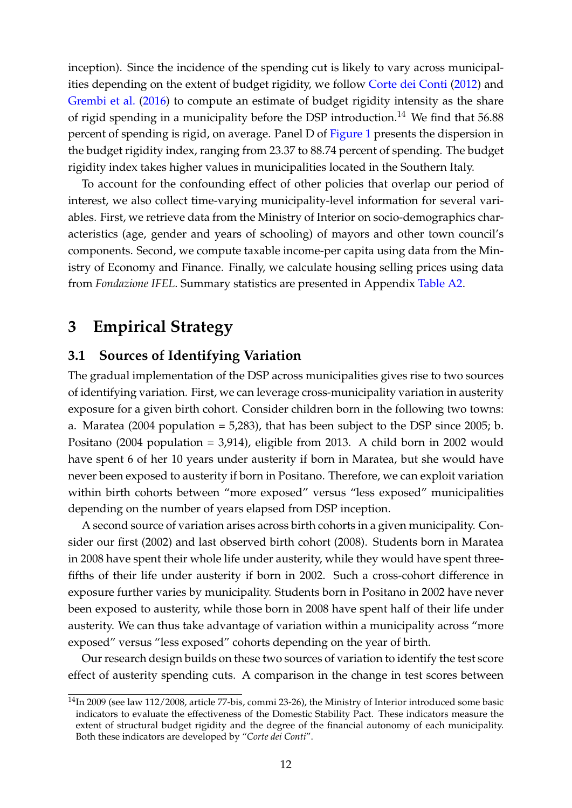inception). Since the incidence of the spending cut is likely to vary across municipalities depending on the extent of budget rigidity, we follow [Corte dei Conti](#page-41-10) [\(2012\)](#page-41-10) and [Grembi et al.](#page-42-2) [\(2016\)](#page-42-2) to compute an estimate of budget rigidity intensity as the share of rigid spending in a municipality before the DSP introduction.<sup>[14](#page-12-1)</sup> We find that  $56.88$ percent of spending is rigid, on average. Panel D of [Figure 1](#page-10-1) presents the dispersion in the budget rigidity index, ranging from 23.37 to 88.74 percent of spending. The budget rigidity index takes higher values in municipalities located in the Southern Italy.

To account for the confounding effect of other policies that overlap our period of interest, we also collect time-varying municipality-level information for several variables. First, we retrieve data from the Ministry of Interior on socio-demographics characteristics (age, gender and years of schooling) of mayors and other town council's components. Second, we compute taxable income-per capita using data from the Ministry of Economy and Finance. Finally, we calculate housing selling prices using data from *Fondazione IFEL*. Summary statistics are presented in Appendix [Table A2.](#page-56-0)

# <span id="page-12-0"></span>**3 Empirical Strategy**

## **3.1 Sources of Identifying Variation**

The gradual implementation of the DSP across municipalities gives rise to two sources of identifying variation. First, we can leverage cross-municipality variation in austerity exposure for a given birth cohort. Consider children born in the following two towns: a. Maratea (2004 population  $= 5,283$ ), that has been subject to the DSP since 2005; b. Positano (2004 population = 3,914), eligible from 2013. A child born in 2002 would have spent 6 of her 10 years under austerity if born in Maratea, but she would have never been exposed to austerity if born in Positano. Therefore, we can exploit variation within birth cohorts between "more exposed" versus "less exposed" municipalities depending on the number of years elapsed from DSP inception.

A second source of variation arises across birth cohorts in a given municipality. Consider our first (2002) and last observed birth cohort (2008). Students born in Maratea in 2008 have spent their whole life under austerity, while they would have spent threefifths of their life under austerity if born in 2002. Such a cross-cohort difference in exposure further varies by municipality. Students born in Positano in 2002 have never been exposed to austerity, while those born in 2008 have spent half of their life under austerity. We can thus take advantage of variation within a municipality across "more exposed" versus "less exposed" cohorts depending on the year of birth.

Our research design builds on these two sources of variation to identify the test score effect of austerity spending cuts. A comparison in the change in test scores between

<span id="page-12-1"></span><sup>14</sup>In 2009 (see law 112/2008, article 77-bis, commi 23-26), the Ministry of Interior introduced some basic indicators to evaluate the effectiveness of the Domestic Stability Pact. These indicators measure the extent of structural budget rigidity and the degree of the financial autonomy of each municipality. Both these indicators are developed by "*Corte dei Conti*".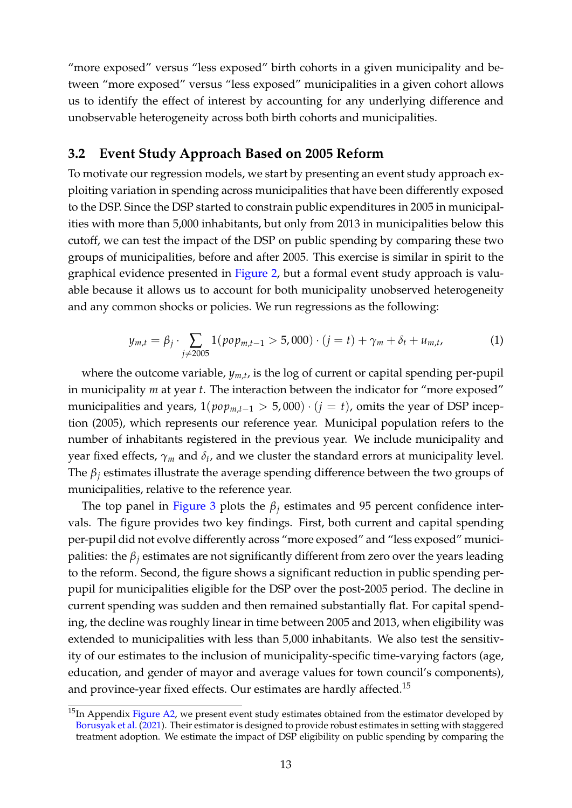"more exposed" versus "less exposed" birth cohorts in a given municipality and between "more exposed" versus "less exposed" municipalities in a given cohort allows us to identify the effect of interest by accounting for any underlying difference and unobservable heterogeneity across both birth cohorts and municipalities.

## **3.2 Event Study Approach Based on 2005 Reform**

To motivate our regression models, we start by presenting an event study approach exploiting variation in spending across municipalities that have been differently exposed to the DSP. Since the DSP started to constrain public expenditures in 2005 in municipalities with more than 5,000 inhabitants, but only from 2013 in municipalities below this cutoff, we can test the impact of the DSP on public spending by comparing these two groups of municipalities, before and after 2005. This exercise is similar in spirit to the graphical evidence presented in [Figure 2,](#page-11-0) but a formal event study approach is valuable because it allows us to account for both municipality unobserved heterogeneity and any common shocks or policies. We run regressions as the following:

<span id="page-13-1"></span>
$$
y_{m,t} = \beta_j \cdot \sum_{j \neq 2005} 1(pop_{m,t-1} > 5,000) \cdot (j=t) + \gamma_m + \delta_t + u_{m,t}, \tag{1}
$$

where the outcome variable, *ym*,*<sup>t</sup>* , is the log of current or capital spending per-pupil in municipality *m* at year *t*. The interaction between the indicator for "more exposed" municipalities and years,  $1(pop_{m,t-1} > 5,000) \cdot (i = t)$ , omits the year of DSP inception (2005), which represents our reference year. Municipal population refers to the number of inhabitants registered in the previous year. We include municipality and year fixed effects, *γ<sup>m</sup>* and *δ<sup>t</sup>* , and we cluster the standard errors at municipality level. The *β<sup>j</sup>* estimates illustrate the average spending difference between the two groups of municipalities, relative to the reference year.

The top panel in [Figure 3](#page-14-0) plots the  $\beta_i$  estimates and 95 percent confidence intervals. The figure provides two key findings. First, both current and capital spending per-pupil did not evolve differently across "more exposed" and "less exposed" municipalities: the  $\beta_i$  estimates are not significantly different from zero over the years leading to the reform. Second, the figure shows a significant reduction in public spending perpupil for municipalities eligible for the DSP over the post-2005 period. The decline in current spending was sudden and then remained substantially flat. For capital spending, the decline was roughly linear in time between 2005 and 2013, when eligibility was extended to municipalities with less than 5,000 inhabitants. We also test the sensitivity of our estimates to the inclusion of municipality-specific time-varying factors (age, education, and gender of mayor and average values for town council's components), and province-year fixed effects. Our estimates are hardly affected.<sup>[15](#page-13-0)</sup>

<span id="page-13-0"></span><sup>&</sup>lt;sup>15</sup>In Appendix [Figure A2,](#page-46-0) we present event study estimates obtained from the estimator developed by [Borusyak et al.](#page-40-11) [\(2021\)](#page-40-11). Their estimator is designed to provide robust estimates in setting with staggered treatment adoption. We estimate the impact of DSP eligibility on public spending by comparing the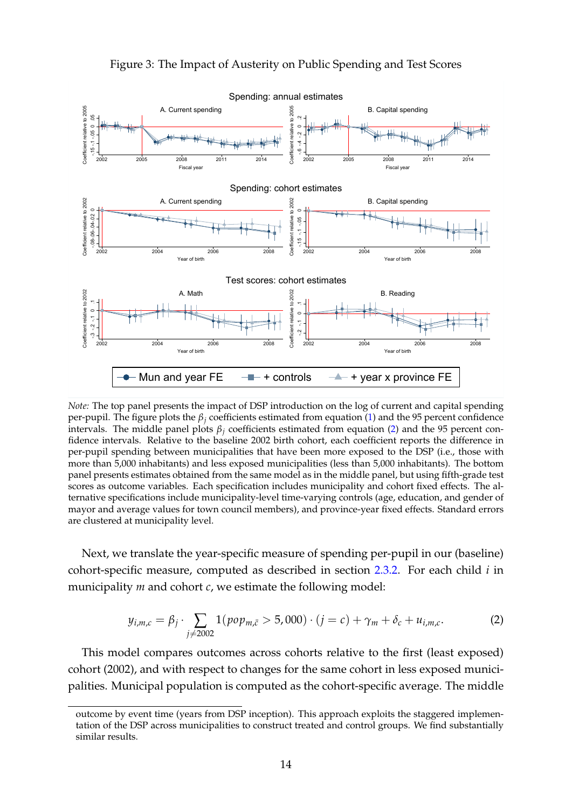<span id="page-14-0"></span>

Figure 3: The Impact of Austerity on Public Spending and Test Scores

*Note:* The top panel presents the impact of DSP introduction on the log of current and capital spending per-pupil. The figure plots the  $\beta$ <sup>*j*</sup> coefficients estimated from equation [\(1\)](#page-13-1) and the 95 percent confidence intervals. The middle panel plots  $\beta$ <sup>*j*</sup> coefficients estimated from equation [\(2\)](#page-14-1) and the 95 percent confidence intervals. Relative to the baseline 2002 birth cohort, each coefficient reports the difference in per-pupil spending between municipalities that have been more exposed to the DSP (i.e., those with more than 5,000 inhabitants) and less exposed municipalities (less than 5,000 inhabitants). The bottom panel presents estimates obtained from the same model as in the middle panel, but using fifth-grade test scores as outcome variables. Each specification includes municipality and cohort fixed effects. The alternative specifications include municipality-level time-varying controls (age, education, and gender of mayor and average values for town council members), and province-year fixed effects. Standard errors are clustered at municipality level.

Next, we translate the year-specific measure of spending per-pupil in our (baseline) cohort-specific measure, computed as described in section [2.3.2.](#page-9-0) For each child *i* in municipality *m* and cohort *c*, we estimate the following model:

<span id="page-14-1"></span>
$$
y_{i,m,c} = \beta_j \cdot \sum_{j \neq 2002} 1(p \circ p_{m,\bar{c}} > 5,000) \cdot (j = c) + \gamma_m + \delta_c + u_{i,m,c}.
$$
 (2)

This model compares outcomes across cohorts relative to the first (least exposed) cohort (2002), and with respect to changes for the same cohort in less exposed municipalities. Municipal population is computed as the cohort-specific average. The middle

outcome by event time (years from DSP inception). This approach exploits the staggered implementation of the DSP across municipalities to construct treated and control groups. We find substantially similar results.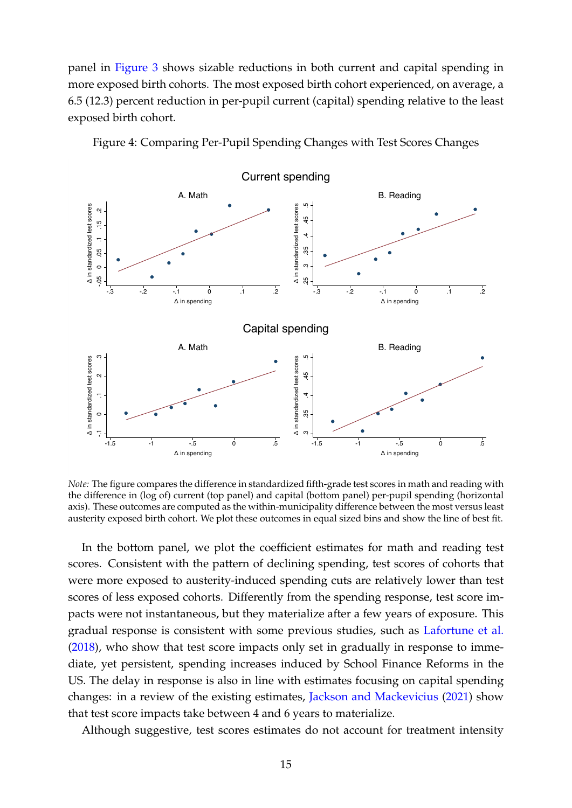panel in [Figure 3](#page-14-0) shows sizable reductions in both current and capital spending in more exposed birth cohorts. The most exposed birth cohort experienced, on average, a 6.5 (12.3) percent reduction in per-pupil current (capital) spending relative to the least exposed birth cohort.



<span id="page-15-0"></span>Figure 4: Comparing Per-Pupil Spending Changes with Test Scores Changes

*Note:* The figure compares the difference in standardized fifth-grade test scores in math and reading with the difference in (log of) current (top panel) and capital (bottom panel) per-pupil spending (horizontal axis). These outcomes are computed as the within-municipality difference between the most versus least austerity exposed birth cohort. We plot these outcomes in equal sized bins and show the line of best fit.

In the bottom panel, we plot the coefficient estimates for math and reading test scores. Consistent with the pattern of declining spending, test scores of cohorts that were more exposed to austerity-induced spending cuts are relatively lower than test scores of less exposed cohorts. Differently from the spending response, test score impacts were not instantaneous, but they materialize after a few years of exposure. This gradual response is consistent with some previous studies, such as [Lafortune et al.](#page-43-12) [\(2018\)](#page-43-12), who show that test score impacts only set in gradually in response to immediate, yet persistent, spending increases induced by School Finance Reforms in the US. The delay in response is also in line with estimates focusing on capital spending changes: in a review of the existing estimates, [Jackson and Mackevicius](#page-43-5) [\(2021\)](#page-43-5) show that test score impacts take between 4 and 6 years to materialize.

Although suggestive, test scores estimates do not account for treatment intensity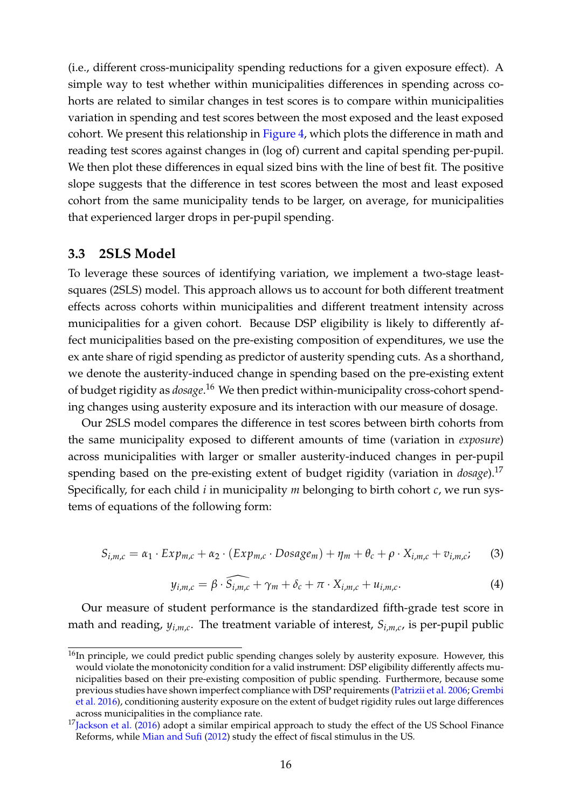(i.e., different cross-municipality spending reductions for a given exposure effect). A simple way to test whether within municipalities differences in spending across cohorts are related to similar changes in test scores is to compare within municipalities variation in spending and test scores between the most exposed and the least exposed cohort. We present this relationship in [Figure 4,](#page-15-0) which plots the difference in math and reading test scores against changes in (log of) current and capital spending per-pupil. We then plot these differences in equal sized bins with the line of best fit. The positive slope suggests that the difference in test scores between the most and least exposed cohort from the same municipality tends to be larger, on average, for municipalities that experienced larger drops in per-pupil spending.

## **3.3 2SLS Model**

To leverage these sources of identifying variation, we implement a two-stage leastsquares (2SLS) model. This approach allows us to account for both different treatment effects across cohorts within municipalities and different treatment intensity across municipalities for a given cohort. Because DSP eligibility is likely to differently affect municipalities based on the pre-existing composition of expenditures, we use the ex ante share of rigid spending as predictor of austerity spending cuts. As a shorthand, we denote the austerity-induced change in spending based on the pre-existing extent of budget rigidity as *dosage*. [16](#page-16-0) We then predict within-municipality cross-cohort spending changes using austerity exposure and its interaction with our measure of dosage.

Our 2SLS model compares the difference in test scores between birth cohorts from the same municipality exposed to different amounts of time (variation in *exposure*) across municipalities with larger or smaller austerity-induced changes in per-pupil spending based on the pre-existing extent of budget rigidity (variation in *dosage*).[17](#page-16-1) Specifically, for each child *i* in municipality *m* belonging to birth cohort *c*, we run systems of equations of the following form:

<span id="page-16-2"></span>
$$
S_{i,m,c} = \alpha_1 \cdot Exp_{m,c} + \alpha_2 \cdot (Exp_{m,c} \cdot Dosage_m) + \eta_m + \theta_c + \rho \cdot X_{i,m,c} + v_{i,m,c}; \tag{3}
$$

<span id="page-16-3"></span>
$$
y_{i,m,c} = \beta \cdot \widehat{S_{i,m,c}} + \gamma_m + \delta_c + \pi \cdot X_{i,m,c} + u_{i,m,c}.
$$
 (4)

Our measure of student performance is the standardized fifth-grade test score in math and reading, *yi*,*m*,*<sup>c</sup>* . The treatment variable of interest, *Si*,*m*,*<sup>c</sup>* , is per-pupil public

<span id="page-16-0"></span> $16$ In principle, we could predict public spending changes solely by austerity exposure. However, this would violate the monotonicity condition for a valid instrument: DSP eligibility differently affects municipalities based on their pre-existing composition of public spending. Furthermore, because some previous studies have shown imperfect compliance with DSP requirements [\(Patrizii et al.](#page-44-9) [2006;](#page-44-9) [Grembi](#page-42-2) [et al.](#page-42-2) [2016\)](#page-42-2), conditioning austerity exposure on the extent of budget rigidity rules out large differences across municipalities in the compliance rate.

<span id="page-16-1"></span> $17$ [Jackson et al.](#page-43-2) [\(2016\)](#page-43-2) adopt a similar empirical approach to study the effect of the US School Finance Reforms, while [Mian and Sufi](#page-43-3) [\(2012\)](#page-43-3) study the effect of fiscal stimulus in the US.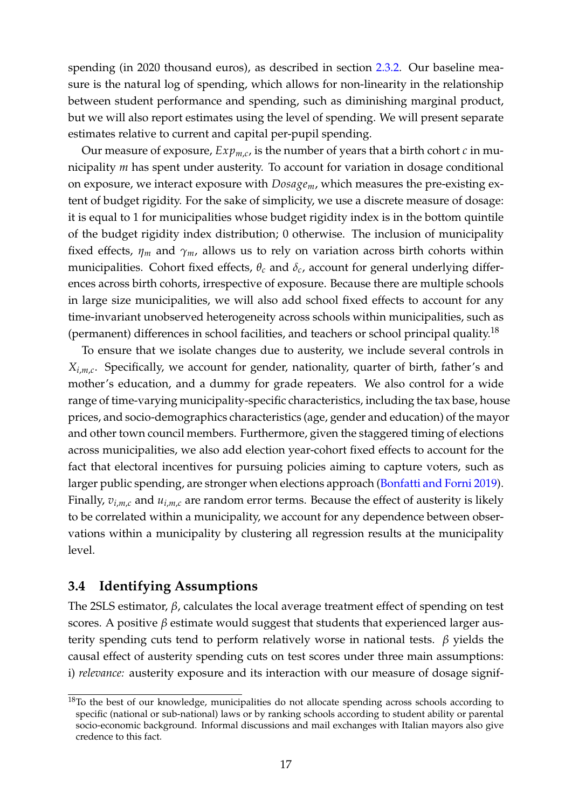spending (in 2020 thousand euros), as described in section [2.3.2.](#page-9-0) Our baseline measure is the natural log of spending, which allows for non-linearity in the relationship between student performance and spending, such as diminishing marginal product, but we will also report estimates using the level of spending. We will present separate estimates relative to current and capital per-pupil spending.

Our measure of exposure, *Expm*,*c*, is the number of years that a birth cohort *c* in municipality *m* has spent under austerity. To account for variation in dosage conditional on exposure, we interact exposure with *Dosagem*, which measures the pre-existing extent of budget rigidity. For the sake of simplicity, we use a discrete measure of dosage: it is equal to 1 for municipalities whose budget rigidity index is in the bottom quintile of the budget rigidity index distribution; 0 otherwise. The inclusion of municipality fixed effects,  $\eta_m$  and  $\gamma_m$ , allows us to rely on variation across birth cohorts within municipalities. Cohort fixed effects,  $\theta_c$  and  $\delta_c$ , account for general underlying differences across birth cohorts, irrespective of exposure. Because there are multiple schools in large size municipalities, we will also add school fixed effects to account for any time-invariant unobserved heterogeneity across schools within municipalities, such as (permanent) differences in school facilities, and teachers or school principal quality.[18](#page-17-0)

To ensure that we isolate changes due to austerity, we include several controls in *Xi*,*m*,*<sup>c</sup>* . Specifically, we account for gender, nationality, quarter of birth, father's and mother's education, and a dummy for grade repeaters. We also control for a wide range of time-varying municipality-specific characteristics, including the tax base, house prices, and socio-demographics characteristics (age, gender and education) of the mayor and other town council members. Furthermore, given the staggered timing of elections across municipalities, we also add election year-cohort fixed effects to account for the fact that electoral incentives for pursuing policies aiming to capture voters, such as larger public spending, are stronger when elections approach [\(Bonfatti and Forni](#page-40-12) [2019\)](#page-40-12). Finally,  $v_{i,m,c}$  and  $u_{i,m,c}$  are random error terms. Because the effect of austerity is likely to be correlated within a municipality, we account for any dependence between observations within a municipality by clustering all regression results at the municipality level.

## **3.4 Identifying Assumptions**

The 2SLS estimator, *β*, calculates the local average treatment effect of spending on test scores. A positive  $\beta$  estimate would suggest that students that experienced larger austerity spending cuts tend to perform relatively worse in national tests. *β* yields the causal effect of austerity spending cuts on test scores under three main assumptions: i) *relevance:* austerity exposure and its interaction with our measure of dosage signif-

<span id="page-17-0"></span><sup>&</sup>lt;sup>18</sup>To the best of our knowledge, municipalities do not allocate spending across schools according to specific (national or sub-national) laws or by ranking schools according to student ability or parental socio-economic background. Informal discussions and mail exchanges with Italian mayors also give credence to this fact.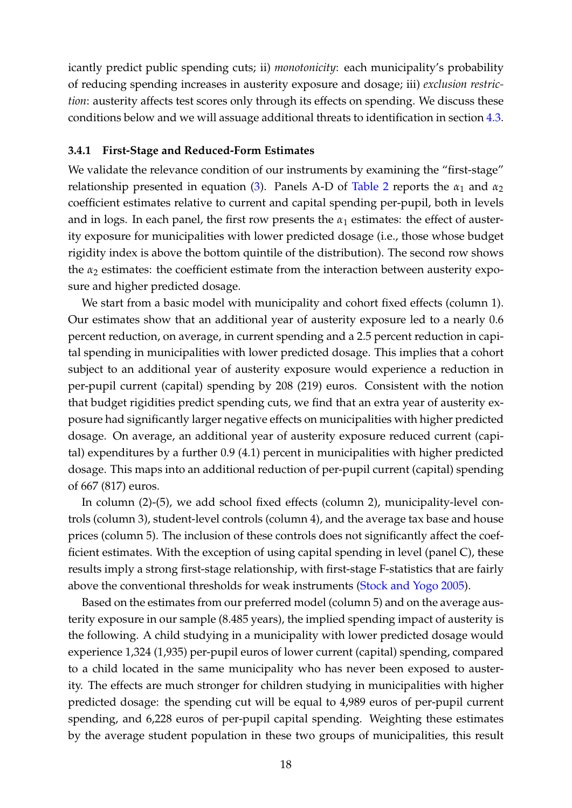icantly predict public spending cuts; ii) *monotonicity*: each municipality's probability of reducing spending increases in austerity exposure and dosage; iii) *exclusion restriction*: austerity affects test scores only through its effects on spending. We discuss these conditions below and we will assuage additional threats to identification in section [4.3.](#page-26-0)

#### **3.4.1 First-Stage and Reduced-Form Estimates**

We validate the relevance condition of our instruments by examining the "first-stage" relationship presented in equation [\(3\)](#page-16-2). Panels A-D of [Table 2](#page-20-0) reports the  $\alpha_1$  and  $\alpha_2$ coefficient estimates relative to current and capital spending per-pupil, both in levels and in logs. In each panel, the first row presents the  $\alpha_1$  estimates: the effect of austerity exposure for municipalities with lower predicted dosage (i.e., those whose budget rigidity index is above the bottom quintile of the distribution). The second row shows the  $\alpha_2$  estimates: the coefficient estimate from the interaction between austerity exposure and higher predicted dosage.

We start from a basic model with municipality and cohort fixed effects (column 1). Our estimates show that an additional year of austerity exposure led to a nearly 0.6 percent reduction, on average, in current spending and a 2.5 percent reduction in capital spending in municipalities with lower predicted dosage. This implies that a cohort subject to an additional year of austerity exposure would experience a reduction in per-pupil current (capital) spending by 208 (219) euros. Consistent with the notion that budget rigidities predict spending cuts, we find that an extra year of austerity exposure had significantly larger negative effects on municipalities with higher predicted dosage. On average, an additional year of austerity exposure reduced current (capital) expenditures by a further 0.9 (4.1) percent in municipalities with higher predicted dosage. This maps into an additional reduction of per-pupil current (capital) spending of 667 (817) euros.

In column (2)-(5), we add school fixed effects (column 2), municipality-level controls (column 3), student-level controls (column 4), and the average tax base and house prices (column 5). The inclusion of these controls does not significantly affect the coefficient estimates. With the exception of using capital spending in level (panel C), these results imply a strong first-stage relationship, with first-stage F-statistics that are fairly above the conventional thresholds for weak instruments [\(Stock and Yogo](#page-44-10) [2005\)](#page-44-10).

Based on the estimates from our preferred model (column 5) and on the average austerity exposure in our sample (8.485 years), the implied spending impact of austerity is the following. A child studying in a municipality with lower predicted dosage would experience 1,324 (1,935) per-pupil euros of lower current (capital) spending, compared to a child located in the same municipality who has never been exposed to austerity. The effects are much stronger for children studying in municipalities with higher predicted dosage: the spending cut will be equal to 4,989 euros of per-pupil current spending, and 6,228 euros of per-pupil capital spending. Weighting these estimates by the average student population in these two groups of municipalities, this result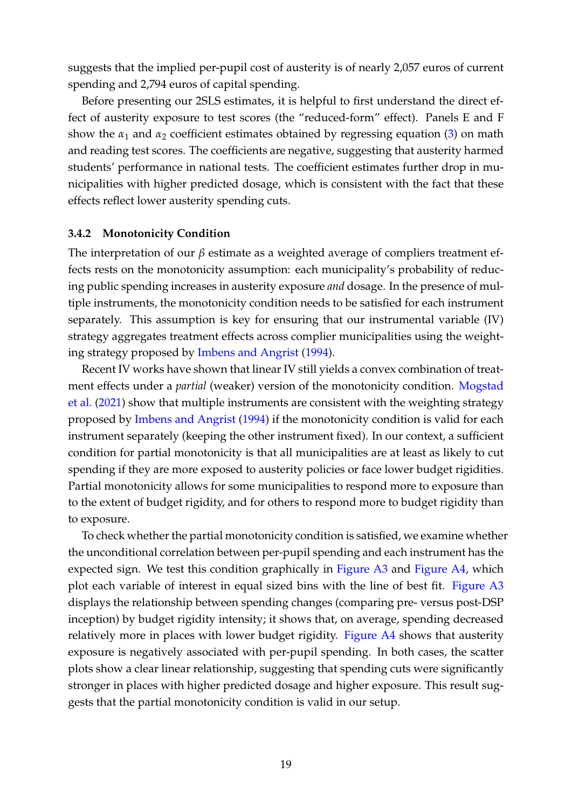suggests that the implied per-pupil cost of austerity is of nearly 2,057 euros of current spending and 2,794 euros of capital spending.

Before presenting our 2SLS estimates, it is helpful to first understand the direct effect of austerity exposure to test scores (the "reduced-form" effect). Panels E and F show the  $\alpha_1$  and  $\alpha_2$  coefficient estimates obtained by regressing equation [\(3\)](#page-16-2) on math and reading test scores. The coefficients are negative, suggesting that austerity harmed students' performance in national tests. The coefficient estimates further drop in municipalities with higher predicted dosage, which is consistent with the fact that these effects reflect lower austerity spending cuts.

## **3.4.2 Monotonicity Condition**

The interpretation of our *β* estimate as a weighted average of compliers treatment effects rests on the monotonicity assumption: each municipality's probability of reducing public spending increases in austerity exposure *and* dosage. In the presence of multiple instruments, the monotonicity condition needs to be satisfied for each instrument separately. This assumption is key for ensuring that our instrumental variable (IV) strategy aggregates treatment effects across complier municipalities using the weighting strategy proposed by [Imbens and Angrist](#page-42-11) [\(1994\)](#page-42-11).

Recent IV works have shown that linear IV still yields a convex combination of treatment effects under a *partial* (weaker) version of the monotonicity condition. [Mogstad](#page-43-14) [et al.](#page-43-14) [\(2021\)](#page-43-14) show that multiple instruments are consistent with the weighting strategy proposed by [Imbens and Angrist](#page-42-11) [\(1994\)](#page-42-11) if the monotonicity condition is valid for each instrument separately (keeping the other instrument fixed). In our context, a sufficient condition for partial monotonicity is that all municipalities are at least as likely to cut spending if they are more exposed to austerity policies or face lower budget rigidities. Partial monotonicity allows for some municipalities to respond more to exposure than to the extent of budget rigidity, and for others to respond more to budget rigidity than to exposure.

To check whether the partial monotonicity condition is satisfied, we examine whether the unconditional correlation between per-pupil spending and each instrument has the expected sign. We test this condition graphically in [Figure A3](#page-47-0) and [Figure A4,](#page-48-0) which plot each variable of interest in equal sized bins with the line of best fit. [Figure A3](#page-47-0) displays the relationship between spending changes (comparing pre- versus post-DSP inception) by budget rigidity intensity; it shows that, on average, spending decreased relatively more in places with lower budget rigidity. [Figure A4](#page-48-0) shows that austerity exposure is negatively associated with per-pupil spending. In both cases, the scatter plots show a clear linear relationship, suggesting that spending cuts were significantly stronger in places with higher predicted dosage and higher exposure. This result suggests that the partial monotonicity condition is valid in our setup.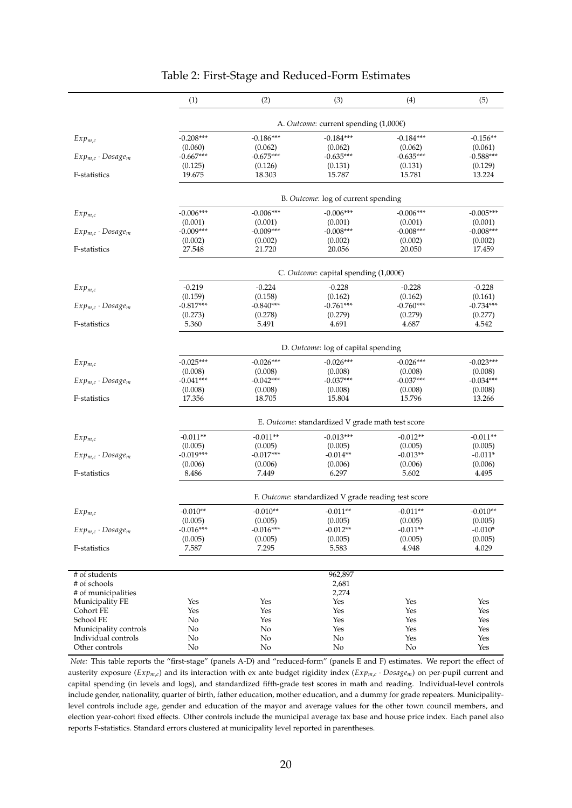<span id="page-20-0"></span>

|                            | (1)                                                 | (2)         | (3)                                                  | (4)         | (5)         |  |  |  |
|----------------------------|-----------------------------------------------------|-------------|------------------------------------------------------|-------------|-------------|--|--|--|
|                            |                                                     |             |                                                      |             |             |  |  |  |
|                            | $-0.208***$                                         | $-0.186***$ | A. Outcome: current spending (1,000€)<br>$-0.184***$ | $-0.184***$ | $-0.156**$  |  |  |  |
| $Exp_{m,c}$                | (0.060)                                             | (0.062)     | (0.062)                                              | (0.062)     | (0.061)     |  |  |  |
| $Exp_{m,c} \cdot Dosage_m$ | $-0.667***$                                         | $-0.675***$ | $-0.635***$                                          | $-0.635***$ | $-0.588***$ |  |  |  |
|                            | (0.125)                                             | (0.126)     | (0.131)                                              | (0.131)     | (0.129)     |  |  |  |
| F-statistics               | 19.675                                              | 18.303      | 15.787                                               | 15.781      | 13.224      |  |  |  |
|                            |                                                     |             | B. Outcome: log of current spending                  |             |             |  |  |  |
| $Exp_{m,c}$                | $-0.006***$                                         | $-0.006***$ | $-0.006***$                                          | $-0.006***$ | $-0.005***$ |  |  |  |
|                            | (0.001)                                             | (0.001)     | (0.001)                                              | (0.001)     | (0.001)     |  |  |  |
| $Exp_{m,c} \cdot Dosage_m$ | $-0.009***$                                         | $-0.009***$ | $-0.008***$                                          | $-0.008***$ | $-0.008***$ |  |  |  |
|                            | (0.002)                                             | (0.002)     | (0.002)                                              | (0.002)     | (0.002)     |  |  |  |
| F-statistics               | 27.548                                              | 21.720      | 20.056                                               | 20.050      | 17.459      |  |  |  |
|                            | C. Outcome: capital spending $(1,000)$              |             |                                                      |             |             |  |  |  |
| $Exp_{m,c}$                | $-0.219$                                            | $-0.224$    | $-0.228$                                             | $-0.228$    | $-0.228$    |  |  |  |
|                            | (0.159)                                             | (0.158)     | (0.162)                                              | (0.162)     | (0.161)     |  |  |  |
| $Exp_{m,c} \cdot Dosage_m$ | $-0.817***$                                         | $-0.840***$ | $-0.761***$                                          | $-0.760***$ | $-0.734***$ |  |  |  |
|                            | (0.273)                                             | (0.278)     | (0.279)                                              | (0.279)     | (0.277)     |  |  |  |
| F-statistics               | 5.360                                               | 5.491       | 4.691                                                | 4.687       | 4.542       |  |  |  |
|                            | D. Outcome: log of capital spending                 |             |                                                      |             |             |  |  |  |
| $Exp_{m,c}$                | $-0.025***$                                         | $-0.026***$ | $-0.026***$                                          | $-0.026***$ | $-0.023***$ |  |  |  |
|                            | (0.008)                                             | (0.008)     | (0.008)                                              | (0.008)     | (0.008)     |  |  |  |
| $Exp_{m,c} \cdot Dosage_m$ | $-0.041***$                                         | $-0.042***$ | $-0.037***$                                          | $-0.037***$ | $-0.034***$ |  |  |  |
|                            | (0.008)                                             | (0.008)     | (0.008)                                              | (0.008)     | (0.008)     |  |  |  |
| F-statistics               | 17.356                                              | 18.705      | 15.804                                               | 15.796      | 13.266      |  |  |  |
|                            | E. Outcome: standardized V grade math test score    |             |                                                      |             |             |  |  |  |
| $Exp_{m,c}$                | $-0.011**$                                          | $-0.011**$  | $-0.013***$                                          | $-0.012**$  | $-0.011**$  |  |  |  |
|                            | (0.005)                                             | (0.005)     | (0.005)                                              | (0.005)     | (0.005)     |  |  |  |
| $Exp_{m,c} \cdot Dosage_m$ | $-0.019***$                                         | $-0.017***$ | $-0.014**$                                           | $-0.013**$  | $-0.011*$   |  |  |  |
|                            | (0.006)                                             | (0.006)     | (0.006)                                              | (0.006)     | (0.006)     |  |  |  |
| F-statistics               | 8.486                                               | 7.449       | 6.297                                                | 5.602       | 4.495       |  |  |  |
|                            | F. Outcome: standardized V grade reading test score |             |                                                      |             |             |  |  |  |
| $Exp_{m,c}$                | $-0.010**$                                          | $-0.010**$  | $-0.011**$                                           | $-0.011**$  | $-0.010**$  |  |  |  |
|                            | (0.005)                                             | (0.005)     | (0.005)                                              | (0.005)     | (0.005)     |  |  |  |
| $Exp_{m,c} \cdot Dosage_m$ | $-0.016***$                                         | $-0.016***$ | $-0.012**$                                           | $-0.011**$  | $-0.010*$   |  |  |  |
|                            | (0.005)                                             | (0.005)     | (0.005)                                              | (0.005)     | (0.005)     |  |  |  |
| F-statistics               | 7.587                                               | 7.295       | 5.583                                                | 4.948       | 4.029       |  |  |  |
|                            |                                                     |             |                                                      |             |             |  |  |  |
| # of students              |                                                     |             | 962,897                                              |             |             |  |  |  |
| # of schools               |                                                     |             | 2,681                                                |             |             |  |  |  |
| # of municipalities        |                                                     |             | 2,274                                                |             |             |  |  |  |
| Municipality FE            | Yes                                                 | Yes         | Yes                                                  | Yes         | Yes         |  |  |  |
| Cohort FE                  | Yes                                                 | Yes         | Yes                                                  | Yes         | Yes         |  |  |  |
| School FE                  | No                                                  | Yes         | Yes                                                  | Yes         | Yes         |  |  |  |
| Municipality controls      | No                                                  | No          | Yes                                                  | Yes         | Yes         |  |  |  |
| Individual controls        | No                                                  | No          | No                                                   | Yes         | Yes         |  |  |  |
| Other controls             | No                                                  | No          | No                                                   | No          | Yes         |  |  |  |

#### Table 2: First-Stage and Reduced-Form Estimates

*Note:* This table reports the "first-stage" (panels A-D) and "reduced-form" (panels E and F) estimates. We report the effect of austerity exposure  $(Ex p_{m,c})$  and its interaction with ex ante budget rigidity index  $(Ex p_{m,c} \cdot Dosa q e_m)$  on per-pupil current and capital spending (in levels and logs), and standardized fifth-grade test scores in math and reading. Individual-level controls include gender, nationality, quarter of birth, father education, mother education, and a dummy for grade repeaters. Municipalitylevel controls include age, gender and education of the mayor and average values for the other town council members, and election year-cohort fixed effects. Other controls include the municipal average tax base and house price index. Each panel also reports F-statistics. Standard errors clustered at municipality level reported in parentheses.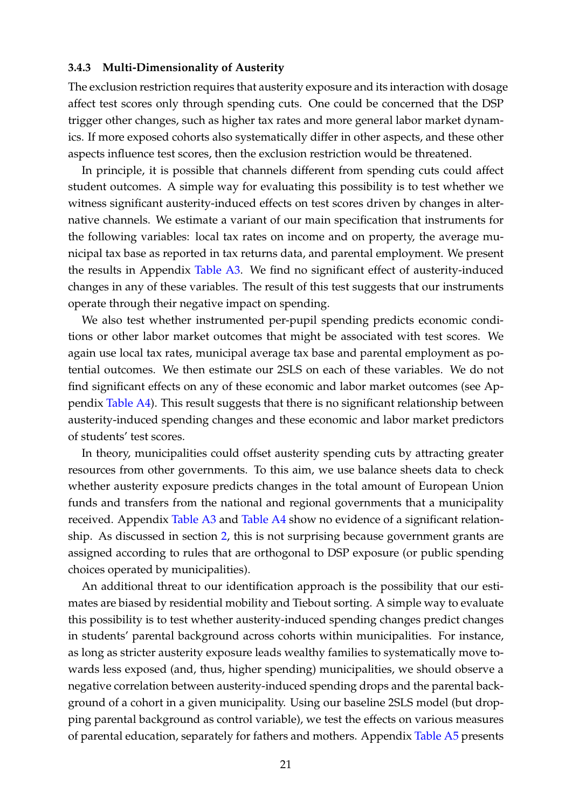#### **3.4.3 Multi-Dimensionality of Austerity**

The exclusion restriction requires that austerity exposure and its interaction with dosage affect test scores only through spending cuts. One could be concerned that the DSP trigger other changes, such as higher tax rates and more general labor market dynamics. If more exposed cohorts also systematically differ in other aspects, and these other aspects influence test scores, then the exclusion restriction would be threatened.

In principle, it is possible that channels different from spending cuts could affect student outcomes. A simple way for evaluating this possibility is to test whether we witness significant austerity-induced effects on test scores driven by changes in alternative channels. We estimate a variant of our main specification that instruments for the following variables: local tax rates on income and on property, the average municipal tax base as reported in tax returns data, and parental employment. We present the results in Appendix [Table A3.](#page-57-0) We find no significant effect of austerity-induced changes in any of these variables. The result of this test suggests that our instruments operate through their negative impact on spending.

We also test whether instrumented per-pupil spending predicts economic conditions or other labor market outcomes that might be associated with test scores. We again use local tax rates, municipal average tax base and parental employment as potential outcomes. We then estimate our 2SLS on each of these variables. We do not find significant effects on any of these economic and labor market outcomes (see Appendix [Table A4\)](#page-58-0). This result suggests that there is no significant relationship between austerity-induced spending changes and these economic and labor market predictors of students' test scores.

In theory, municipalities could offset austerity spending cuts by attracting greater resources from other governments. To this aim, we use balance sheets data to check whether austerity exposure predicts changes in the total amount of European Union funds and transfers from the national and regional governments that a municipality received. Appendix [Table A3](#page-57-0) and [Table A4](#page-58-0) show no evidence of a significant relationship. As discussed in section [2,](#page-5-1) this is not surprising because government grants are assigned according to rules that are orthogonal to DSP exposure (or public spending choices operated by municipalities).

An additional threat to our identification approach is the possibility that our estimates are biased by residential mobility and Tiebout sorting. A simple way to evaluate this possibility is to test whether austerity-induced spending changes predict changes in students' parental background across cohorts within municipalities. For instance, as long as stricter austerity exposure leads wealthy families to systematically move towards less exposed (and, thus, higher spending) municipalities, we should observe a negative correlation between austerity-induced spending drops and the parental background of a cohort in a given municipality. Using our baseline 2SLS model (but dropping parental background as control variable), we test the effects on various measures of parental education, separately for fathers and mothers. Appendix [Table A5](#page-59-0) presents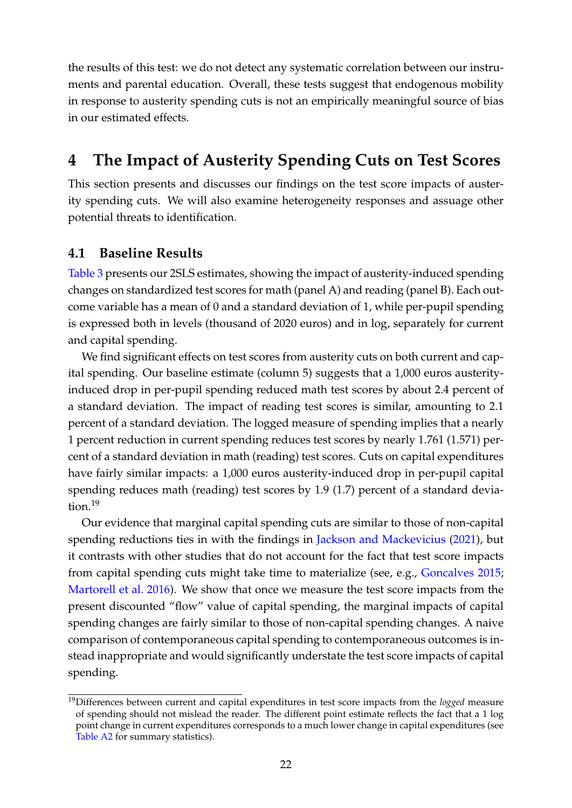the results of this test: we do not detect any systematic correlation between our instruments and parental education. Overall, these tests suggest that endogenous mobility in response to austerity spending cuts is not an empirically meaningful source of bias in our estimated effects.

# <span id="page-22-0"></span>**4 The Impact of Austerity Spending Cuts on Test Scores**

This section presents and discusses our findings on the test score impacts of austerity spending cuts. We will also examine heterogeneity responses and assuage other potential threats to identification.

## **4.1 Baseline Results**

[Table 3](#page-23-0) presents our 2SLS estimates, showing the impact of austerity-induced spending changes on standardized test scores for math (panel A) and reading (panel B). Each outcome variable has a mean of 0 and a standard deviation of 1, while per-pupil spending is expressed both in levels (thousand of 2020 euros) and in log, separately for current and capital spending.

We find significant effects on test scores from austerity cuts on both current and capital spending. Our baseline estimate (column 5) suggests that a 1,000 euros austerityinduced drop in per-pupil spending reduced math test scores by about 2.4 percent of a standard deviation. The impact of reading test scores is similar, amounting to 2.1 percent of a standard deviation. The logged measure of spending implies that a nearly 1 percent reduction in current spending reduces test scores by nearly 1.761 (1.571) percent of a standard deviation in math (reading) test scores. Cuts on capital expenditures have fairly similar impacts: a 1,000 euros austerity-induced drop in per-pupil capital spending reduces math (reading) test scores by 1.9 (1.7) percent of a standard devia-tion.<sup>[19](#page-22-1)</sup>

Our evidence that marginal capital spending cuts are similar to those of non-capital spending reductions ties in with the findings in [Jackson and Mackevicius](#page-43-5) [\(2021\)](#page-43-5), but it contrasts with other studies that do not account for the fact that test score impacts from capital spending cuts might take time to materialize (see, e.g., [Goncalves](#page-42-6) [2015;](#page-42-6) [Martorell et al.](#page-43-6) [2016\)](#page-43-6). We show that once we measure the test score impacts from the present discounted "flow" value of capital spending, the marginal impacts of capital spending changes are fairly similar to those of non-capital spending changes. A naive comparison of contemporaneous capital spending to contemporaneous outcomes is instead inappropriate and would significantly understate the test score impacts of capital spending.

<span id="page-22-1"></span><sup>19</sup>Differences between current and capital expenditures in test score impacts from the *logged* measure of spending should not mislead the reader. The different point estimate reflects the fact that a 1 log point change in current expenditures corresponds to a much lower change in capital expenditures (see [Table A2](#page-56-0) for summary statistics).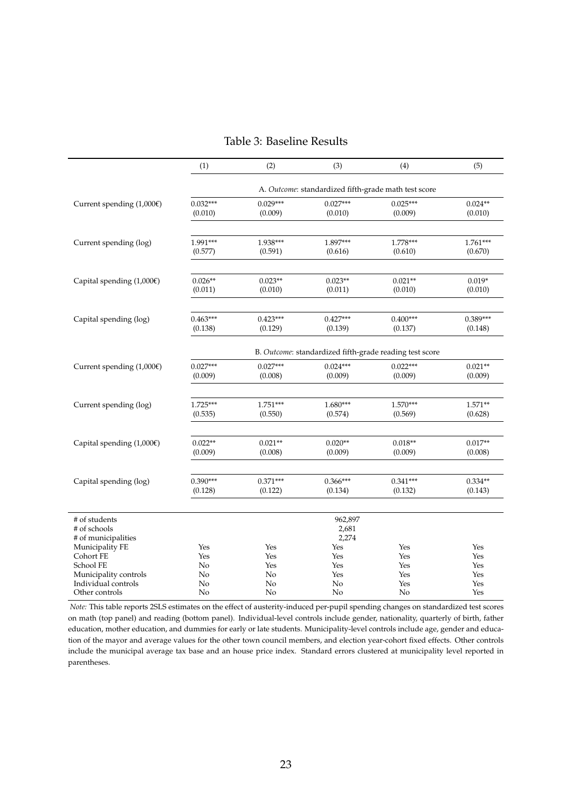<span id="page-23-0"></span>

|                                       | (1)                                                     | (2)        | (3)              | (4)        | (5)                 |  |  |  |
|---------------------------------------|---------------------------------------------------------|------------|------------------|------------|---------------------|--|--|--|
|                                       | A. Outcome: standardized fifth-grade math test score    |            |                  |            |                     |  |  |  |
| Current spending $(1,000)$            | $0.032***$                                              | $0.029***$ | $0.027***$       | $0.025***$ | $0.024**$           |  |  |  |
|                                       | (0.010)                                                 | (0.009)    | (0.010)          | (0.009)    | (0.010)             |  |  |  |
|                                       | 1.991***                                                | 1.938***   | 1.897***         | 1.778***   |                     |  |  |  |
| Current spending (log)                | (0.577)                                                 | (0.591)    | (0.616)          | (0.610)    | 1.761***<br>(0.670) |  |  |  |
|                                       |                                                         |            |                  |            |                     |  |  |  |
| Capital spending $(1,000)$            | $0.026**$                                               | $0.023**$  | $0.023**$        | $0.021**$  | $0.019*$            |  |  |  |
|                                       | (0.011)                                                 | (0.010)    | (0.011)          | (0.010)    | (0.010)             |  |  |  |
| Capital spending (log)                | $0.463***$                                              | $0.423***$ | $0.427***$       | $0.400***$ | $0.389***$          |  |  |  |
|                                       | (0.138)                                                 | (0.129)    | (0.139)          | (0.137)    | (0.148)             |  |  |  |
|                                       | B. Outcome: standardized fifth-grade reading test score |            |                  |            |                     |  |  |  |
| Current spending $(1,000\varepsilon)$ | $0.027***$                                              | $0.027***$ | $0.024***$       | $0.022***$ | $0.021**$           |  |  |  |
|                                       | (0.009)                                                 | (0.008)    | (0.009)          | (0.009)    | (0.009)             |  |  |  |
|                                       | $1.725***$                                              | $1.751***$ | $1.680***$       | $1.570***$ | $1.571**$           |  |  |  |
| Current spending (log)                | (0.535)                                                 | (0.550)    | (0.574)          | (0.569)    | (0.628)             |  |  |  |
|                                       |                                                         |            |                  |            |                     |  |  |  |
| Capital spending $(1,000)$            | $0.022**$                                               | $0.021**$  | $0.020**$        | $0.018**$  | $0.017**$           |  |  |  |
|                                       | (0.009)                                                 | (0.008)    | (0.009)          | (0.009)    | (0.008)             |  |  |  |
|                                       | $0.390***$                                              | $0.371***$ | $0.366***$       | $0.341***$ | $0.334**$           |  |  |  |
| Capital spending (log)                | (0.128)                                                 | (0.122)    | (0.134)          | (0.132)    | (0.143)             |  |  |  |
|                                       |                                                         |            |                  |            |                     |  |  |  |
| # of students                         |                                                         |            | 962,897<br>2,681 |            |                     |  |  |  |
| # of schools<br># of municipalities   |                                                         |            | 2,274            |            |                     |  |  |  |
| Municipality FE                       | Yes                                                     | Yes        | Yes              | Yes        | Yes                 |  |  |  |
| Cohort FE                             | Yes                                                     | Yes        | Yes              | Yes        | Yes                 |  |  |  |
| School FE                             | No                                                      | Yes        | Yes              | Yes        | Yes                 |  |  |  |
| Municipality controls                 | No                                                      | No         | Yes              | Yes        | Yes                 |  |  |  |
| Individual controls                   | No                                                      | No         | No               | Yes        | Yes                 |  |  |  |
| Other controls                        | No                                                      | No         | No               | No         | Yes                 |  |  |  |

#### Table 3: Baseline Results

*Note:* This table reports 2SLS estimates on the effect of austerity-induced per-pupil spending changes on standardized test scores on math (top panel) and reading (bottom panel). Individual-level controls include gender, nationality, quarterly of birth, father education, mother education, and dummies for early or late students. Municipality-level controls include age, gender and education of the mayor and average values for the other town council members, and election year-cohort fixed effects. Other controls include the municipal average tax base and an house price index. Standard errors clustered at municipality level reported in parentheses.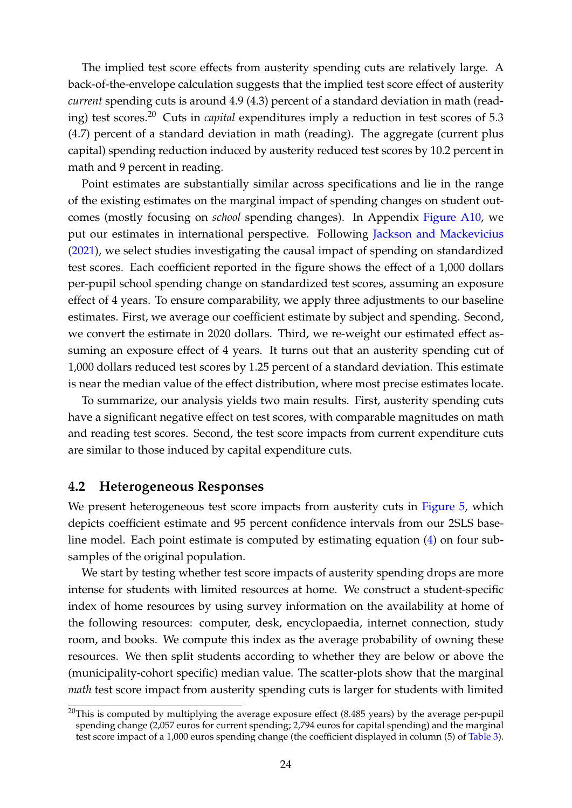The implied test score effects from austerity spending cuts are relatively large. A back-of-the-envelope calculation suggests that the implied test score effect of austerity *current* spending cuts is around 4.9 (4.3) percent of a standard deviation in math (reading) test scores.[20](#page-24-0) Cuts in *capital* expenditures imply a reduction in test scores of 5.3 (4.7) percent of a standard deviation in math (reading). The aggregate (current plus capital) spending reduction induced by austerity reduced test scores by 10.2 percent in math and 9 percent in reading.

Point estimates are substantially similar across specifications and lie in the range of the existing estimates on the marginal impact of spending changes on student outcomes (mostly focusing on *school* spending changes). In Appendix [Figure A10,](#page-54-0) we put our estimates in international perspective. Following [Jackson and Mackevicius](#page-43-5) [\(2021\)](#page-43-5), we select studies investigating the causal impact of spending on standardized test scores. Each coefficient reported in the figure shows the effect of a 1,000 dollars per-pupil school spending change on standardized test scores, assuming an exposure effect of 4 years. To ensure comparability, we apply three adjustments to our baseline estimates. First, we average our coefficient estimate by subject and spending. Second, we convert the estimate in 2020 dollars. Third, we re-weight our estimated effect assuming an exposure effect of 4 years. It turns out that an austerity spending cut of 1,000 dollars reduced test scores by 1.25 percent of a standard deviation. This estimate is near the median value of the effect distribution, where most precise estimates locate.

To summarize, our analysis yields two main results. First, austerity spending cuts have a significant negative effect on test scores, with comparable magnitudes on math and reading test scores. Second, the test score impacts from current expenditure cuts are similar to those induced by capital expenditure cuts.

## **4.2 Heterogeneous Responses**

We present heterogeneous test score impacts from austerity cuts in [Figure 5,](#page-25-0) which depicts coefficient estimate and 95 percent confidence intervals from our 2SLS baseline model. Each point estimate is computed by estimating equation [\(4\)](#page-16-3) on four subsamples of the original population.

We start by testing whether test score impacts of austerity spending drops are more intense for students with limited resources at home. We construct a student-specific index of home resources by using survey information on the availability at home of the following resources: computer, desk, encyclopaedia, internet connection, study room, and books. We compute this index as the average probability of owning these resources. We then split students according to whether they are below or above the (municipality-cohort specific) median value. The scatter-plots show that the marginal *math* test score impact from austerity spending cuts is larger for students with limited

<span id="page-24-0"></span> $20$ This is computed by multiplying the average exposure effect (8.485 years) by the average per-pupil spending change (2,057 euros for current spending; 2,794 euros for capital spending) and the marginal test score impact of a 1,000 euros spending change (the coefficient displayed in column (5) of [Table 3\)](#page-23-0).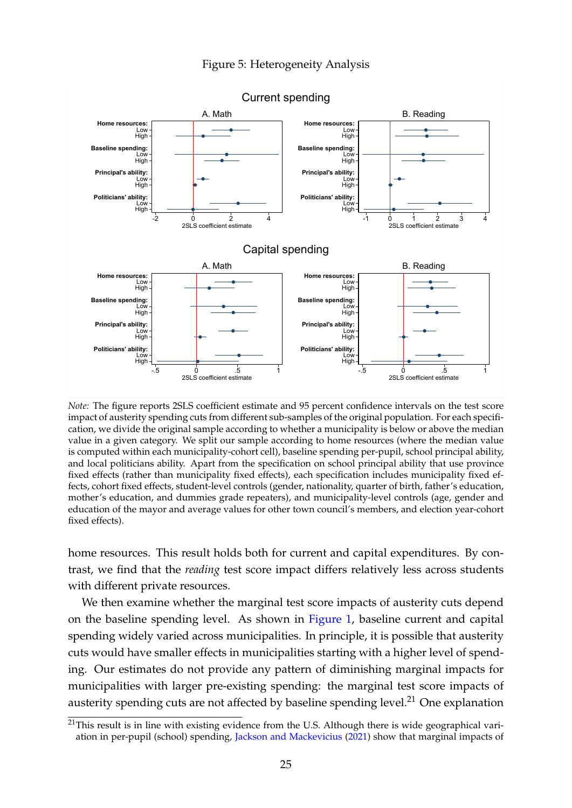#### Figure 5: Heterogeneity Analysis

<span id="page-25-0"></span>

Current spending

*Note:* The figure reports 2SLS coefficient estimate and 95 percent confidence intervals on the test score impact of austerity spending cuts from different sub-samples of the original population. For each specification, we divide the original sample according to whether a municipality is below or above the median value in a given category. We split our sample according to home resources (where the median value is computed within each municipality-cohort cell), baseline spending per-pupil, school principal ability, and local politicians ability. Apart from the specification on school principal ability that use province fixed effects (rather than municipality fixed effects), each specification includes municipality fixed effects, cohort fixed effects, student-level controls (gender, nationality, quarter of birth, father's education, mother's education, and dummies grade repeaters), and municipality-level controls (age, gender and education of the mayor and average values for other town council's members, and election year-cohort fixed effects).

home resources. This result holds both for current and capital expenditures. By contrast, we find that the *reading* test score impact differs relatively less across students with different private resources.

We then examine whether the marginal test score impacts of austerity cuts depend on the baseline spending level. As shown in [Figure 1,](#page-10-1) baseline current and capital spending widely varied across municipalities. In principle, it is possible that austerity cuts would have smaller effects in municipalities starting with a higher level of spending. Our estimates do not provide any pattern of diminishing marginal impacts for municipalities with larger pre-existing spending: the marginal test score impacts of austerity spending cuts are not affected by baseline spending level.<sup>[21](#page-25-1)</sup> One explanation

<span id="page-25-1"></span><sup>&</sup>lt;sup>21</sup>This result is in line with existing evidence from the U.S. Although there is wide geographical variation in per-pupil (school) spending, [Jackson and Mackevicius](#page-43-5) [\(2021\)](#page-43-5) show that marginal impacts of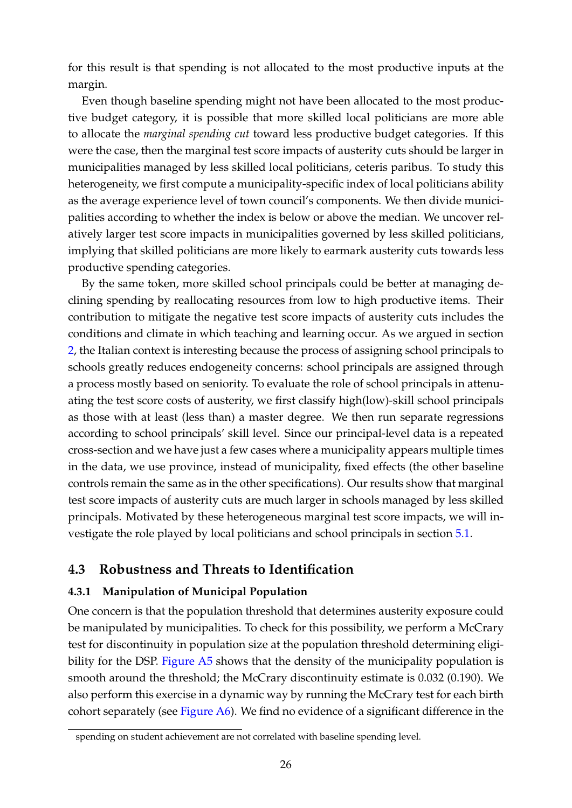for this result is that spending is not allocated to the most productive inputs at the margin.

Even though baseline spending might not have been allocated to the most productive budget category, it is possible that more skilled local politicians are more able to allocate the *marginal spending cut* toward less productive budget categories. If this were the case, then the marginal test score impacts of austerity cuts should be larger in municipalities managed by less skilled local politicians, ceteris paribus. To study this heterogeneity, we first compute a municipality-specific index of local politicians ability as the average experience level of town council's components. We then divide municipalities according to whether the index is below or above the median. We uncover relatively larger test score impacts in municipalities governed by less skilled politicians, implying that skilled politicians are more likely to earmark austerity cuts towards less productive spending categories.

By the same token, more skilled school principals could be better at managing declining spending by reallocating resources from low to high productive items. Their contribution to mitigate the negative test score impacts of austerity cuts includes the conditions and climate in which teaching and learning occur. As we argued in section [2,](#page-5-1) the Italian context is interesting because the process of assigning school principals to schools greatly reduces endogeneity concerns: school principals are assigned through a process mostly based on seniority. To evaluate the role of school principals in attenuating the test score costs of austerity, we first classify high(low)-skill school principals as those with at least (less than) a master degree. We then run separate regressions according to school principals' skill level. Since our principal-level data is a repeated cross-section and we have just a few cases where a municipality appears multiple times in the data, we use province, instead of municipality, fixed effects (the other baseline controls remain the same as in the other specifications). Our results show that marginal test score impacts of austerity cuts are much larger in schools managed by less skilled principals. Motivated by these heterogeneous marginal test score impacts, we will investigate the role played by local politicians and school principals in section [5.1.](#page-28-1)

## <span id="page-26-0"></span>**4.3 Robustness and Threats to Identification**

## **4.3.1 Manipulation of Municipal Population**

One concern is that the population threshold that determines austerity exposure could be manipulated by municipalities. To check for this possibility, we perform a McCrary test for discontinuity in population size at the population threshold determining eligi-bility for the DSP. [Figure A5](#page-49-0) shows that the density of the municipality population is smooth around the threshold; the McCrary discontinuity estimate is 0.032 (0.190). We also perform this exercise in a dynamic way by running the McCrary test for each birth cohort separately (see [Figure A6\)](#page-50-0). We find no evidence of a significant difference in the

spending on student achievement are not correlated with baseline spending level.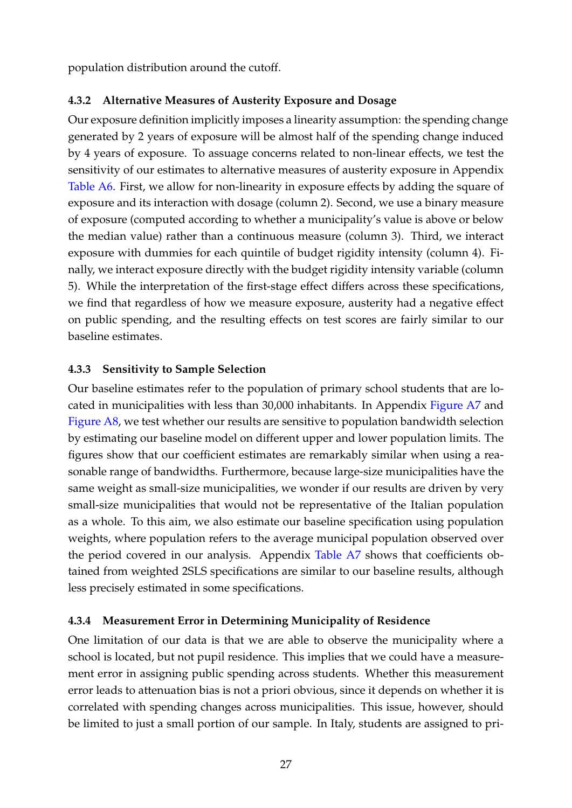population distribution around the cutoff.

## **4.3.2 Alternative Measures of Austerity Exposure and Dosage**

Our exposure definition implicitly imposes a linearity assumption: the spending change generated by 2 years of exposure will be almost half of the spending change induced by 4 years of exposure. To assuage concerns related to non-linear effects, we test the sensitivity of our estimates to alternative measures of austerity exposure in Appendix [Table A6.](#page-60-0) First, we allow for non-linearity in exposure effects by adding the square of exposure and its interaction with dosage (column 2). Second, we use a binary measure of exposure (computed according to whether a municipality's value is above or below the median value) rather than a continuous measure (column 3). Third, we interact exposure with dummies for each quintile of budget rigidity intensity (column 4). Finally, we interact exposure directly with the budget rigidity intensity variable (column 5). While the interpretation of the first-stage effect differs across these specifications, we find that regardless of how we measure exposure, austerity had a negative effect on public spending, and the resulting effects on test scores are fairly similar to our baseline estimates.

## **4.3.3 Sensitivity to Sample Selection**

Our baseline estimates refer to the population of primary school students that are located in municipalities with less than 30,000 inhabitants. In Appendix [Figure A7](#page-51-0) and [Figure A8,](#page-52-0) we test whether our results are sensitive to population bandwidth selection by estimating our baseline model on different upper and lower population limits. The figures show that our coefficient estimates are remarkably similar when using a reasonable range of bandwidths. Furthermore, because large-size municipalities have the same weight as small-size municipalities, we wonder if our results are driven by very small-size municipalities that would not be representative of the Italian population as a whole. To this aim, we also estimate our baseline specification using population weights, where population refers to the average municipal population observed over the period covered in our analysis. Appendix [Table A7](#page-61-0) shows that coefficients obtained from weighted 2SLS specifications are similar to our baseline results, although less precisely estimated in some specifications.

## **4.3.4 Measurement Error in Determining Municipality of Residence**

One limitation of our data is that we are able to observe the municipality where a school is located, but not pupil residence. This implies that we could have a measurement error in assigning public spending across students. Whether this measurement error leads to attenuation bias is not a priori obvious, since it depends on whether it is correlated with spending changes across municipalities. This issue, however, should be limited to just a small portion of our sample. In Italy, students are assigned to pri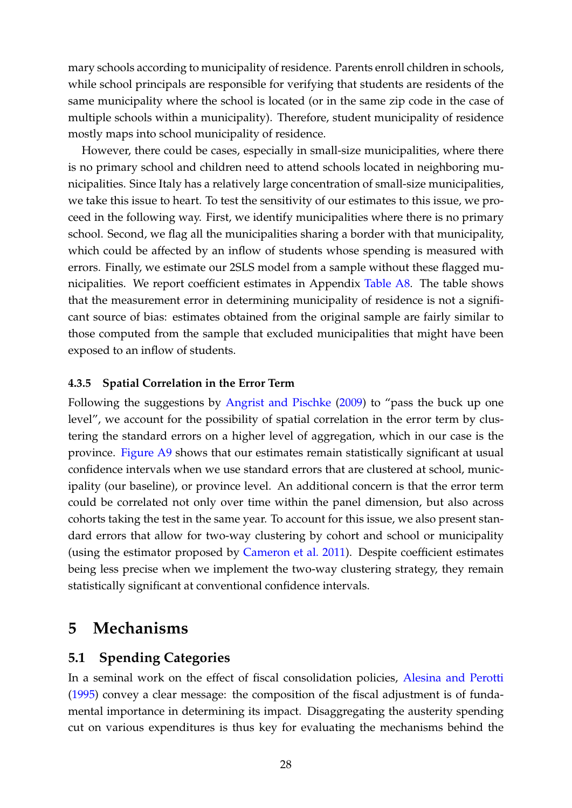mary schools according to municipality of residence. Parents enroll children in schools, while school principals are responsible for verifying that students are residents of the same municipality where the school is located (or in the same zip code in the case of multiple schools within a municipality). Therefore, student municipality of residence mostly maps into school municipality of residence.

However, there could be cases, especially in small-size municipalities, where there is no primary school and children need to attend schools located in neighboring municipalities. Since Italy has a relatively large concentration of small-size municipalities, we take this issue to heart. To test the sensitivity of our estimates to this issue, we proceed in the following way. First, we identify municipalities where there is no primary school. Second, we flag all the municipalities sharing a border with that municipality, which could be affected by an inflow of students whose spending is measured with errors. Finally, we estimate our 2SLS model from a sample without these flagged municipalities. We report coefficient estimates in Appendix [Table A8.](#page-62-0) The table shows that the measurement error in determining municipality of residence is not a significant source of bias: estimates obtained from the original sample are fairly similar to those computed from the sample that excluded municipalities that might have been exposed to an inflow of students.

## **4.3.5 Spatial Correlation in the Error Term**

Following the suggestions by [Angrist and Pischke](#page-40-13) [\(2009\)](#page-40-13) to "pass the buck up one level", we account for the possibility of spatial correlation in the error term by clustering the standard errors on a higher level of aggregation, which in our case is the province. [Figure A9](#page-53-0) shows that our estimates remain statistically significant at usual confidence intervals when we use standard errors that are clustered at school, municipality (our baseline), or province level. An additional concern is that the error term could be correlated not only over time within the panel dimension, but also across cohorts taking the test in the same year. To account for this issue, we also present standard errors that allow for two-way clustering by cohort and school or municipality (using the estimator proposed by [Cameron et al.](#page-41-11) [2011\)](#page-41-11). Despite coefficient estimates being less precise when we implement the two-way clustering strategy, they remain statistically significant at conventional confidence intervals.

# <span id="page-28-0"></span>**5 Mechanisms**

## <span id="page-28-1"></span>**5.1 Spending Categories**

In a seminal work on the effect of fiscal consolidation policies, [Alesina and Perotti](#page-39-0) [\(1995\)](#page-39-0) convey a clear message: the composition of the fiscal adjustment is of fundamental importance in determining its impact. Disaggregating the austerity spending cut on various expenditures is thus key for evaluating the mechanisms behind the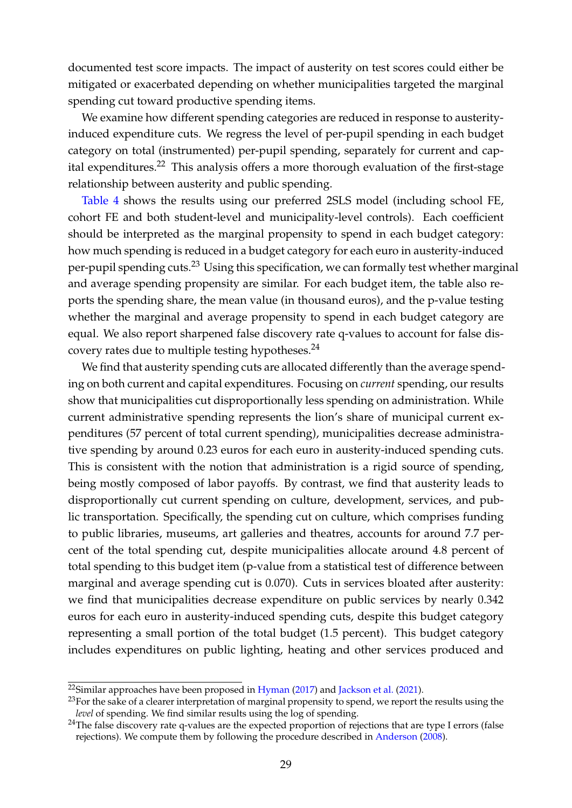documented test score impacts. The impact of austerity on test scores could either be mitigated or exacerbated depending on whether municipalities targeted the marginal spending cut toward productive spending items.

We examine how different spending categories are reduced in response to austerityinduced expenditure cuts. We regress the level of per-pupil spending in each budget category on total (instrumented) per-pupil spending, separately for current and cap-ital expenditures.<sup>[22](#page-29-0)</sup> This analysis offers a more thorough evaluation of the first-stage relationship between austerity and public spending.

[Table 4](#page-30-0) shows the results using our preferred 2SLS model (including school FE, cohort FE and both student-level and municipality-level controls). Each coefficient should be interpreted as the marginal propensity to spend in each budget category: how much spending is reduced in a budget category for each euro in austerity-induced per-pupil spending cuts.[23](#page-29-1) Using this specification, we can formally test whether marginal and average spending propensity are similar. For each budget item, the table also reports the spending share, the mean value (in thousand euros), and the p-value testing whether the marginal and average propensity to spend in each budget category are equal. We also report sharpened false discovery rate q-values to account for false dis-covery rates due to multiple testing hypotheses.<sup>[24](#page-29-2)</sup>

We find that austerity spending cuts are allocated differently than the average spending on both current and capital expenditures. Focusing on *current* spending, our results show that municipalities cut disproportionally less spending on administration. While current administrative spending represents the lion's share of municipal current expenditures (57 percent of total current spending), municipalities decrease administrative spending by around 0.23 euros for each euro in austerity-induced spending cuts. This is consistent with the notion that administration is a rigid source of spending, being mostly composed of labor payoffs. By contrast, we find that austerity leads to disproportionally cut current spending on culture, development, services, and public transportation. Specifically, the spending cut on culture, which comprises funding to public libraries, museums, art galleries and theatres, accounts for around 7.7 percent of the total spending cut, despite municipalities allocate around 4.8 percent of total spending to this budget item (p-value from a statistical test of difference between marginal and average spending cut is 0.070). Cuts in services bloated after austerity: we find that municipalities decrease expenditure on public services by nearly 0.342 euros for each euro in austerity-induced spending cuts, despite this budget category representing a small portion of the total budget (1.5 percent). This budget category includes expenditures on public lighting, heating and other services produced and

<span id="page-29-0"></span> $22$ Similar approaches have been proposed in [Hyman](#page-42-10) [\(2017\)](#page-42-10) and [Jackson et al.](#page-43-7) [\(2021\)](#page-43-7).

<span id="page-29-1"></span><sup>&</sup>lt;sup>23</sup>For the sake of a clearer interpretation of marginal propensity to spend, we report the results using the *level* of spending. We find similar results using the log of spending.

<span id="page-29-2"></span><sup>&</sup>lt;sup>24</sup>The false discovery rate q-values are the expected proportion of rejections that are type I errors (false rejections). We compute them by following the procedure described in [Anderson](#page-39-4) [\(2008\)](#page-39-4).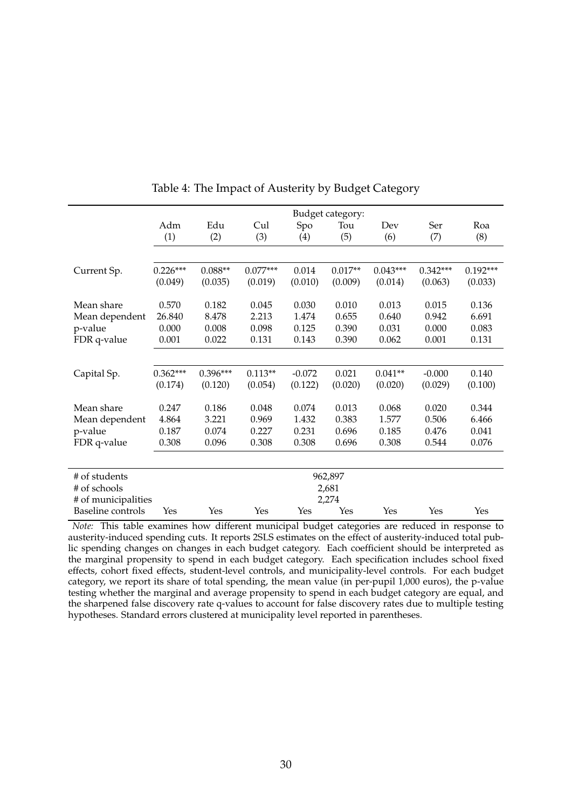<span id="page-30-0"></span>

|                          | Budget category: |            |            |          |           |            |            |            |
|--------------------------|------------------|------------|------------|----------|-----------|------------|------------|------------|
|                          | Adm              | Edu        | Cul        | Spo      | Tou       | Dev        | Ser        | Roa        |
|                          | (1)              | (2)        | (3)        | (4)      | (5)       | (6)        | (7)        | (8)        |
|                          |                  |            |            |          |           |            |            |            |
| Current Sp.              | $0.226***$       | $0.088**$  | $0.077***$ | 0.014    | $0.017**$ | $0.043***$ | $0.342***$ | $0.192***$ |
|                          | (0.049)          | (0.035)    | (0.019)    | (0.010)  | (0.009)   | (0.014)    | (0.063)    | (0.033)    |
|                          |                  |            |            |          |           |            |            |            |
| Mean share               | 0.570            | 0.182      | 0.045      | 0.030    | 0.010     | 0.013      | 0.015      | 0.136      |
| Mean dependent           | 26.840           | 8.478      | 2.213      | 1.474    | 0.655     | 0.640      | 0.942      | 6.691      |
| p-value                  | 0.000            | 0.008      | 0.098      | 0.125    | 0.390     | 0.031      | 0.000      | 0.083      |
| FDR q-value              | 0.001            | 0.022      | 0.131      | 0.143    | 0.390     | 0.062      | 0.001      | 0.131      |
|                          |                  |            |            |          |           |            |            |            |
| Capital Sp.              | $0.362***$       | $0.396***$ | $0.113**$  | $-0.072$ | 0.021     | $0.041**$  | $-0.000$   | 0.140      |
|                          | (0.174)          | (0.120)    | (0.054)    | (0.122)  | (0.020)   | (0.020)    | (0.029)    | (0.100)    |
|                          |                  |            |            |          |           |            |            |            |
| Mean share               | 0.247            | 0.186      | 0.048      | 0.074    | 0.013     | 0.068      | 0.020      | 0.344      |
| Mean dependent           | 4.864            | 3.221      | 0.969      | 1.432    | 0.383     | 1.577      | 0.506      | 6.466      |
| p-value                  | 0.187            | 0.074      | 0.227      | 0.231    | 0.696     | 0.185      | 0.476      | 0.041      |
| FDR q-value              | 0.308            | 0.096      | 0.308      | 0.308    | 0.696     | 0.308      | 0.544      | 0.076      |
|                          |                  |            |            |          |           |            |            |            |
| # of students            |                  |            |            |          | 962,897   |            |            |            |
| # of schools             |                  | 2,681      |            |          |           |            |            |            |
| # of municipalities      |                  | 2,274      |            |          |           |            |            |            |
| <b>Baseline</b> controls | Yes              | Yes        | Yes        | Yes      | Yes       | Yes        | Yes        | Yes        |

Table 4: The Impact of Austerity by Budget Category

*Note:* This table examines how different municipal budget categories are reduced in response to austerity-induced spending cuts. It reports 2SLS estimates on the effect of austerity-induced total public spending changes on changes in each budget category. Each coefficient should be interpreted as the marginal propensity to spend in each budget category. Each specification includes school fixed effects, cohort fixed effects, student-level controls, and municipality-level controls. For each budget category, we report its share of total spending, the mean value (in per-pupil 1,000 euros), the p-value testing whether the marginal and average propensity to spend in each budget category are equal, and the sharpened false discovery rate q-values to account for false discovery rates due to multiple testing hypotheses. Standard errors clustered at municipality level reported in parentheses.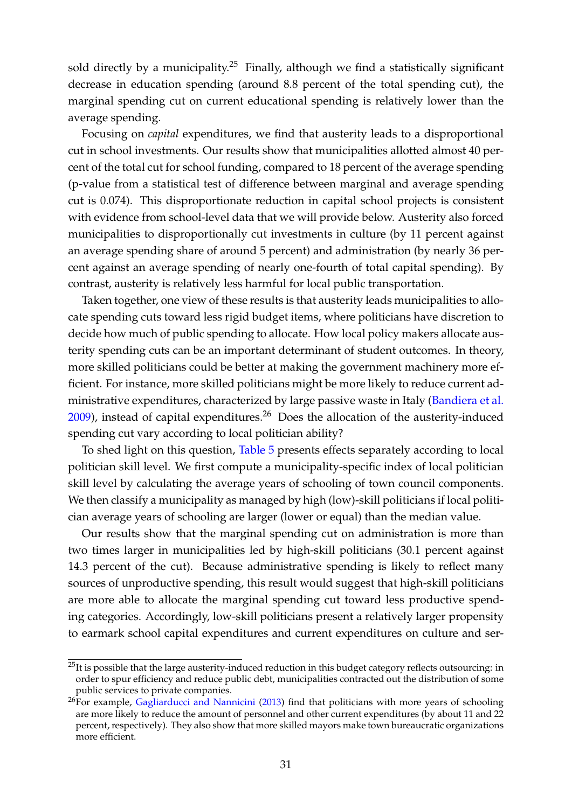sold directly by a municipality.<sup>[25](#page-31-0)</sup> Finally, although we find a statistically significant decrease in education spending (around 8.8 percent of the total spending cut), the marginal spending cut on current educational spending is relatively lower than the average spending.

Focusing on *capital* expenditures, we find that austerity leads to a disproportional cut in school investments. Our results show that municipalities allotted almost 40 percent of the total cut for school funding, compared to 18 percent of the average spending (p-value from a statistical test of difference between marginal and average spending cut is 0.074). This disproportionate reduction in capital school projects is consistent with evidence from school-level data that we will provide below. Austerity also forced municipalities to disproportionally cut investments in culture (by 11 percent against an average spending share of around 5 percent) and administration (by nearly 36 percent against an average spending of nearly one-fourth of total capital spending). By contrast, austerity is relatively less harmful for local public transportation.

Taken together, one view of these results is that austerity leads municipalities to allocate spending cuts toward less rigid budget items, where politicians have discretion to decide how much of public spending to allocate. How local policy makers allocate austerity spending cuts can be an important determinant of student outcomes. In theory, more skilled politicians could be better at making the government machinery more efficient. For instance, more skilled politicians might be more likely to reduce current administrative expenditures, characterized by large passive waste in Italy [\(Bandiera et al.](#page-40-1)  $2009$ ), instead of capital expenditures.<sup>[26](#page-31-1)</sup> Does the allocation of the austerity-induced spending cut vary according to local politician ability?

To shed light on this question, [Table 5](#page-32-0) presents effects separately according to local politician skill level. We first compute a municipality-specific index of local politician skill level by calculating the average years of schooling of town council components. We then classify a municipality as managed by high (low)-skill politicians if local politician average years of schooling are larger (lower or equal) than the median value.

Our results show that the marginal spending cut on administration is more than two times larger in municipalities led by high-skill politicians (30.1 percent against 14.3 percent of the cut). Because administrative spending is likely to reflect many sources of unproductive spending, this result would suggest that high-skill politicians are more able to allocate the marginal spending cut toward less productive spending categories. Accordingly, low-skill politicians present a relatively larger propensity to earmark school capital expenditures and current expenditures on culture and ser-

<span id="page-31-0"></span> $^{25}$ It is possible that the large austerity-induced reduction in this budget category reflects outsourcing: in order to spur efficiency and reduce public debt, municipalities contracted out the distribution of some public services to private companies.

<span id="page-31-1"></span> ${}^{26}$ For example, [Gagliarducci and Nannicini](#page-42-12) [\(2013\)](#page-42-12) find that politicians with more years of schooling are more likely to reduce the amount of personnel and other current expenditures (by about 11 and 22 percent, respectively). They also show that more skilled mayors make town bureaucratic organizations more efficient.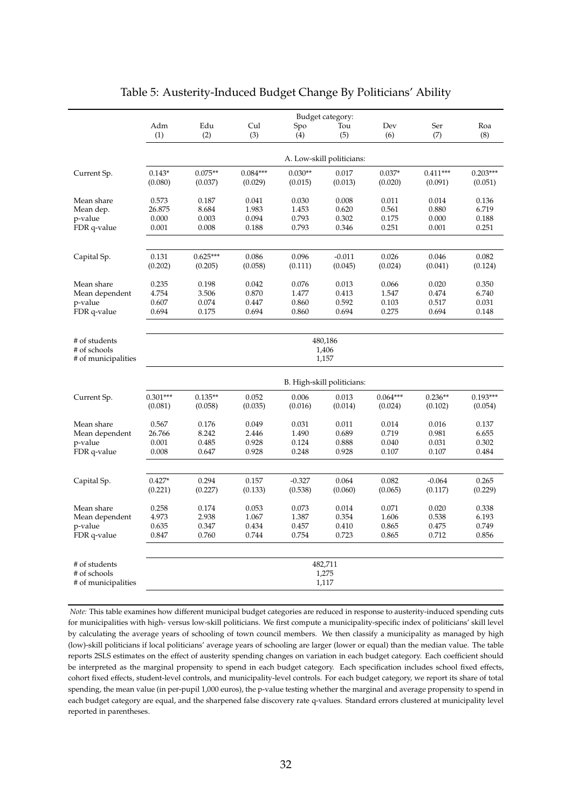<span id="page-32-0"></span>

|                                                      | Budget category:           |            |            |           |          |            |            |            |
|------------------------------------------------------|----------------------------|------------|------------|-----------|----------|------------|------------|------------|
|                                                      | Adm                        | Edu        | Cul        | Spo       | Tou      | Dev        | Ser        | Roa        |
|                                                      | (1)                        | (2)        | (3)        | (4)       | (5)      | (6)        | (7)        | (8)        |
|                                                      | A. Low-skill politicians:  |            |            |           |          |            |            |            |
| Current Sp.                                          | $0.143*$                   | $0.075**$  | $0.084***$ | $0.030**$ | 0.017    | $0.037*$   | $0.411***$ | $0.203***$ |
|                                                      | (0.080)                    | (0.037)    | (0.029)    | (0.015)   | (0.013)  | (0.020)    | (0.091)    | (0.051)    |
| Mean share                                           | 0.573                      | 0.187      | 0.041      | 0.030     | 0.008    | 0.011      | 0.014      | 0.136      |
| Mean dep.                                            | 26.875                     | 8.684      | 1.983      | 1.453     | 0.620    | 0.561      | 0.880      | 6.719      |
| p-value                                              | 0.000                      | 0.003      | 0.094      | 0.793     | 0.302    | 0.175      | 0.000      | 0.188      |
| FDR q-value                                          | 0.001                      | 0.008      | 0.188      | 0.793     | 0.346    | 0.251      | 0.001      | 0.251      |
| Capital Sp.                                          | 0.131                      | $0.625***$ | 0.086      | 0.096     | $-0.011$ | 0.026      | 0.046      | 0.082      |
|                                                      | (0.202)                    | (0.205)    | (0.058)    | (0.111)   | (0.045)  | (0.024)    | (0.041)    | (0.124)    |
| Mean share                                           | 0.235                      | 0.198      | 0.042      | 0.076     | 0.013    | 0.066      | 0.020      | 0.350      |
| Mean dependent                                       | 4.754                      | 3.506      | 0.870      | 1.477     | 0.413    | 1.547      | 0.474      | 6.740      |
| p-value                                              | 0.607                      | 0.074      | 0.447      | 0.860     | 0.592    | 0.103      | 0.517      | 0.031      |
| FDR q-value                                          | 0.694                      | 0.175      | 0.694      | 0.860     | 0.694    | 0.275      | 0.694      | 0.148      |
| # of students<br># of schools<br># of municipalities | 480,186<br>1,406<br>1,157  |            |            |           |          |            |            |            |
|                                                      | B. High-skill politicians: |            |            |           |          |            |            |            |
| Current Sp.                                          | $0.301***$                 | $0.135**$  | 0.052      | 0.006     | 0.013    | $0.064***$ | $0.236**$  | $0.193***$ |
|                                                      | (0.081)                    | (0.058)    | (0.035)    | (0.016)   | (0.014)  | (0.024)    | (0.102)    | (0.054)    |
| Mean share                                           | 0.567                      | 0.176      | 0.049      | 0.031     | 0.011    | 0.014      | 0.016      | 0.137      |
| Mean dependent                                       | 26.766                     | 8.242      | 2.446      | 1.490     | 0.689    | 0.719      | 0.981      | 6.655      |
| p-value                                              | 0.001                      | 0.485      | 0.928      | 0.124     | 0.888    | 0.040      | 0.031      | 0.302      |
| FDR q-value                                          | 0.008                      | 0.647      | 0.928      | 0.248     | 0.928    | 0.107      | 0.107      | 0.484      |
| Capital Sp.                                          | $0.427*$                   | 0.294      | 0.157      | $-0.327$  | 0.064    | 0.082      | $-0.064$   | 0.265      |
|                                                      | (0.221)                    | (0.227)    | (0.133)    | (0.538)   | (0.060)  | (0.065)    | (0.117)    | (0.229)    |
| Mean share                                           | 0.258                      | 0.174      | 0.053      | 0.073     | 0.014    | 0.071      | 0.020      | 0.338      |
| Mean dependent                                       | 4.973                      | 2.938      | 1.067      | 1.387     | 0.354    | 1.606      | 0.538      | 6.193      |
| p-value                                              | 0.635                      | 0.347      | 0.434      | 0.457     | 0.410    | 0.865      | 0.475      | 0.749      |
| FDR q-value                                          | 0.847                      | 0.760      | 0.744      | 0.754     | 0.723    | 0.865      | 0.712      | 0.856      |
| # of students                                        | 482,711                    |            |            |           |          |            |            |            |
| # of schools                                         | 1,275                      |            |            |           |          |            |            |            |
| # of municipalities                                  | 1,117                      |            |            |           |          |            |            |            |

## Table 5: Austerity-Induced Budget Change By Politicians' Ability

*Note:* This table examines how different municipal budget categories are reduced in response to austerity-induced spending cuts for municipalities with high- versus low-skill politicians. We first compute a municipality-specific index of politicians' skill level by calculating the average years of schooling of town council members. We then classify a municipality as managed by high (low)-skill politicians if local politicians' average years of schooling are larger (lower or equal) than the median value. The table reports 2SLS estimates on the effect of austerity spending changes on variation in each budget category. Each coefficient should be interpreted as the marginal propensity to spend in each budget category. Each specification includes school fixed effects, cohort fixed effects, student-level controls, and municipality-level controls. For each budget category, we report its share of total spending, the mean value (in per-pupil 1,000 euros), the p-value testing whether the marginal and average propensity to spend in each budget category are equal, and the sharpened false discovery rate q-values. Standard errors clustered at municipality level reported in parentheses.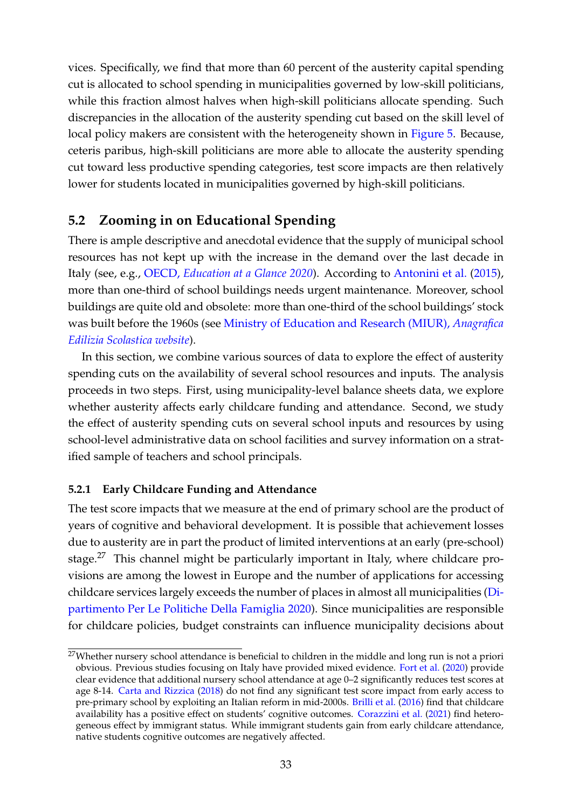vices. Specifically, we find that more than 60 percent of the austerity capital spending cut is allocated to school spending in municipalities governed by low-skill politicians, while this fraction almost halves when high-skill politicians allocate spending. Such discrepancies in the allocation of the austerity spending cut based on the skill level of local policy makers are consistent with the heterogeneity shown in [Figure 5.](#page-25-0) Because, ceteris paribus, high-skill politicians are more able to allocate the austerity spending cut toward less productive spending categories, test score impacts are then relatively lower for students located in municipalities governed by high-skill politicians.

## **5.2 Zooming in on Educational Spending**

There is ample descriptive and anecdotal evidence that the supply of municipal school resources has not kept up with the increase in the demand over the last decade in Italy (see, e.g., OECD, *[Education at a Glance 2020](https://read.oecd-ilibrary.org/education/education-at-a-glance-2020_69096873-en#page12)*). According to [Antonini et al.](#page-40-14) [\(2015\)](#page-40-14), more than one-third of school buildings needs urgent maintenance. Moreover, school buildings are quite old and obsolete: more than one-third of the school buildings' stock was built before the 1960s (see [Ministry of Education and Research \(MIUR\),](https://www.istruzione.it/edilizia_scolastica/index.shtml) *Anagrafica [Edilizia Scolastica website](https://www.istruzione.it/edilizia_scolastica/index.shtml)*).

In this section, we combine various sources of data to explore the effect of austerity spending cuts on the availability of several school resources and inputs. The analysis proceeds in two steps. First, using municipality-level balance sheets data, we explore whether austerity affects early childcare funding and attendance. Second, we study the effect of austerity spending cuts on several school inputs and resources by using school-level administrative data on school facilities and survey information on a stratified sample of teachers and school principals.

## **5.2.1 Early Childcare Funding and Attendance**

The test score impacts that we measure at the end of primary school are the product of years of cognitive and behavioral development. It is possible that achievement losses due to austerity are in part the product of limited interventions at an early (pre-school) stage.<sup>[27](#page-33-0)</sup> This channel might be particularly important in Italy, where childcare provisions are among the lowest in Europe and the number of applications for accessing childcare services largely exceeds the number of places in almost all municipalities [\(Di](#page-41-7)[partimento Per Le Politiche Della Famiglia](#page-41-7) [2020\)](#page-41-7). Since municipalities are responsible for childcare policies, budget constraints can influence municipality decisions about

<span id="page-33-0"></span><sup>&</sup>lt;sup>27</sup>Whether nursery school attendance is beneficial to children in the middle and long run is not a priori obvious. Previous studies focusing on Italy have provided mixed evidence. [Fort et al.](#page-42-13) [\(2020\)](#page-42-13) provide clear evidence that additional nursery school attendance at age 0–2 significantly reduces test scores at age 8-14. [Carta and Rizzica](#page-41-12) [\(2018\)](#page-41-12) do not find any significant test score impact from early access to pre-primary school by exploiting an Italian reform in mid-2000s. [Brilli et al.](#page-41-13) [\(2016\)](#page-41-13) find that childcare availability has a positive effect on students' cognitive outcomes. [Corazzini et al.](#page-41-14) [\(2021\)](#page-41-14) find heterogeneous effect by immigrant status. While immigrant students gain from early childcare attendance, native students cognitive outcomes are negatively affected.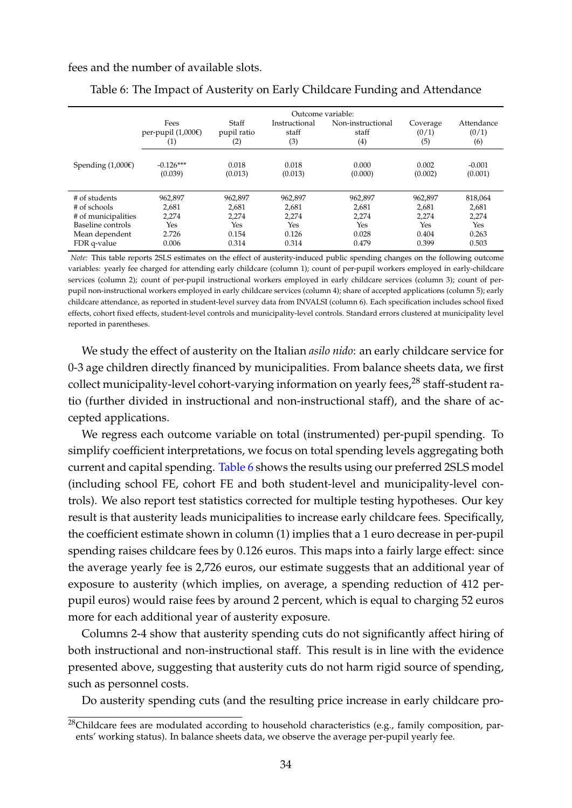<span id="page-34-1"></span>fees and the number of available slots.

|                     | Outcome variable:                 |                             |                               |                                   |                          |                            |  |  |
|---------------------|-----------------------------------|-----------------------------|-------------------------------|-----------------------------------|--------------------------|----------------------------|--|--|
|                     | Fees<br>per-pupil (1,000€)<br>(1) | Staff<br>pupil ratio<br>(2) | Instructional<br>staff<br>(3) | Non-instructional<br>staff<br>(4) | Coverage<br>(0/1)<br>(5) | Attendance<br>(0/1)<br>(6) |  |  |
| Spending $(1,000)$  | $-0.126***$<br>(0.039)            | 0.018<br>(0.013)            | 0.018<br>(0.013)              | 0.000<br>(0.000)                  | 0.002<br>(0.002)         | $-0.001$<br>(0.001)        |  |  |
| # of students       | 962,897                           | 962,897                     | 962,897                       | 962,897                           | 962,897                  | 818,064                    |  |  |
| # of schools        | 2,681                             | 2,681                       | 2,681                         | 2,681                             | 2,681                    | 2,681                      |  |  |
| # of municipalities | 2,274                             | 2,274                       | 2,274                         | 2,274                             | 2,274                    | 2,274                      |  |  |
| Baseline controls   | Yes                               | Yes                         | Yes                           | Yes                               | Yes                      | Yes                        |  |  |
| Mean dependent      | 2.726                             | 0.154                       | 0.126                         | 0.028                             | 0.404                    | 0.263                      |  |  |
| FDR q-value         | 0.006                             | 0.314                       | 0.314                         | 0.479                             | 0.399                    | 0.503                      |  |  |

Table 6: The Impact of Austerity on Early Childcare Funding and Attendance

*Note:* This table reports 2SLS estimates on the effect of austerity-induced public spending changes on the following outcome variables: yearly fee charged for attending early childcare (column 1); count of per-pupil workers employed in early-childcare services (column 2); count of per-pupil instructional workers employed in early childcare services (column 3); count of perpupil non-instructional workers employed in early childcare services (column 4); share of accepted applications (column 5); early childcare attendance, as reported in student-level survey data from INVALSI (column 6). Each specification includes school fixed effects, cohort fixed effects, student-level controls and municipality-level controls. Standard errors clustered at municipality level reported in parentheses.

We study the effect of austerity on the Italian *asilo nido*: an early childcare service for 0-3 age children directly financed by municipalities. From balance sheets data, we first collect municipality-level cohort-varying information on yearly fees,<sup>[28](#page-34-0)</sup> staff-student ratio (further divided in instructional and non-instructional staff), and the share of accepted applications.

We regress each outcome variable on total (instrumented) per-pupil spending. To simplify coefficient interpretations, we focus on total spending levels aggregating both current and capital spending. [Table 6](#page-34-1) shows the results using our preferred 2SLS model (including school FE, cohort FE and both student-level and municipality-level controls). We also report test statistics corrected for multiple testing hypotheses. Our key result is that austerity leads municipalities to increase early childcare fees. Specifically, the coefficient estimate shown in column (1) implies that a 1 euro decrease in per-pupil spending raises childcare fees by 0.126 euros. This maps into a fairly large effect: since the average yearly fee is 2,726 euros, our estimate suggests that an additional year of exposure to austerity (which implies, on average, a spending reduction of 412 perpupil euros) would raise fees by around 2 percent, which is equal to charging 52 euros more for each additional year of austerity exposure.

Columns 2-4 show that austerity spending cuts do not significantly affect hiring of both instructional and non-instructional staff. This result is in line with the evidence presented above, suggesting that austerity cuts do not harm rigid source of spending, such as personnel costs.

Do austerity spending cuts (and the resulting price increase in early childcare pro-

<span id="page-34-0"></span><sup>&</sup>lt;sup>28</sup>Childcare fees are modulated according to household characteristics (e.g., family composition, parents' working status). In balance sheets data, we observe the average per-pupil yearly fee.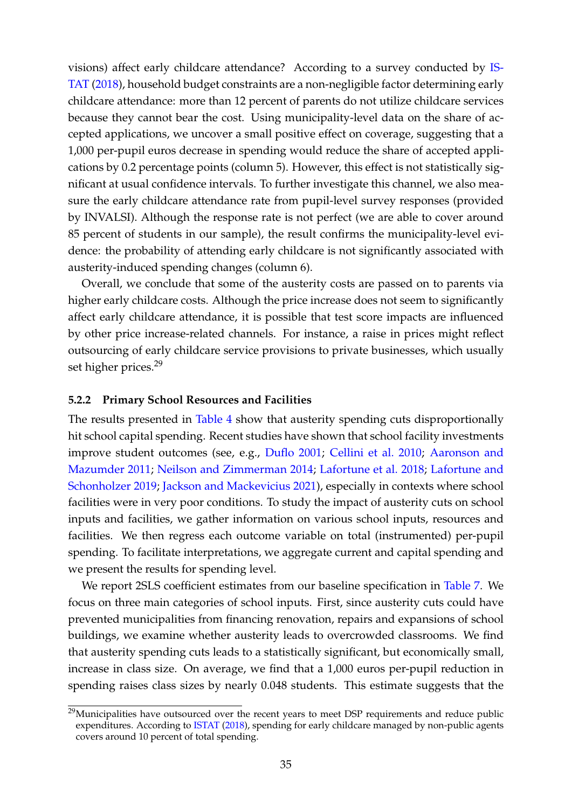visions) affect early childcare attendance? According to a survey conducted by [IS-](#page-43-15)[TAT](#page-43-15) [\(2018\)](#page-43-15), household budget constraints are a non-negligible factor determining early childcare attendance: more than 12 percent of parents do not utilize childcare services because they cannot bear the cost. Using municipality-level data on the share of accepted applications, we uncover a small positive effect on coverage, suggesting that a 1,000 per-pupil euros decrease in spending would reduce the share of accepted applications by 0.2 percentage points (column 5). However, this effect is not statistically significant at usual confidence intervals. To further investigate this channel, we also measure the early childcare attendance rate from pupil-level survey responses (provided by INVALSI). Although the response rate is not perfect (we are able to cover around 85 percent of students in our sample), the result confirms the municipality-level evidence: the probability of attending early childcare is not significantly associated with austerity-induced spending changes (column 6).

Overall, we conclude that some of the austerity costs are passed on to parents via higher early childcare costs. Although the price increase does not seem to significantly affect early childcare attendance, it is possible that test score impacts are influenced by other price increase-related channels. For instance, a raise in prices might reflect outsourcing of early childcare service provisions to private businesses, which usually set higher prices.<sup>[29](#page-35-0)</sup>

#### **5.2.2 Primary School Resources and Facilities**

The results presented in [Table 4](#page-30-0) show that austerity spending cuts disproportionally hit school capital spending. Recent studies have shown that school facility investments improve student outcomes (see, e.g., [Duflo](#page-42-14) [2001;](#page-42-14) [Cellini et al.](#page-41-9) [2010;](#page-41-9) [Aaronson and](#page-39-5) [Mazumder](#page-39-5) [2011;](#page-39-5) [Neilson and Zimmerman](#page-44-11) [2014;](#page-44-11) [Lafortune et al.](#page-43-12) [2018;](#page-43-12) [Lafortune and](#page-43-13) [Schonholzer](#page-43-13) [2019;](#page-43-13) [Jackson and Mackevicius](#page-43-5) [2021\)](#page-43-5), especially in contexts where school facilities were in very poor conditions. To study the impact of austerity cuts on school inputs and facilities, we gather information on various school inputs, resources and facilities. We then regress each outcome variable on total (instrumented) per-pupil spending. To facilitate interpretations, we aggregate current and capital spending and we present the results for spending level.

We report 2SLS coefficient estimates from our baseline specification in [Table 7.](#page-36-0) We focus on three main categories of school inputs. First, since austerity cuts could have prevented municipalities from financing renovation, repairs and expansions of school buildings, we examine whether austerity leads to overcrowded classrooms. We find that austerity spending cuts leads to a statistically significant, but economically small, increase in class size. On average, we find that a 1,000 euros per-pupil reduction in spending raises class sizes by nearly 0.048 students. This estimate suggests that the

<span id="page-35-0"></span><sup>&</sup>lt;sup>29</sup>Municipalities have outsourced over the recent years to meet DSP requirements and reduce public expenditures. According to [ISTAT](#page-43-15) [\(2018\)](#page-43-15), spending for early childcare managed by non-public agents covers around 10 percent of total spending.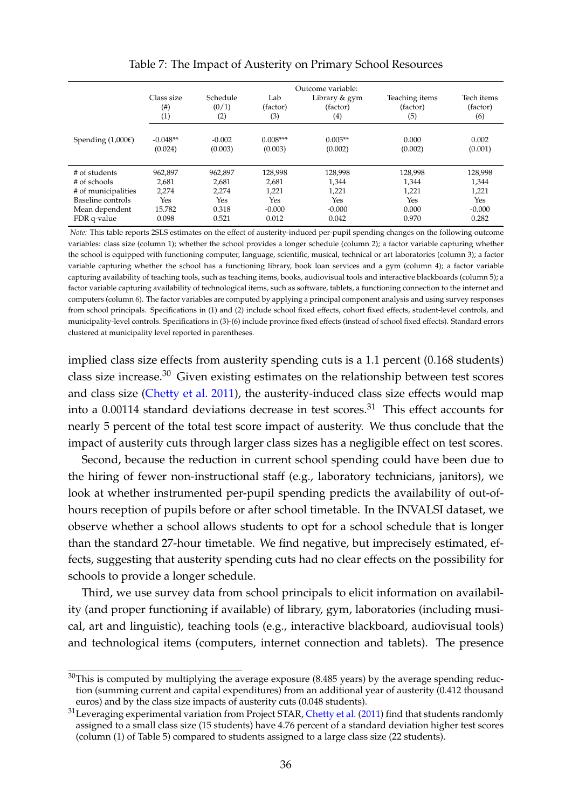<span id="page-36-2"></span>

|                               | Class size<br>$(\#)$<br>(1) | Schedule<br>(0/1)<br>(2) | Lab<br>(factor)<br>(3) | Outcome variable:<br>Library & gym<br>(factor)<br>$\left( 4\right)$ | Teaching items<br>(factor)<br>(5) | Tech items<br>(factor)<br>(6) |
|-------------------------------|-----------------------------|--------------------------|------------------------|---------------------------------------------------------------------|-----------------------------------|-------------------------------|
| Spending $(1,000\varepsilon)$ | $-0.048**$<br>(0.024)       | $-0.002$<br>(0.003)      | $0.008***$<br>(0.003)  | $0.005**$<br>(0.002)                                                | 0.000<br>(0.002)                  | 0.002<br>(0.001)              |
| # of students                 | 962,897                     | 962,897                  | 128,998                | 128,998                                                             | 128,998                           | 128,998                       |
| # of schools                  | 2.681                       | 2,681                    | 2,681                  | 1.344                                                               | 1,344                             | 1,344                         |
| # of municipalities           | 2,274                       | 2,274                    | 1,221                  | 1,221                                                               | 1,221                             | 1,221                         |
| Baseline controls             | Yes                         | Yes                      | Yes                    | Yes                                                                 | Yes                               | Yes                           |
| Mean dependent                | 15.782                      | 0.318                    | $-0.000$               | $-0.000$                                                            | 0.000                             | $-0.000$                      |
| FDR q-value                   | 0.098                       | 0.521                    | 0.012                  | 0.042                                                               | 0.970                             | 0.282                         |

#### Table 7: The Impact of Austerity on Primary School Resources

*Note:* This table reports 2SLS estimates on the effect of austerity-induced per-pupil spending changes on the following outcome variables: class size (column 1); whether the school provides a longer schedule (column 2); a factor variable capturing whether the school is equipped with functioning computer, language, scientific, musical, technical or art laboratories (column 3); a factor variable capturing whether the school has a functioning library, book loan services and a gym (column 4); a factor variable capturing availability of teaching tools, such as teaching items, books, audiovisual tools and interactive blackboards (column 5); a factor variable capturing availability of technological items, such as software, tablets, a functioning connection to the internet and computers (column 6). The factor variables are computed by applying a principal component analysis and using survey responses from school principals. Specifications in (1) and (2) include school fixed effects, cohort fixed effects, student-level controls, and municipality-level controls. Specifications in (3)-(6) include province fixed effects (instead of school fixed effects). Standard errors clustered at municipality level reported in parentheses.

implied class size effects from austerity spending cuts is a 1.1 percent (0.168 students) class size increase.[30](#page-36-0) Given existing estimates on the relationship between test scores and class size [\(Chetty et al.](#page-41-0) [2011\)](#page-41-0), the austerity-induced class size effects would map into a  $0.00114$  standard deviations decrease in test scores.<sup>[31](#page-36-1)</sup> This effect accounts for nearly 5 percent of the total test score impact of austerity. We thus conclude that the impact of austerity cuts through larger class sizes has a negligible effect on test scores.

Second, because the reduction in current school spending could have been due to the hiring of fewer non-instructional staff (e.g., laboratory technicians, janitors), we look at whether instrumented per-pupil spending predicts the availability of out-ofhours reception of pupils before or after school timetable. In the INVALSI dataset, we observe whether a school allows students to opt for a school schedule that is longer than the standard 27-hour timetable. We find negative, but imprecisely estimated, effects, suggesting that austerity spending cuts had no clear effects on the possibility for schools to provide a longer schedule.

Third, we use survey data from school principals to elicit information on availability (and proper functioning if available) of library, gym, laboratories (including musical, art and linguistic), teaching tools (e.g., interactive blackboard, audiovisual tools) and technological items (computers, internet connection and tablets). The presence

<span id="page-36-0"></span> $30$ This is computed by multiplying the average exposure (8.485 years) by the average spending reduction (summing current and capital expenditures) from an additional year of austerity (0.412 thousand euros) and by the class size impacts of austerity cuts (0.048 students).

<span id="page-36-1"></span><sup>&</sup>lt;sup>31</sup> Leveraging experimental variation from Project STAR, [Chetty et al.](#page-41-0) [\(2011\)](#page-41-0) find that students randomly assigned to a small class size (15 students) have 4.76 percent of a standard deviation higher test scores (column (1) of Table 5) compared to students assigned to a large class size (22 students).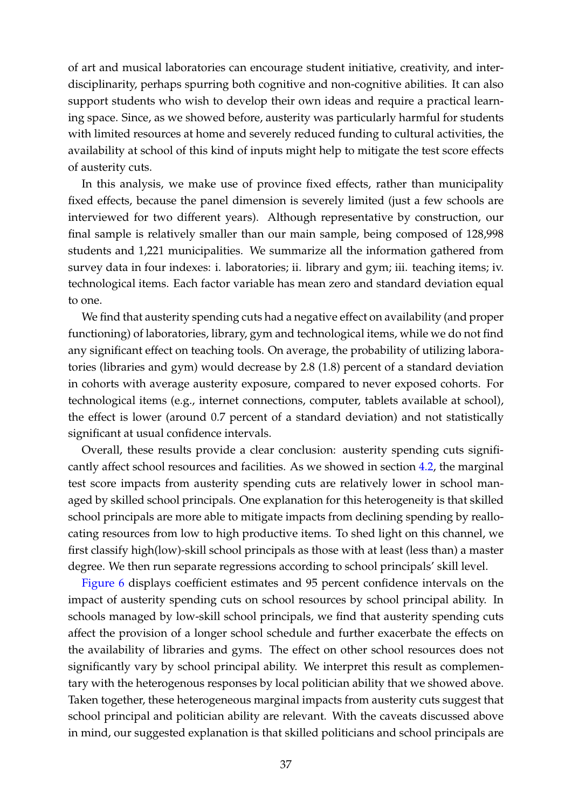of art and musical laboratories can encourage student initiative, creativity, and interdisciplinarity, perhaps spurring both cognitive and non-cognitive abilities. It can also support students who wish to develop their own ideas and require a practical learning space. Since, as we showed before, austerity was particularly harmful for students with limited resources at home and severely reduced funding to cultural activities, the availability at school of this kind of inputs might help to mitigate the test score effects of austerity cuts.

In this analysis, we make use of province fixed effects, rather than municipality fixed effects, because the panel dimension is severely limited (just a few schools are interviewed for two different years). Although representative by construction, our final sample is relatively smaller than our main sample, being composed of 128,998 students and 1,221 municipalities. We summarize all the information gathered from survey data in four indexes: i. laboratories; ii. library and gym; iii. teaching items; iv. technological items. Each factor variable has mean zero and standard deviation equal to one.

We find that austerity spending cuts had a negative effect on availability (and proper functioning) of laboratories, library, gym and technological items, while we do not find any significant effect on teaching tools. On average, the probability of utilizing laboratories (libraries and gym) would decrease by 2.8 (1.8) percent of a standard deviation in cohorts with average austerity exposure, compared to never exposed cohorts. For technological items (e.g., internet connections, computer, tablets available at school), the effect is lower (around 0.7 percent of a standard deviation) and not statistically significant at usual confidence intervals.

Overall, these results provide a clear conclusion: austerity spending cuts significantly affect school resources and facilities. As we showed in section [4.2,](#page-24-0) the marginal test score impacts from austerity spending cuts are relatively lower in school managed by skilled school principals. One explanation for this heterogeneity is that skilled school principals are more able to mitigate impacts from declining spending by reallocating resources from low to high productive items. To shed light on this channel, we first classify high(low)-skill school principals as those with at least (less than) a master degree. We then run separate regressions according to school principals' skill level.

[Figure 6](#page-38-0) displays coefficient estimates and 95 percent confidence intervals on the impact of austerity spending cuts on school resources by school principal ability. In schools managed by low-skill school principals, we find that austerity spending cuts affect the provision of a longer school schedule and further exacerbate the effects on the availability of libraries and gyms. The effect on other school resources does not significantly vary by school principal ability. We interpret this result as complementary with the heterogenous responses by local politician ability that we showed above. Taken together, these heterogeneous marginal impacts from austerity cuts suggest that school principal and politician ability are relevant. With the caveats discussed above in mind, our suggested explanation is that skilled politicians and school principals are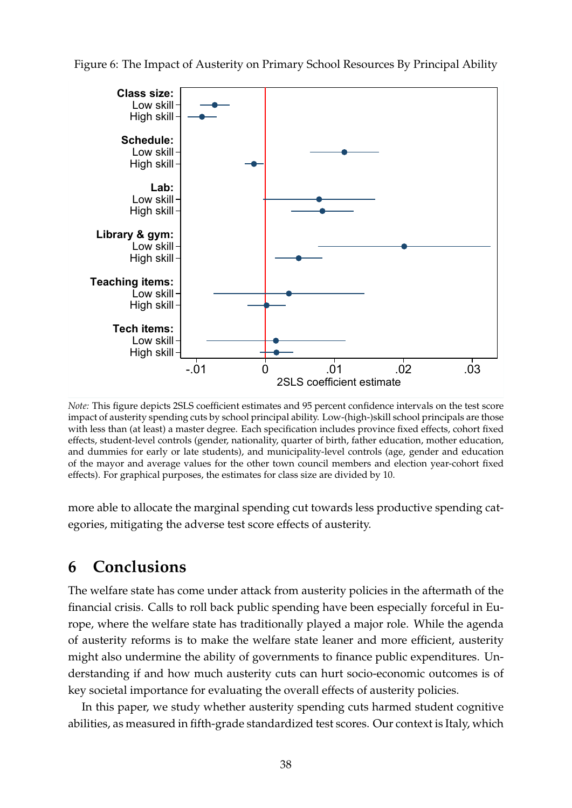

<span id="page-38-0"></span>Figure 6: The Impact of Austerity on Primary School Resources By Principal Ability

*Note:* This figure depicts 2SLS coefficient estimates and 95 percent confidence intervals on the test score impact of austerity spending cuts by school principal ability. Low-(high-)skill school principals are those with less than (at least) a master degree. Each specification includes province fixed effects, cohort fixed effects, student-level controls (gender, nationality, quarter of birth, father education, mother education, and dummies for early or late students), and municipality-level controls (age, gender and education of the mayor and average values for the other town council members and election year-cohort fixed effects). For graphical purposes, the estimates for class size are divided by 10.

more able to allocate the marginal spending cut towards less productive spending categories, mitigating the adverse test score effects of austerity.

## **6 Conclusions**

The welfare state has come under attack from austerity policies in the aftermath of the financial crisis. Calls to roll back public spending have been especially forceful in Europe, where the welfare state has traditionally played a major role. While the agenda of austerity reforms is to make the welfare state leaner and more efficient, austerity might also undermine the ability of governments to finance public expenditures. Understanding if and how much austerity cuts can hurt socio-economic outcomes is of key societal importance for evaluating the overall effects of austerity policies.

In this paper, we study whether austerity spending cuts harmed student cognitive abilities, as measured in fifth-grade standardized test scores. Our context is Italy, which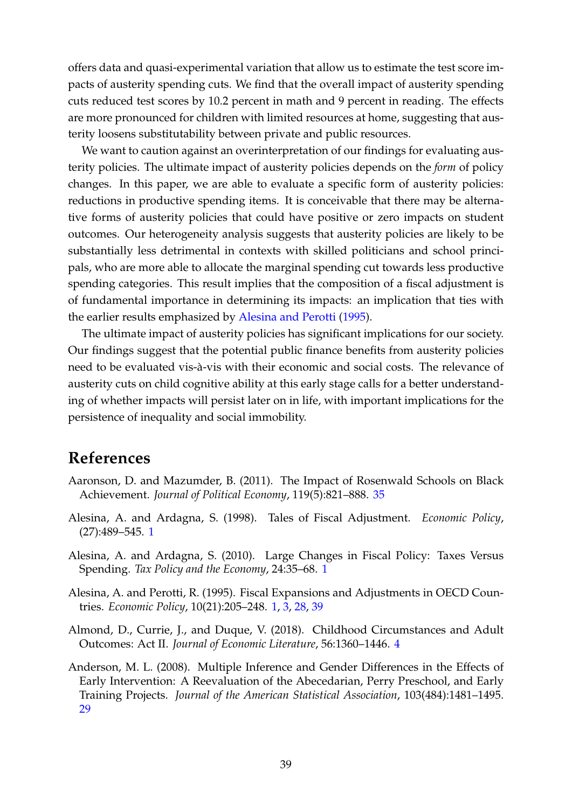<span id="page-39-1"></span>offers data and quasi-experimental variation that allow us to estimate the test score impacts of austerity spending cuts. We find that the overall impact of austerity spending cuts reduced test scores by 10.2 percent in math and 9 percent in reading. The effects are more pronounced for children with limited resources at home, suggesting that austerity loosens substitutability between private and public resources.

We want to caution against an overinterpretation of our findings for evaluating austerity policies. The ultimate impact of austerity policies depends on the *form* of policy changes. In this paper, we are able to evaluate a specific form of austerity policies: reductions in productive spending items. It is conceivable that there may be alternative forms of austerity policies that could have positive or zero impacts on student outcomes. Our heterogeneity analysis suggests that austerity policies are likely to be substantially less detrimental in contexts with skilled politicians and school principals, who are more able to allocate the marginal spending cut towards less productive spending categories. This result implies that the composition of a fiscal adjustment is of fundamental importance in determining its impacts: an implication that ties with the earlier results emphasized by [Alesina and Perotti](#page-39-0) [\(1995\)](#page-39-0).

The ultimate impact of austerity policies has significant implications for our society. Our findings suggest that the potential public finance benefits from austerity policies need to be evaluated vis-à-vis with their economic and social costs. The relevance of austerity cuts on child cognitive ability at this early stage calls for a better understanding of whether impacts will persist later on in life, with important implications for the persistence of inequality and social immobility.

## **References**

- Aaronson, D. and Mazumder, B. (2011). The Impact of Rosenwald Schools on Black Achievement. *Journal of Political Economy*, 119(5):821–888. [35](#page-35-0)
- Alesina, A. and Ardagna, S. (1998). Tales of Fiscal Adjustment. *Economic Policy*, (27):489–545. [1](#page-1-0)
- Alesina, A. and Ardagna, S. (2010). Large Changes in Fiscal Policy: Taxes Versus Spending. *Tax Policy and the Economy*, 24:35–68. [1](#page-1-0)
- <span id="page-39-0"></span>Alesina, A. and Perotti, R. (1995). Fiscal Expansions and Adjustments in OECD Countries. *Economic Policy*, 10(21):205–248. [1,](#page-1-0) [3,](#page-3-0) [28,](#page-28-0) [39](#page-39-1)
- Almond, D., Currie, J., and Duque, V. (2018). Childhood Circumstances and Adult Outcomes: Act II. *Journal of Economic Literature*, 56:1360–1446. [4](#page-4-0)
- Anderson, M. L. (2008). Multiple Inference and Gender Differences in the Effects of Early Intervention: A Reevaluation of the Abecedarian, Perry Preschool, and Early Training Projects. *Journal of the American Statistical Association*, 103(484):1481–1495. [29](#page-29-0)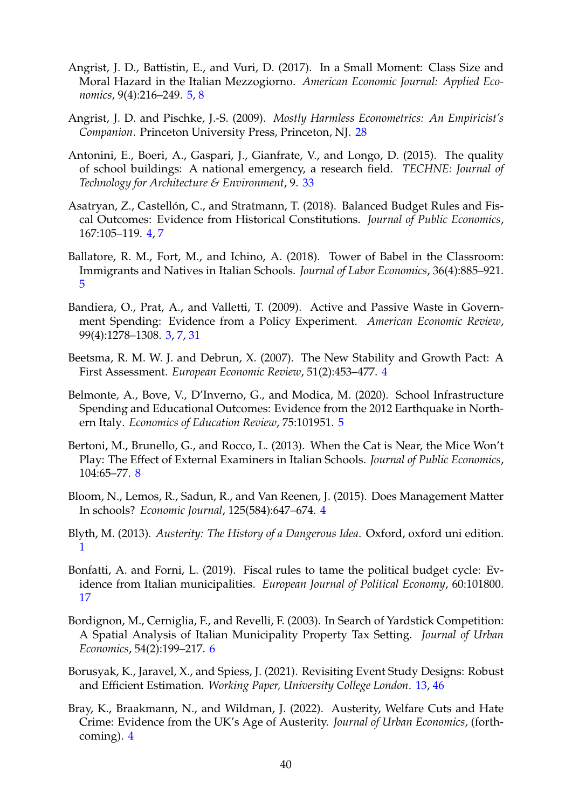- Angrist, J. D., Battistin, E., and Vuri, D. (2017). In a Small Moment: Class Size and Moral Hazard in the Italian Mezzogiorno. *American Economic Journal: Applied Economics*, 9(4):216–249. [5,](#page-5-0) [8](#page-8-0)
- Angrist, J. D. and Pischke, J.-S. (2009). *Mostly Harmless Econometrics: An Empiricist's Companion*. Princeton University Press, Princeton, NJ. [28](#page-28-0)
- Antonini, E., Boeri, A., Gaspari, J., Gianfrate, V., and Longo, D. (2015). The quality of school buildings: A national emergency, a research field. *TECHNE: Journal of Technology for Architecture & Environment*, 9. [33](#page-33-0)
- Asatryan, Z., Castellón, C., and Stratmann, T. (2018). Balanced Budget Rules and Fiscal Outcomes: Evidence from Historical Constitutions. *Journal of Public Economics*, 167:105–119. [4,](#page-4-0) [7](#page-7-0)
- Ballatore, R. M., Fort, M., and Ichino, A. (2018). Tower of Babel in the Classroom: Immigrants and Natives in Italian Schools. *Journal of Labor Economics*, 36(4):885–921. [5](#page-5-0)
- Bandiera, O., Prat, A., and Valletti, T. (2009). Active and Passive Waste in Government Spending: Evidence from a Policy Experiment. *American Economic Review*, 99(4):1278–1308. [3,](#page-3-0) [7,](#page-7-0) [31](#page-31-0)
- Beetsma, R. M. W. J. and Debrun, X. (2007). The New Stability and Growth Pact: A First Assessment. *European Economic Review*, 51(2):453–477. [4](#page-4-0)
- Belmonte, A., Bove, V., D'Inverno, G., and Modica, M. (2020). School Infrastructure Spending and Educational Outcomes: Evidence from the 2012 Earthquake in Northern Italy. *Economics of Education Review*, 75:101951. [5](#page-5-0)
- Bertoni, M., Brunello, G., and Rocco, L. (2013). When the Cat is Near, the Mice Won't Play: The Effect of External Examiners in Italian Schools. *Journal of Public Economics*, 104:65–77. [8](#page-8-0)
- Bloom, N., Lemos, R., Sadun, R., and Van Reenen, J. (2015). Does Management Matter In schools? *Economic Journal*, 125(584):647–674. [4](#page-4-0)
- Blyth, M. (2013). *Austerity: The History of a Dangerous Idea*. Oxford, oxford uni edition. [1](#page-1-0)
- Bonfatti, A. and Forni, L. (2019). Fiscal rules to tame the political budget cycle: Evidence from Italian municipalities. *European Journal of Political Economy*, 60:101800. [17](#page-17-0)
- Bordignon, M., Cerniglia, F., and Revelli, F. (2003). In Search of Yardstick Competition: A Spatial Analysis of Italian Municipality Property Tax Setting. *Journal of Urban Economics*, 54(2):199–217. [6](#page-6-0)
- <span id="page-40-0"></span>Borusyak, K., Jaravel, X., and Spiess, J. (2021). Revisiting Event Study Designs: Robust and Efficient Estimation. *Working Paper, University College London*. [13,](#page-13-0) [46](#page-46-0)
- Bray, K., Braakmann, N., and Wildman, J. (2022). Austerity, Welfare Cuts and Hate Crime: Evidence from the UK's Age of Austerity. *Journal of Urban Economics*, (forthcoming). [4](#page-4-0)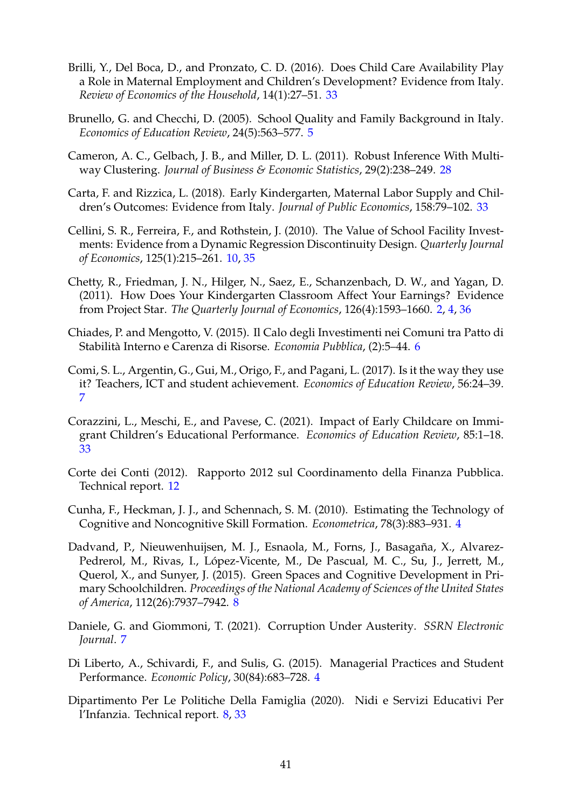- Brilli, Y., Del Boca, D., and Pronzato, C. D. (2016). Does Child Care Availability Play a Role in Maternal Employment and Children's Development? Evidence from Italy. *Review of Economics of the Household*, 14(1):27–51. [33](#page-33-0)
- Brunello, G. and Checchi, D. (2005). School Quality and Family Background in Italy. *Economics of Education Review*, 24(5):563–577. [5](#page-5-0)
- Cameron, A. C., Gelbach, J. B., and Miller, D. L. (2011). Robust Inference With Multiway Clustering. *Journal of Business & Economic Statistics*, 29(2):238–249. [28](#page-28-0)
- Carta, F. and Rizzica, L. (2018). Early Kindergarten, Maternal Labor Supply and Children's Outcomes: Evidence from Italy. *Journal of Public Economics*, 158:79–102. [33](#page-33-0)
- Cellini, S. R., Ferreira, F., and Rothstein, J. (2010). The Value of School Facility Investments: Evidence from a Dynamic Regression Discontinuity Design. *Quarterly Journal of Economics*, 125(1):215–261. [10,](#page-10-0) [35](#page-35-0)
- <span id="page-41-0"></span>Chetty, R., Friedman, J. N., Hilger, N., Saez, E., Schanzenbach, D. W., and Yagan, D. (2011). How Does Your Kindergarten Classroom Affect Your Earnings? Evidence from Project Star. *The Quarterly Journal of Economics*, 126(4):1593–1660. [2,](#page-2-0) [4,](#page-4-0) [36](#page-36-2)
- Chiades, P. and Mengotto, V. (2015). Il Calo degli Investimenti nei Comuni tra Patto di Stabilita Interno e Carenza di Risorse. ` *Economia Pubblica*, (2):5–44. [6](#page-6-0)
- Comi, S. L., Argentin, G., Gui, M., Origo, F., and Pagani, L. (2017). Is it the way they use it? Teachers, ICT and student achievement. *Economics of Education Review*, 56:24–39. [7](#page-7-0)
- Corazzini, L., Meschi, E., and Pavese, C. (2021). Impact of Early Childcare on Immigrant Children's Educational Performance. *Economics of Education Review*, 85:1–18. [33](#page-33-0)
- Corte dei Conti (2012). Rapporto 2012 sul Coordinamento della Finanza Pubblica. Technical report. [12](#page-12-0)
- Cunha, F., Heckman, J. J., and Schennach, S. M. (2010). Estimating the Technology of Cognitive and Noncognitive Skill Formation. *Econometrica*, 78(3):883–931. [4](#page-4-0)
- Dadvand, P., Nieuwenhuijsen, M. J., Esnaola, M., Forns, J., Basagaña, X., Alvarez-Pedrerol, M., Rivas, I., López-Vicente, M., De Pascual, M. C., Su, J., Jerrett, M., Querol, X., and Sunyer, J. (2015). Green Spaces and Cognitive Development in Primary Schoolchildren. *Proceedings of the National Academy of Sciences of the United States of America*, 112(26):7937–7942. [8](#page-8-0)
- Daniele, G. and Giommoni, T. (2021). Corruption Under Austerity. *SSRN Electronic Journal*. [7](#page-7-0)
- Di Liberto, A., Schivardi, F., and Sulis, G. (2015). Managerial Practices and Student Performance. *Economic Policy*, 30(84):683–728. [4](#page-4-0)
- Dipartimento Per Le Politiche Della Famiglia (2020). Nidi e Servizi Educativi Per l'Infanzia. Technical report. [8,](#page-8-0) [33](#page-33-0)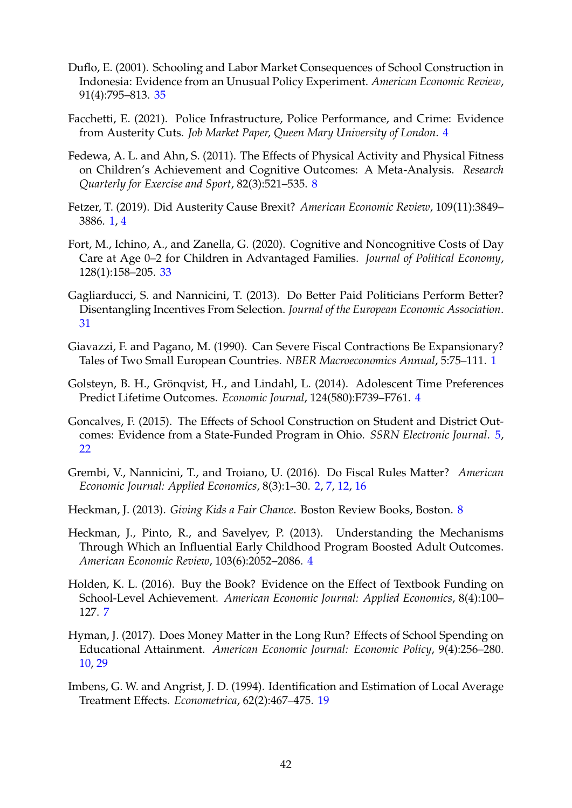- Duflo, E. (2001). Schooling and Labor Market Consequences of School Construction in Indonesia: Evidence from an Unusual Policy Experiment. *American Economic Review*, 91(4):795–813. [35](#page-35-0)
- Facchetti, E. (2021). Police Infrastructure, Police Performance, and Crime: Evidence from Austerity Cuts. *Job Market Paper, Queen Mary University of London*. [4](#page-4-0)
- Fedewa, A. L. and Ahn, S. (2011). The Effects of Physical Activity and Physical Fitness on Children's Achievement and Cognitive Outcomes: A Meta-Analysis. *Research Quarterly for Exercise and Sport*, 82(3):521–535. [8](#page-8-0)
- Fetzer, T. (2019). Did Austerity Cause Brexit? *American Economic Review*, 109(11):3849– 3886. [1,](#page-1-0) [4](#page-4-0)
- Fort, M., Ichino, A., and Zanella, G. (2020). Cognitive and Noncognitive Costs of Day Care at Age 0–2 for Children in Advantaged Families. *Journal of Political Economy*, 128(1):158–205. [33](#page-33-0)
- Gagliarducci, S. and Nannicini, T. (2013). Do Better Paid Politicians Perform Better? Disentangling Incentives From Selection. *Journal of the European Economic Association*. [31](#page-31-0)
- Giavazzi, F. and Pagano, M. (1990). Can Severe Fiscal Contractions Be Expansionary? Tales of Two Small European Countries. *NBER Macroeconomics Annual*, 5:75–111. [1](#page-1-0)
- Golsteyn, B. H., Gröngvist, H., and Lindahl, L. (2014). Adolescent Time Preferences Predict Lifetime Outcomes. *Economic Journal*, 124(580):F739–F761. [4](#page-4-0)
- Goncalves, F. (2015). The Effects of School Construction on Student and District Outcomes: Evidence from a State-Funded Program in Ohio. *SSRN Electronic Journal*. [5,](#page-5-0) [22](#page-22-0)
- Grembi, V., Nannicini, T., and Troiano, U. (2016). Do Fiscal Rules Matter? *American Economic Journal: Applied Economics*, 8(3):1–30. [2,](#page-2-0) [7,](#page-7-0) [12,](#page-12-0) [16](#page-16-0)
- Heckman, J. (2013). *Giving Kids a Fair Chance*. Boston Review Books, Boston. [8](#page-8-0)
- Heckman, J., Pinto, R., and Savelyev, P. (2013). Understanding the Mechanisms Through Which an Influential Early Childhood Program Boosted Adult Outcomes. *American Economic Review*, 103(6):2052–2086. [4](#page-4-0)
- Holden, K. L. (2016). Buy the Book? Evidence on the Effect of Textbook Funding on School-Level Achievement. *American Economic Journal: Applied Economics*, 8(4):100– 127. [7](#page-7-0)
- Hyman, J. (2017). Does Money Matter in the Long Run? Effects of School Spending on Educational Attainment. *American Economic Journal: Economic Policy*, 9(4):256–280. [10,](#page-10-0) [29](#page-29-0)
- Imbens, G. W. and Angrist, J. D. (1994). Identification and Estimation of Local Average Treatment Effects. *Econometrica*, 62(2):467–475. [19](#page-19-0)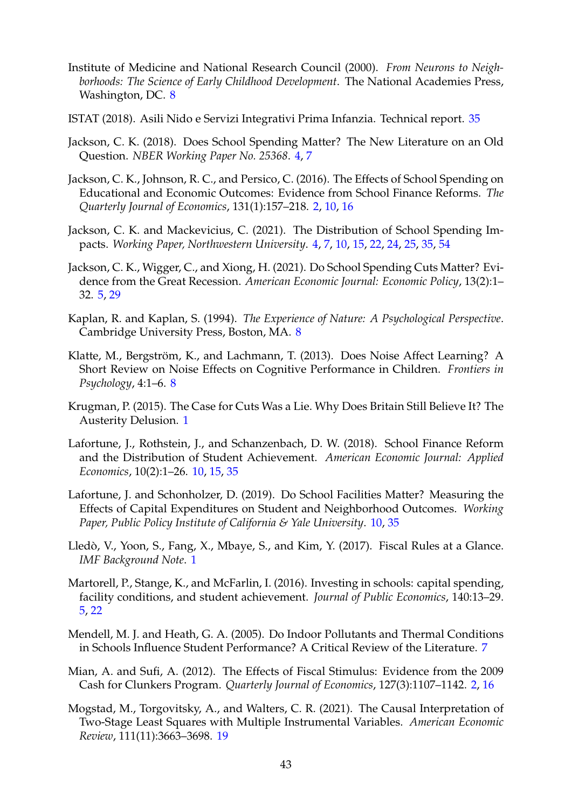- Institute of Medicine and National Research Council (2000). *From Neurons to Neighborhoods: The Science of Early Childhood Development*. The National Academies Press, Washington, DC. [8](#page-8-0)
- ISTAT (2018). Asili Nido e Servizi Integrativi Prima Infanzia. Technical report. [35](#page-35-0)
- Jackson, C. K. (2018). Does School Spending Matter? The New Literature on an Old Question. *NBER Working Paper No. 25368*. [4,](#page-4-0) [7](#page-7-0)
- Jackson, C. K., Johnson, R. C., and Persico, C. (2016). The Effects of School Spending on Educational and Economic Outcomes: Evidence from School Finance Reforms. *The Quarterly Journal of Economics*, 131(1):157–218. [2,](#page-2-0) [10,](#page-10-0) [16](#page-16-0)
- <span id="page-43-0"></span>Jackson, C. K. and Mackevicius, C. (2021). The Distribution of School Spending Impacts. *Working Paper, Northwestern University*. [4,](#page-4-0) [7,](#page-7-0) [10,](#page-10-0) [15,](#page-15-0) [22,](#page-22-0) [24,](#page-24-1) [25,](#page-25-0) [35,](#page-35-0) [54](#page-54-0)
- Jackson, C. K., Wigger, C., and Xiong, H. (2021). Do School Spending Cuts Matter? Evidence from the Great Recession. *American Economic Journal: Economic Policy*, 13(2):1– 32. [5,](#page-5-0) [29](#page-29-0)
- Kaplan, R. and Kaplan, S. (1994). *The Experience of Nature: A Psychological Perspective*. Cambridge University Press, Boston, MA. [8](#page-8-0)
- Klatte, M., Bergström, K., and Lachmann, T. (2013). Does Noise Affect Learning? A Short Review on Noise Effects on Cognitive Performance in Children. *Frontiers in Psychology*, 4:1–6. [8](#page-8-0)
- Krugman, P. (2015). The Case for Cuts Was a Lie. Why Does Britain Still Believe It? The Austerity Delusion. [1](#page-1-0)
- Lafortune, J., Rothstein, J., and Schanzenbach, D. W. (2018). School Finance Reform and the Distribution of Student Achievement. *American Economic Journal: Applied Economics*, 10(2):1–26. [10,](#page-10-0) [15,](#page-15-0) [35](#page-35-0)
- Lafortune, J. and Schonholzer, D. (2019). Do School Facilities Matter? Measuring the Effects of Capital Expenditures on Student and Neighborhood Outcomes. *Working Paper, Public Policy Institute of California & Yale University*. [10,](#page-10-0) [35](#page-35-0)
- Lledò, V., Yoon, S., Fang, X., Mbaye, S., and Kim, Y. (2017). Fiscal Rules at a Glance. *IMF Background Note*. [1](#page-1-0)
- Martorell, P., Stange, K., and McFarlin, I. (2016). Investing in schools: capital spending, facility conditions, and student achievement. *Journal of Public Economics*, 140:13–29. [5,](#page-5-0) [22](#page-22-0)
- Mendell, M. J. and Heath, G. A. (2005). Do Indoor Pollutants and Thermal Conditions in Schools Influence Student Performance? A Critical Review of the Literature. [7](#page-7-0)
- Mian, A. and Sufi, A. (2012). The Effects of Fiscal Stimulus: Evidence from the 2009 Cash for Clunkers Program. *Quarterly Journal of Economics*, 127(3):1107–1142. [2,](#page-2-0) [16](#page-16-0)
- Mogstad, M., Torgovitsky, A., and Walters, C. R. (2021). The Causal Interpretation of Two-Stage Least Squares with Multiple Instrumental Variables. *American Economic Review*, 111(11):3663–3698. [19](#page-19-0)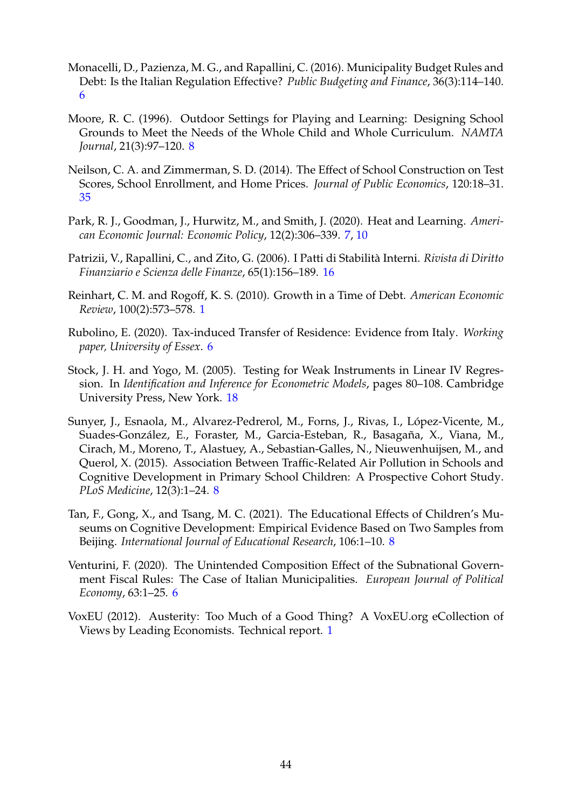- Monacelli, D., Pazienza, M. G., and Rapallini, C. (2016). Municipality Budget Rules and Debt: Is the Italian Regulation Effective? *Public Budgeting and Finance*, 36(3):114–140. [6](#page-6-0)
- Moore, R. C. (1996). Outdoor Settings for Playing and Learning: Designing School Grounds to Meet the Needs of the Whole Child and Whole Curriculum. *NAMTA Journal*, 21(3):97–120. [8](#page-8-0)
- Neilson, C. A. and Zimmerman, S. D. (2014). The Effect of School Construction on Test Scores, School Enrollment, and Home Prices. *Journal of Public Economics*, 120:18–31. [35](#page-35-0)
- Park, R. J., Goodman, J., Hurwitz, M., and Smith, J. (2020). Heat and Learning. *American Economic Journal: Economic Policy*, 12(2):306–339. [7,](#page-7-0) [10](#page-10-0)
- Patrizii, V., Rapallini, C., and Zito, G. (2006). I Patti di Stabilita Interni. ` *Rivista di Diritto Finanziario e Scienza delle Finanze*, 65(1):156–189. [16](#page-16-0)
- Reinhart, C. M. and Rogoff, K. S. (2010). Growth in a Time of Debt. *American Economic Review*, 100(2):573–578. [1](#page-1-0)
- Rubolino, E. (2020). Tax-induced Transfer of Residence: Evidence from Italy. *Working paper, University of Essex*. [6](#page-6-0)
- Stock, J. H. and Yogo, M. (2005). Testing for Weak Instruments in Linear IV Regression. In *Identification and Inference for Econometric Models*, pages 80–108. Cambridge University Press, New York. [18](#page-18-0)
- Sunyer, J., Esnaola, M., Alvarez-Pedrerol, M., Forns, J., Rivas, I., López-Vicente, M., Suades-González, E., Foraster, M., Garcia-Esteban, R., Basagaña, X., Viana, M., Cirach, M., Moreno, T., Alastuey, A., Sebastian-Galles, N., Nieuwenhuijsen, M., and Querol, X. (2015). Association Between Traffic-Related Air Pollution in Schools and Cognitive Development in Primary School Children: A Prospective Cohort Study. *PLoS Medicine*, 12(3):1–24. [8](#page-8-0)
- Tan, F., Gong, X., and Tsang, M. C. (2021). The Educational Effects of Children's Museums on Cognitive Development: Empirical Evidence Based on Two Samples from Beijing. *International Journal of Educational Research*, 106:1–10. [8](#page-8-0)
- Venturini, F. (2020). The Unintended Composition Effect of the Subnational Government Fiscal Rules: The Case of Italian Municipalities. *European Journal of Political Economy*, 63:1–25. [6](#page-6-0)
- VoxEU (2012). Austerity: Too Much of a Good Thing? A VoxEU.org eCollection of Views by Leading Economists. Technical report. [1](#page-1-0)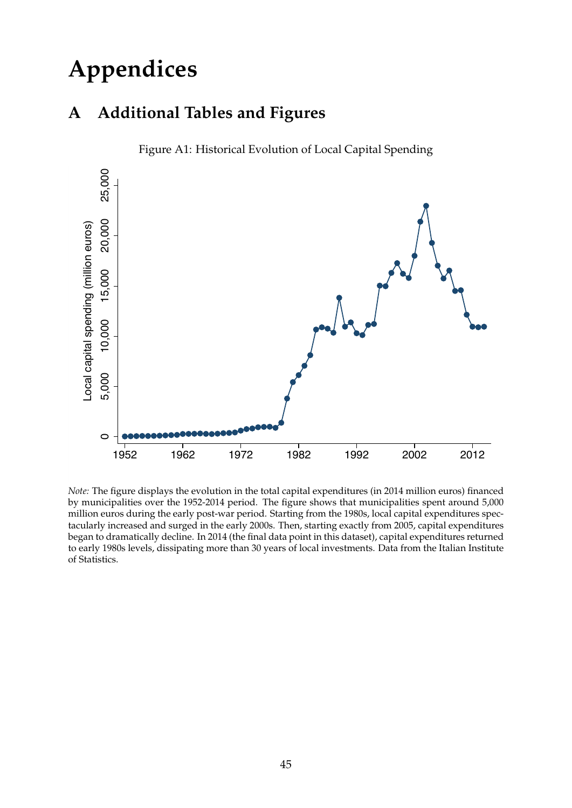# **Appendices**

## **A Additional Tables and Figures**



Figure A1: Historical Evolution of Local Capital Spending

*Note:* The figure displays the evolution in the total capital expenditures (in 2014 million euros) financed by municipalities over the 1952-2014 period. The figure shows that municipalities spent around 5,000 million euros during the early post-war period. Starting from the 1980s, local capital expenditures spectacularly increased and surged in the early 2000s. Then, starting exactly from 2005, capital expenditures began to dramatically decline. In 2014 (the final data point in this dataset), capital expenditures returned to early 1980s levels, dissipating more than 30 years of local investments. Data from the Italian Institute of Statistics.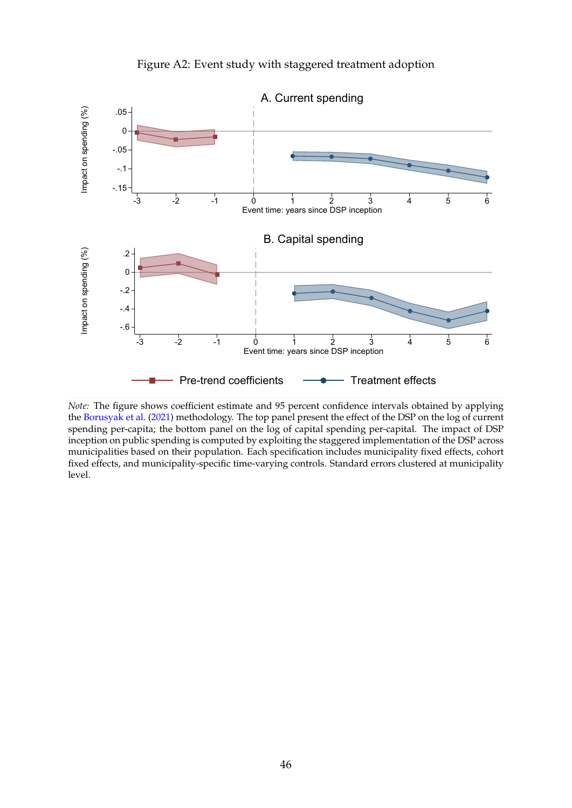<span id="page-46-0"></span>

Figure A2: Event study with staggered treatment adoption

*Note:* The figure shows coefficient estimate and 95 percent confidence intervals obtained by applying the [Borusyak et al.](#page-40-0) [\(2021\)](#page-40-0) methodology. The top panel present the effect of the DSP on the log of current spending per-capita; the bottom panel on the log of capital spending per-capital. The impact of DSP inception on public spending is computed by exploiting the staggered implementation of the DSP across municipalities based on their population. Each specification includes municipality fixed effects, cohort fixed effects, and municipality-specific time-varying controls. Standard errors clustered at municipality level.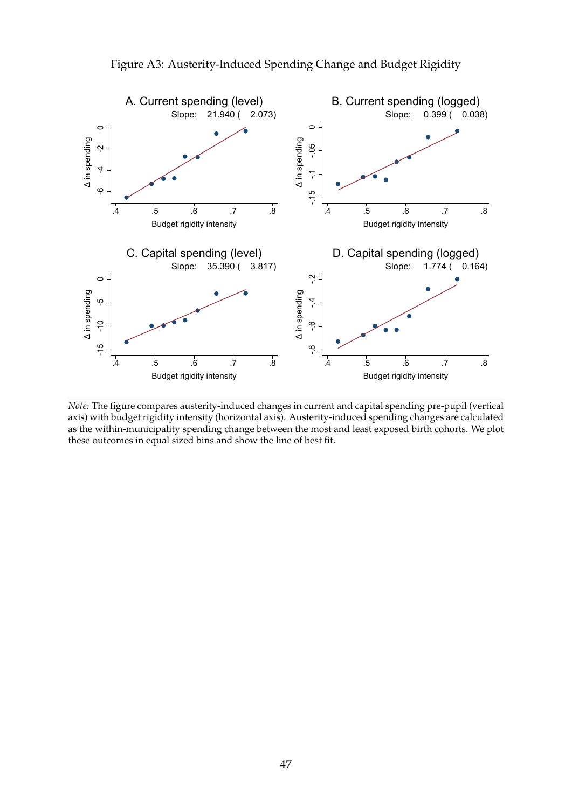

Figure A3: Austerity-Induced Spending Change and Budget Rigidity

*Note:* The figure compares austerity-induced changes in current and capital spending pre-pupil (vertical axis) with budget rigidity intensity (horizontal axis). Austerity-induced spending changes are calculated as the within-municipality spending change between the most and least exposed birth cohorts. We plot these outcomes in equal sized bins and show the line of best fit.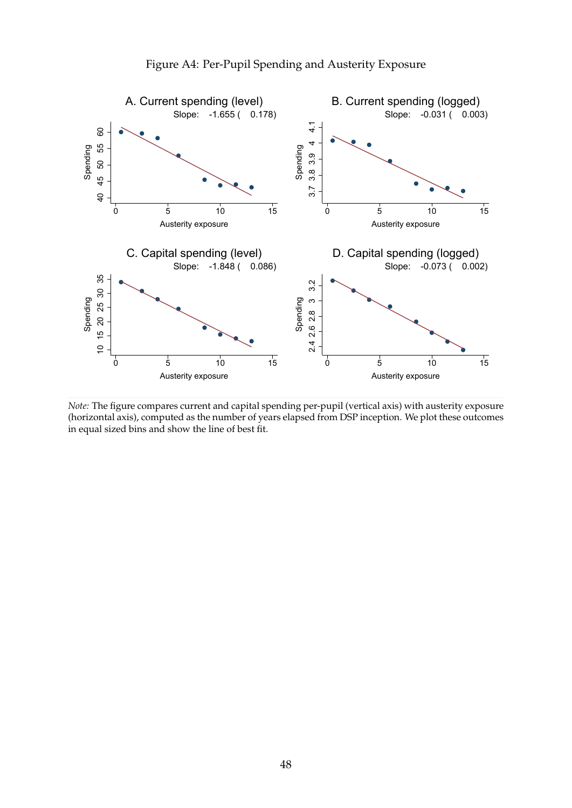

Figure A4: Per-Pupil Spending and Austerity Exposure

*Note:* The figure compares current and capital spending per-pupil (vertical axis) with austerity exposure (horizontal axis), computed as the number of years elapsed from DSP inception. We plot these outcomes in equal sized bins and show the line of best fit.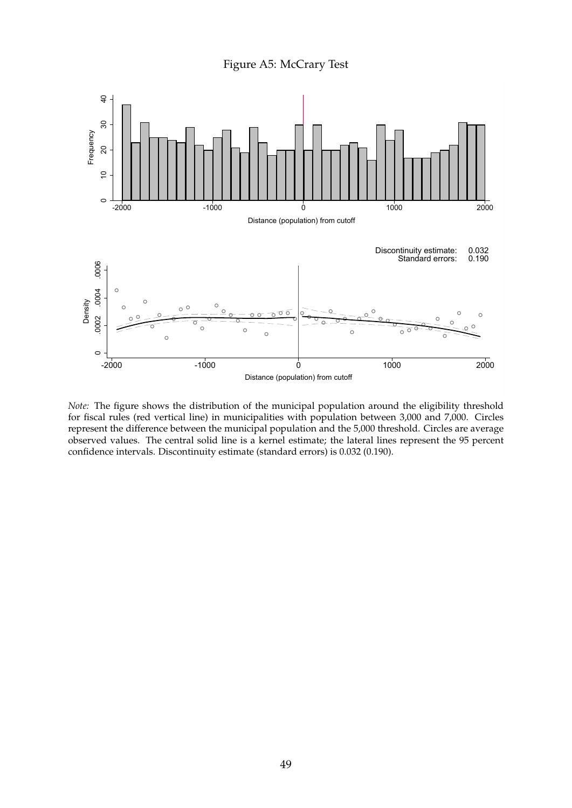Figure A5: McCrary Test



*Note:* The figure shows the distribution of the municipal population around the eligibility threshold for fiscal rules (red vertical line) in municipalities with population between 3,000 and 7,000. Circles represent the difference between the municipal population and the 5,000 threshold. Circles are average observed values. The central solid line is a kernel estimate; the lateral lines represent the 95 percent confidence intervals. Discontinuity estimate (standard errors) is 0.032 (0.190).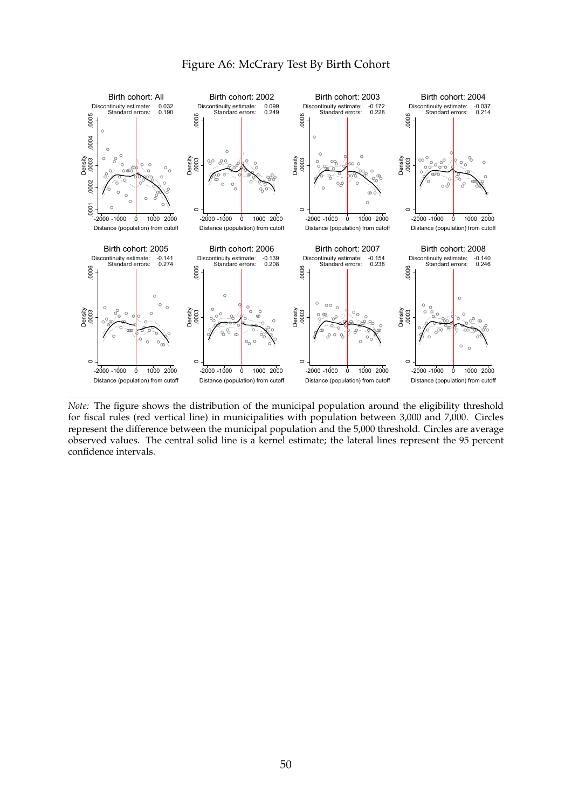

*Note:* The figure shows the distribution of the municipal population around the eligibility threshold for fiscal rules (red vertical line) in municipalities with population between 3,000 and 7,000. Circles represent the difference between the municipal population and the 5,000 threshold. Circles are average observed values. The central solid line is a kernel estimate; the lateral lines represent the 95 percent confidence intervals.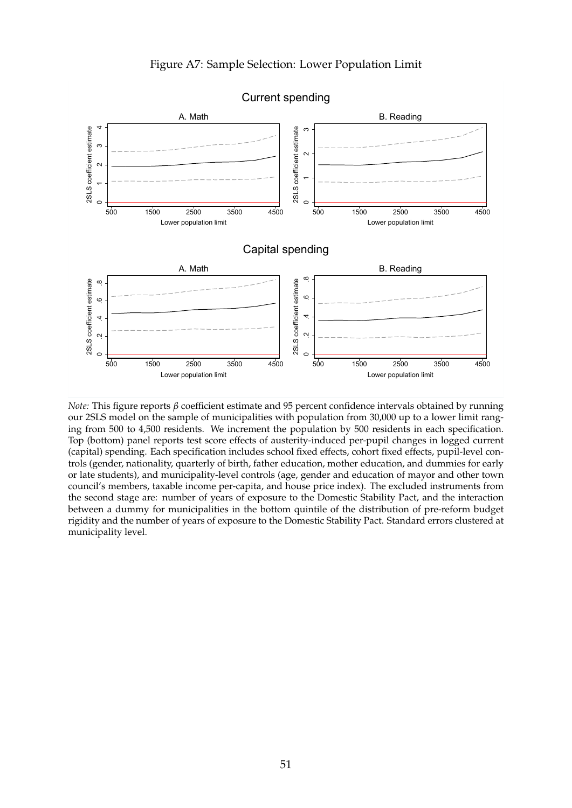

Current spending

*Note:* This figure reports *β* coefficient estimate and 95 percent confidence intervals obtained by running our 2SLS model on the sample of municipalities with population from 30,000 up to a lower limit ranging from 500 to 4,500 residents. We increment the population by 500 residents in each specification. Top (bottom) panel reports test score effects of austerity-induced per-pupil changes in logged current (capital) spending. Each specification includes school fixed effects, cohort fixed effects, pupil-level controls (gender, nationality, quarterly of birth, father education, mother education, and dummies for early or late students), and municipality-level controls (age, gender and education of mayor and other town council's members, taxable income per-capita, and house price index). The excluded instruments from the second stage are: number of years of exposure to the Domestic Stability Pact, and the interaction between a dummy for municipalities in the bottom quintile of the distribution of pre-reform budget rigidity and the number of years of exposure to the Domestic Stability Pact. Standard errors clustered at municipality level.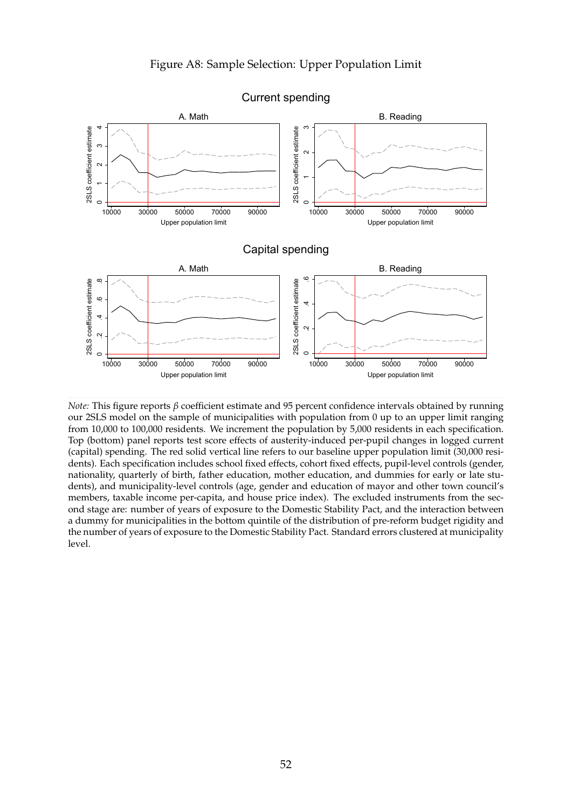

Current spending

*Note:* This figure reports *β* coefficient estimate and 95 percent confidence intervals obtained by running our 2SLS model on the sample of municipalities with population from 0 up to an upper limit ranging from 10,000 to 100,000 residents. We increment the population by 5,000 residents in each specification. Top (bottom) panel reports test score effects of austerity-induced per-pupil changes in logged current (capital) spending. The red solid vertical line refers to our baseline upper population limit (30,000 residents). Each specification includes school fixed effects, cohort fixed effects, pupil-level controls (gender, nationality, quarterly of birth, father education, mother education, and dummies for early or late students), and municipality-level controls (age, gender and education of mayor and other town council's members, taxable income per-capita, and house price index). The excluded instruments from the second stage are: number of years of exposure to the Domestic Stability Pact, and the interaction between a dummy for municipalities in the bottom quintile of the distribution of pre-reform budget rigidity and the number of years of exposure to the Domestic Stability Pact. Standard errors clustered at municipality level.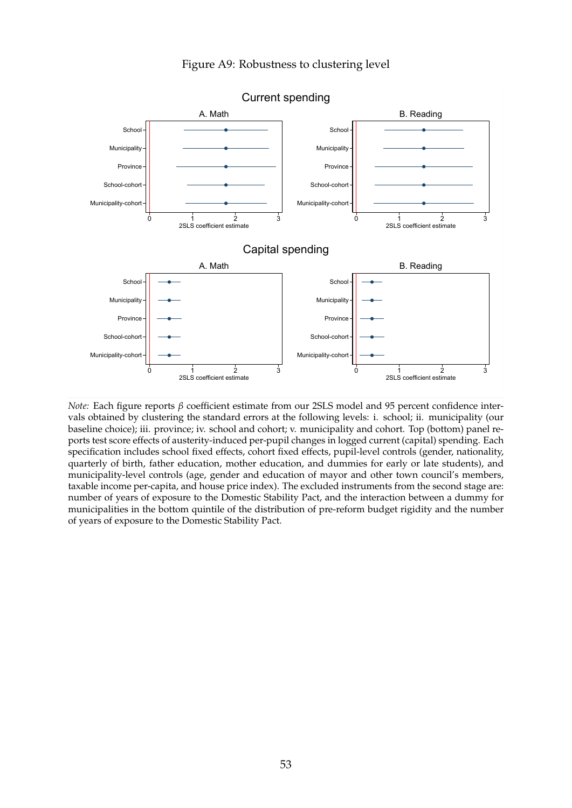#### Figure A9: Robustness to clustering level



*Note:* Each figure reports *β* coefficient estimate from our 2SLS model and 95 percent confidence intervals obtained by clustering the standard errors at the following levels: i. school; ii. municipality (our baseline choice); iii. province; iv. school and cohort; v. municipality and cohort. Top (bottom) panel reports test score effects of austerity-induced per-pupil changes in logged current (capital) spending. Each specification includes school fixed effects, cohort fixed effects, pupil-level controls (gender, nationality, quarterly of birth, father education, mother education, and dummies for early or late students), and municipality-level controls (age, gender and education of mayor and other town council's members, taxable income per-capita, and house price index). The excluded instruments from the second stage are: number of years of exposure to the Domestic Stability Pact, and the interaction between a dummy for municipalities in the bottom quintile of the distribution of pre-reform budget rigidity and the number of years of exposure to the Domestic Stability Pact.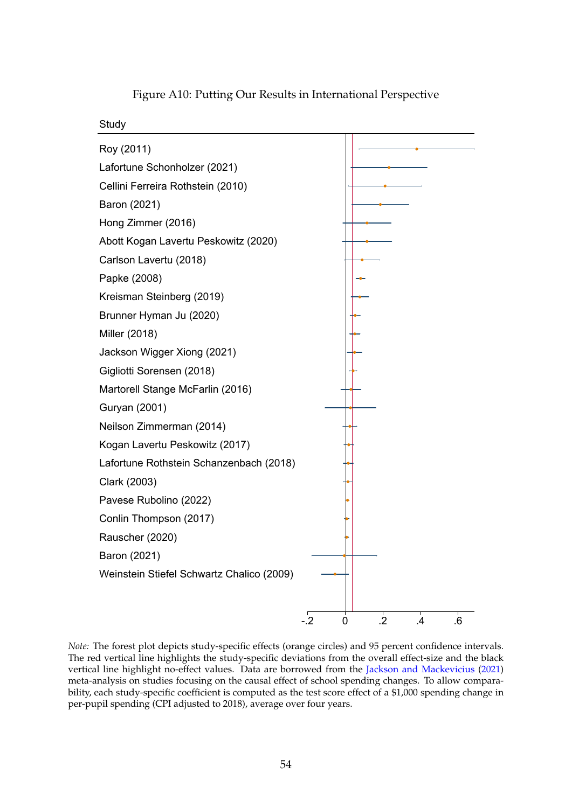<span id="page-54-0"></span>

Figure A10: Putting Our Results in International Perspective

*Note:* The forest plot depicts study-specific effects (orange circles) and 95 percent confidence intervals. The red vertical line highlights the study-specific deviations from the overall effect-size and the black vertical line highlight no-effect values. Data are borrowed from the [Jackson and Mackevicius](#page-43-0) [\(2021\)](#page-43-0) meta-analysis on studies focusing on the causal effect of school spending changes. To allow comparability, each study-specific coefficient is computed as the test score effect of a \$1,000 spending change in per-pupil spending (CPI adjusted to 2018), average over four years.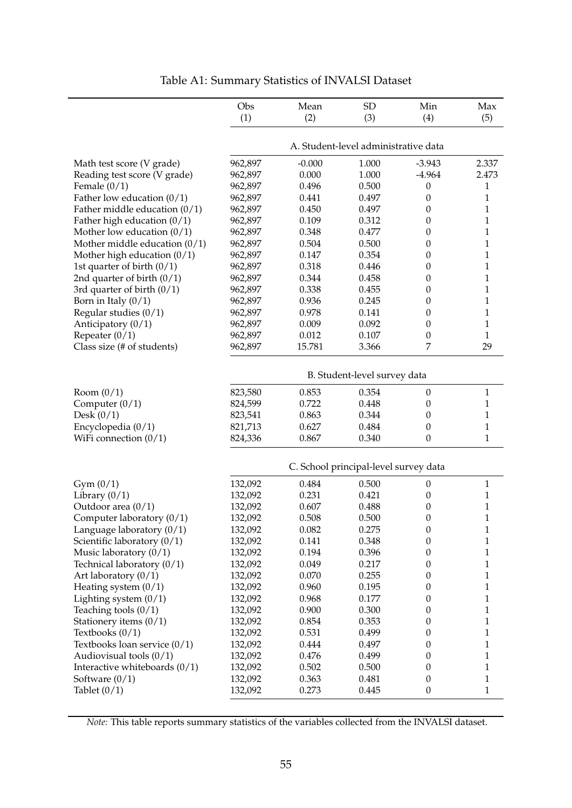|                                 | Obs<br>(1) | Mean<br>(2) | <b>SD</b><br>(3)                      | Min<br>(4)       | Max<br>(5)   |
|---------------------------------|------------|-------------|---------------------------------------|------------------|--------------|
|                                 |            |             | A. Student-level administrative data  |                  |              |
| Math test score (V grade)       | 962,897    | $-0.000$    | 1.000                                 | $-3.943$         | 2.337        |
| Reading test score (V grade)    | 962,897    | 0.000       | 1.000                                 | $-4.964$         | 2.473        |
| Female $(0/1)$                  | 962,897    | 0.496       | 0.500                                 | $\boldsymbol{0}$ | 1            |
| Father low education $(0/1)$    | 962,897    | 0.441       | 0.497                                 | $\boldsymbol{0}$ | $\mathbf{1}$ |
| Father middle education $(0/1)$ | 962,897    | 0.450       | 0.497                                 | $\boldsymbol{0}$ | $\mathbf{1}$ |
| Father high education $(0/1)$   | 962,897    | 0.109       | 0.312                                 | $\boldsymbol{0}$ | $\mathbf{1}$ |
| Mother low education $(0/1)$    | 962,897    | 0.348       | 0.477                                 | $\boldsymbol{0}$ | $\mathbf{1}$ |
| Mother middle education $(0/1)$ | 962,897    | 0.504       | 0.500                                 | $\boldsymbol{0}$ | $\mathbf{1}$ |
| Mother high education $(0/1)$   | 962,897    | 0.147       | 0.354                                 | $\boldsymbol{0}$ | $\mathbf{1}$ |
| 1st quarter of birth $(0/1)$    | 962,897    | 0.318       | 0.446                                 | $\boldsymbol{0}$ | $\mathbf{1}$ |
| 2nd quarter of birth $(0/1)$    | 962,897    | 0.344       | 0.458                                 | $\boldsymbol{0}$ | $\mathbf{1}$ |
| 3rd quarter of birth $(0/1)$    | 962,897    | 0.338       | 0.455                                 | $\boldsymbol{0}$ | $\mathbf{1}$ |
| Born in Italy $(0/1)$           | 962,897    | 0.936       | 0.245                                 | $\boldsymbol{0}$ | $\mathbf{1}$ |
| Regular studies $(0/1)$         | 962,897    | 0.978       | 0.141                                 | $\boldsymbol{0}$ | $\mathbf{1}$ |
| Anticipatory $(0/1)$            | 962,897    | 0.009       | 0.092                                 | $\boldsymbol{0}$ | $\mathbf{1}$ |
| Repeater $(0/1)$                | 962,897    | 0.012       | 0.107                                 | $\boldsymbol{0}$ | $\mathbf{1}$ |
| Class size (# of students)      | 962,897    | 15.781      | 3.366                                 | 7                | 29           |
|                                 |            |             | B. Student-level survey data          |                  |              |
| Room $(0/1)$                    | 823,580    | 0.853       | 0.354                                 | $\boldsymbol{0}$ | $\mathbf{1}$ |
| Computer $(0/1)$                | 824,599    | 0.722       | 0.448                                 | $\boldsymbol{0}$ | $\mathbf{1}$ |
| Desk $(0/1)$                    | 823,541    | 0.863       | 0.344                                 | $\boldsymbol{0}$ | $\mathbf{1}$ |
| Encyclopedia $(0/1)$            | 821,713    | 0.627       | 0.484                                 | $\boldsymbol{0}$ | $\mathbf{1}$ |
| WiFi connection $(0/1)$         | 824,336    | 0.867       | 0.340                                 | $\boldsymbol{0}$ | $\mathbf{1}$ |
|                                 |            |             | C. School principal-level survey data |                  |              |
| Gym(0/1)                        | 132,092    | 0.484       | 0.500                                 | $\boldsymbol{0}$ | $\mathbf{1}$ |
| Library $(0/1)$                 | 132,092    | 0.231       | 0.421                                 | $\boldsymbol{0}$ | 1            |
| Outdoor area (0/1)              | 132,092    | 0.607       | 0.488                                 | $\boldsymbol{0}$ | $\mathbf{1}$ |
| Computer laboratory (0/1)       | 132,092    | 0.508       | 0.500                                 | $\boldsymbol{0}$ | $\mathbf{1}$ |
| Language laboratory (0/1)       | 132,092    | 0.082       | 0.275                                 | $\boldsymbol{0}$ | 1            |
| Scientific laboratory $(0/1)$   | 132,092    | 0.141       | 0.348                                 | $\boldsymbol{0}$ | $\mathbf{1}$ |
| Music laboratory $(0/1)$        | 132,092    | 0.194       | 0.396                                 | $\boldsymbol{0}$ | $\mathbf{1}$ |
| Technical laboratory $(0/1)$    | 132,092    | 0.049       | 0.217                                 | $\boldsymbol{0}$ | $\mathbf{1}$ |
| Art laboratory $(0/1)$          | 132,092    | 0.070       | 0.255                                 | $\boldsymbol{0}$ | $\mathbf{1}$ |
| Heating system $(0/1)$          | 132,092    | 0.960       | 0.195                                 | $\boldsymbol{0}$ | $\mathbf{1}$ |
| Lighting system $(0/1)$         | 132,092    | 0.968       | 0.177                                 | $\boldsymbol{0}$ | $\mathbf{1}$ |
| Teaching tools $(0/1)$          | 132,092    | 0.900       | 0.300                                 | $\boldsymbol{0}$ | $\mathbf{1}$ |
| Stationery items $(0/1)$        | 132,092    | 0.854       | 0.353                                 | $\boldsymbol{0}$ | $\mathbf{1}$ |
| Textbooks $(0/1)$               | 132,092    | 0.531       | 0.499                                 | $\boldsymbol{0}$ | $\mathbf{1}$ |
| Textbooks loan service $(0/1)$  | 132,092    | 0.444       | 0.497                                 | $\boldsymbol{0}$ | $\mathbf{1}$ |
| Audiovisual tools $(0/1)$       | 132,092    | 0.476       | 0.499                                 | $\boldsymbol{0}$ | $\mathbf{1}$ |
| Interactive whiteboards $(0/1)$ | 132,092    | 0.502       | 0.500                                 | $\boldsymbol{0}$ | $\mathbf{1}$ |
| Software $(0/1)$                | 132,092    | 0.363       | 0.481                                 | $\boldsymbol{0}$ | $\mathbf{1}$ |
| Tablet $(0/1)$                  | 132,092    | 0.273       | 0.445                                 | $\boldsymbol{0}$ | 1            |

Table A1: Summary Statistics of INVALSI Dataset

*Note:* This table reports summary statistics of the variables collected from the INVALSI dataset.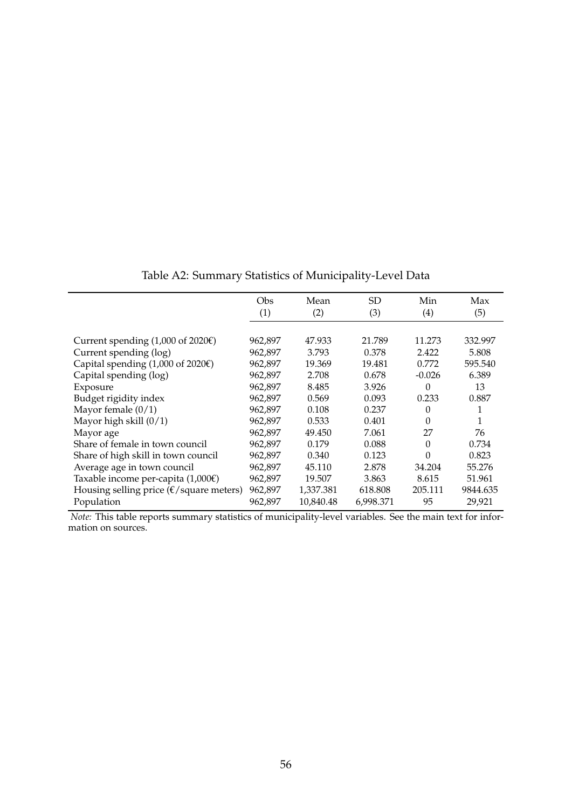|                                                        | Obs     | Mean      | <b>SD</b> | Min      | Max      |
|--------------------------------------------------------|---------|-----------|-----------|----------|----------|
|                                                        | (1)     | (2)       | (3)       | (4)      | (5)      |
|                                                        |         |           |           |          |          |
| Current spending $(1,000 \text{ of } 2020\mathcal{E})$ | 962,897 | 47.933    | 21.789    | 11.273   | 332.997  |
| Current spending (log)                                 | 962,897 | 3.793     | 0.378     | 2.422    | 5.808    |
| Capital spending $(1,000 \text{ of } 2020 \text{E})$   | 962,897 | 19.369    | 19.481    | 0.772    | 595.540  |
| Capital spending (log)                                 | 962,897 | 2.708     | 0.678     | $-0.026$ | 6.389    |
| Exposure                                               | 962,897 | 8.485     | 3.926     | 0        | 13       |
| Budget rigidity index                                  | 962,897 | 0.569     | 0.093     | 0.233    | 0.887    |
| Mayor female $(0/1)$                                   | 962,897 | 0.108     | 0.237     | 0        | 1        |
| Mayor high skill $(0/1)$                               | 962,897 | 0.533     | 0.401     | 0        | 1        |
| Mayor age                                              | 962,897 | 49.450    | 7.061     | 27       | 76       |
| Share of female in town council                        | 962,897 | 0.179     | 0.088     | $\Omega$ | 0.734    |
| Share of high skill in town council                    | 962,897 | 0.340     | 0.123     | 0        | 0.823    |
| Average age in town council                            | 962,897 | 45.110    | 2.878     | 34.204   | 55.276   |
| Taxable income per-capita $(1,000)$                    | 962,897 | 19.507    | 3.863     | 8.615    | 51.961   |
| Housing selling price ( $\epsilon$ /square meters)     | 962,897 | 1,337.381 | 618.808   | 205.111  | 9844.635 |
| Population                                             | 962,897 | 10,840.48 | 6,998.371 | 95       | 29,921   |

Table A2: Summary Statistics of Municipality-Level Data

*Note:* This table reports summary statistics of municipality-level variables. See the main text for information on sources.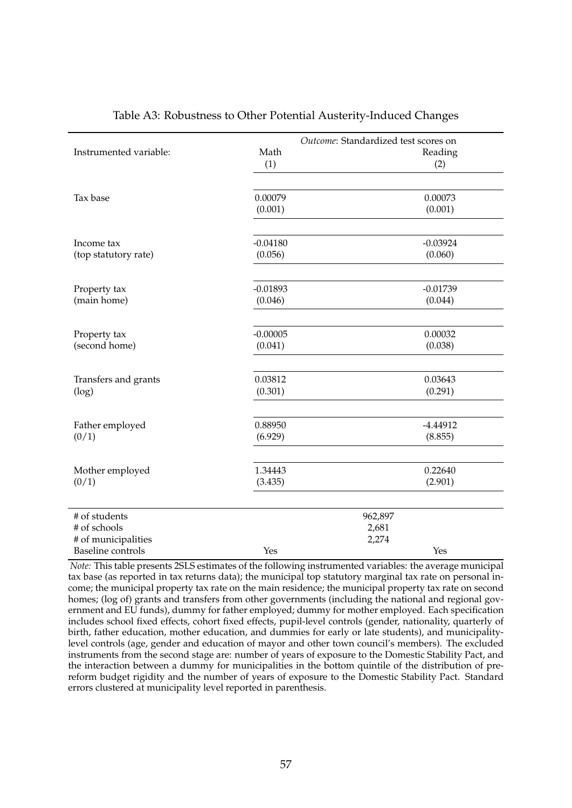| Instrumented variable:                                                           | Math<br>(1)        | Outcome: Standardized test scores on<br>Reading<br>(2) |
|----------------------------------------------------------------------------------|--------------------|--------------------------------------------------------|
| Tax base                                                                         | 0.00079<br>(0.001) | 0.00073<br>(0.001)                                     |
| Income tax                                                                       | $-0.04180$         | $-0.03924$                                             |
| (top statutory rate)                                                             | (0.056)            | (0.060)                                                |
| Property tax                                                                     | $-0.01893$         | $-0.01739$                                             |
| (main home)                                                                      | (0.046)            | (0.044)                                                |
| Property tax                                                                     | $-0.00005$         | 0.00032                                                |
| (second home)                                                                    | (0.041)            | (0.038)                                                |
| Transfers and grants                                                             | 0.03812            | 0.03643                                                |
| (log)                                                                            | (0.301)            | (0.291)                                                |
| Father employed                                                                  | 0.88950            | $-4.44912$                                             |
| (0/1)                                                                            | (6.929)            | (8.855)                                                |
| Mother employed                                                                  | 1.34443            | 0.22640                                                |
| (0/1)                                                                            | (3.435)            | (2.901)                                                |
| # of students<br># of schools<br># of municipalities<br><b>Baseline</b> controls | Yes                | 962,897<br>2,681<br>2,274<br>Yes                       |

#### Table A3: Robustness to Other Potential Austerity-Induced Changes

*Note:* This table presents 2SLS estimates of the following instrumented variables: the average municipal tax base (as reported in tax returns data); the municipal top statutory marginal tax rate on personal income; the municipal property tax rate on the main residence; the municipal property tax rate on second homes; (log of) grants and transfers from other governments (including the national and regional government and EU funds), dummy for father employed; dummy for mother employed. Each specification includes school fixed effects, cohort fixed effects, pupil-level controls (gender, nationality, quarterly of birth, father education, mother education, and dummies for early or late students), and municipalitylevel controls (age, gender and education of mayor and other town council's members). The excluded instruments from the second stage are: number of years of exposure to the Domestic Stability Pact, and the interaction between a dummy for municipalities in the bottom quintile of the distribution of prereform budget rigidity and the number of years of exposure to the Domestic Stability Pact. Standard errors clustered at municipality level reported in parenthesis.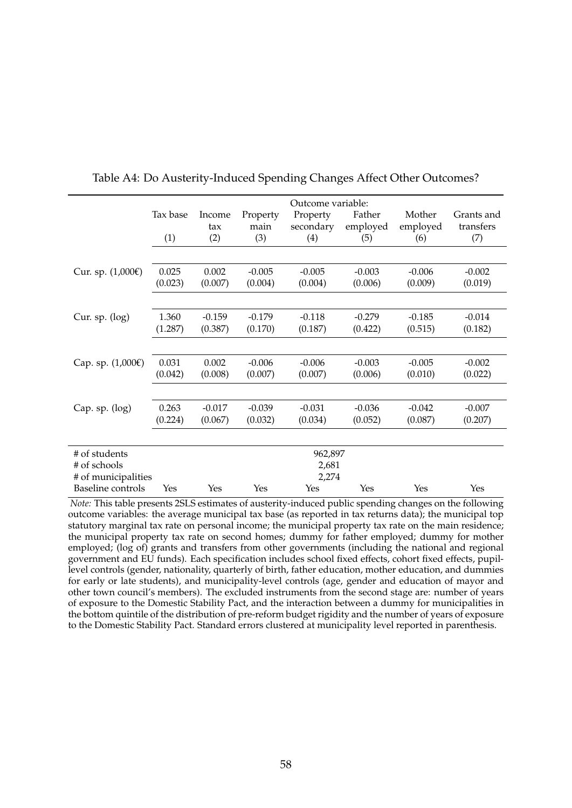|                     | Outcome variable: |          |          |           |          |          |            |
|---------------------|-------------------|----------|----------|-----------|----------|----------|------------|
|                     | Tax base          | Income   | Property | Property  | Father   | Mother   | Grants and |
|                     |                   | tax      | main     | secondary | employed | employed | transfers  |
|                     | (1)               | (2)      | (3)      | (4)       | (5)      | (6)      | (7)        |
|                     |                   |          |          |           |          |          |            |
| Cur. sp. (1,000€)   | 0.025             | 0.002    | $-0.005$ | $-0.005$  | $-0.003$ | $-0.006$ | $-0.002$   |
|                     | (0.023)           | (0.007)  | (0.004)  | (0.004)   | (0.006)  | (0.009)  | (0.019)    |
|                     |                   |          |          |           |          |          |            |
| Cur. sp. $(log)$    | 1.360             | $-0.159$ | $-0.179$ | $-0.118$  | $-0.279$ | $-0.185$ | $-0.014$   |
|                     | (1.287)           | (0.387)  | (0.170)  | (0.187)   | (0.422)  | (0.515)  | (0.182)    |
|                     |                   |          |          |           |          |          |            |
| Cap. sp. $(1,000€)$ | 0.031             | 0.002    | $-0.006$ | $-0.006$  | $-0.003$ | $-0.005$ | $-0.002$   |
|                     | (0.042)           | (0.008)  | (0.007)  | (0.007)   | (0.006)  | (0.010)  | (0.022)    |
|                     |                   |          |          |           |          |          |            |
| Cap. sp. (log)      | 0.263             | $-0.017$ | $-0.039$ | $-0.031$  | $-0.036$ | $-0.042$ | $-0.007$   |
|                     | (0.224)           | (0.067)  | (0.032)  | (0.034)   | (0.052)  | (0.087)  | (0.207)    |
|                     |                   |          |          |           |          |          |            |
| # of students       |                   |          |          | 962,897   |          |          |            |
| # of schools        |                   |          |          | 2,681     |          |          |            |
| # of municipalities |                   |          |          | 2,274     |          |          |            |
| Baseline controls   | Yes               | Yes      | Yes      | Yes       | Yes      | Yes      | Yes        |

#### Table A4: Do Austerity-Induced Spending Changes Affect Other Outcomes?

*Note:* This table presents 2SLS estimates of austerity-induced public spending changes on the following outcome variables: the average municipal tax base (as reported in tax returns data); the municipal top statutory marginal tax rate on personal income; the municipal property tax rate on the main residence; the municipal property tax rate on second homes; dummy for father employed; dummy for mother employed; (log of) grants and transfers from other governments (including the national and regional government and EU funds). Each specification includes school fixed effects, cohort fixed effects, pupillevel controls (gender, nationality, quarterly of birth, father education, mother education, and dummies for early or late students), and municipality-level controls (age, gender and education of mayor and other town council's members). The excluded instruments from the second stage are: number of years of exposure to the Domestic Stability Pact, and the interaction between a dummy for municipalities in the bottom quintile of the distribution of pre-reform budget rigidity and the number of years of exposure to the Domestic Stability Pact. Standard errors clustered at municipality level reported in parenthesis.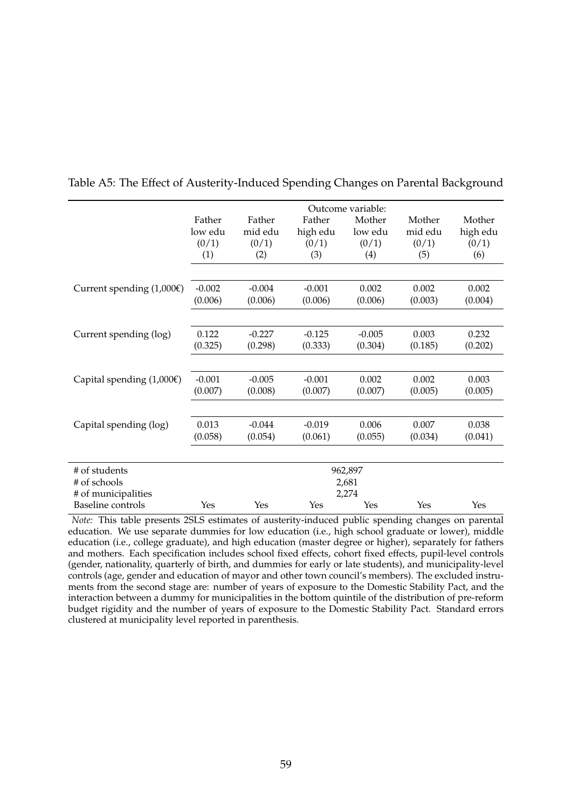|                                     | Outcome variable: |          |          |          |         |          |  |
|-------------------------------------|-------------------|----------|----------|----------|---------|----------|--|
|                                     | Father            | Father   | Father   | Mother   | Mother  | Mother   |  |
|                                     | low edu           | mid edu  | high edu | low edu  | mid edu | high edu |  |
|                                     | (0/1)             | (0/1)    | (0/1)    | (0/1)    | (0/1)   | (0/1)    |  |
|                                     | (1)               | (2)      | (3)      | (4)      | (5)     | (6)      |  |
|                                     |                   |          |          |          |         |          |  |
| Current spending $(1,000 \epsilon)$ | $-0.002$          | $-0.004$ | $-0.001$ | 0.002    | 0.002   | 0.002    |  |
|                                     | (0.006)           | (0.006)  | (0.006)  | (0.006)  | (0.003) | (0.004)  |  |
|                                     |                   |          |          |          |         |          |  |
| Current spending (log)              | 0.122             | $-0.227$ | $-0.125$ | $-0.005$ | 0.003   | 0.232    |  |
|                                     | (0.325)           | (0.298)  | (0.333)  | (0.304)  | (0.185) | (0.202)  |  |
|                                     |                   |          |          |          |         |          |  |
| Capital spending $(1,000)$          | $-0.001$          | $-0.005$ | $-0.001$ | 0.002    | 0.002   | 0.003    |  |
|                                     | (0.007)           | (0.008)  | (0.007)  | (0.007)  | (0.005) | (0.005)  |  |
|                                     |                   |          |          |          |         |          |  |
| Capital spending (log)              | 0.013             | $-0.044$ | $-0.019$ | 0.006    | 0.007   | 0.038    |  |
|                                     | (0.058)           | (0.054)  | (0.061)  | (0.055)  | (0.034) | (0.041)  |  |
|                                     |                   |          |          |          |         |          |  |
| # of students                       |                   |          |          | 962,897  |         |          |  |
| # of schools                        |                   |          |          | 2,681    |         |          |  |
| # of municipalities                 |                   |          |          | 2,274    |         |          |  |
| <b>Baseline</b> controls            | Yes               | Yes      | Yes      | Yes      | Yes     | Yes      |  |

Table A5: The Effect of Austerity-Induced Spending Changes on Parental Background

*Note:* This table presents 2SLS estimates of austerity-induced public spending changes on parental education. We use separate dummies for low education (i.e., high school graduate or lower), middle education (i.e., college graduate), and high education (master degree or higher), separately for fathers and mothers. Each specification includes school fixed effects, cohort fixed effects, pupil-level controls (gender, nationality, quarterly of birth, and dummies for early or late students), and municipality-level controls (age, gender and education of mayor and other town council's members). The excluded instruments from the second stage are: number of years of exposure to the Domestic Stability Pact, and the interaction between a dummy for municipalities in the bottom quintile of the distribution of pre-reform budget rigidity and the number of years of exposure to the Domestic Stability Pact. Standard errors clustered at municipality level reported in parenthesis.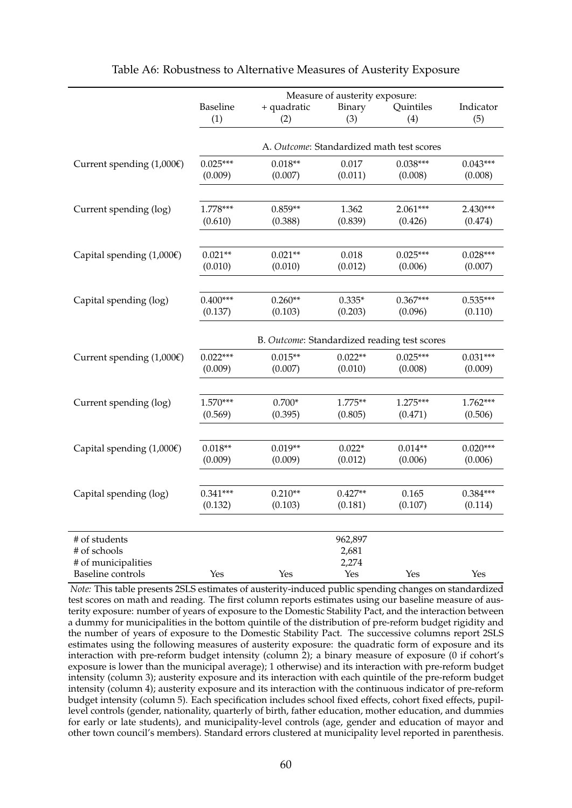|                            | Measure of austerity exposure:            |                    |               |                                              |                  |  |  |
|----------------------------|-------------------------------------------|--------------------|---------------|----------------------------------------------|------------------|--|--|
|                            | Baseline<br>(1)                           | + quadratic<br>(2) | Binary<br>(3) | Quintiles<br>(4)                             | Indicator<br>(5) |  |  |
|                            | A. Outcome: Standardized math test scores |                    |               |                                              |                  |  |  |
| Current spending $(1,000)$ | $0.025***$                                | $0.018**$          | 0.017         | $0.038***$                                   | $0.043***$       |  |  |
|                            | (0.009)                                   | (0.007)            | (0.011)       | (0.008)                                      | (0.008)          |  |  |
|                            |                                           |                    |               |                                              |                  |  |  |
| Current spending (log)     | 1.778***                                  | $0.859**$          | 1.362         | $2.061***$                                   | 2.430***         |  |  |
|                            | (0.610)                                   | (0.388)            | (0.839)       | (0.426)                                      | (0.474)          |  |  |
| Capital spending $(1,000)$ | $0.021**$                                 | $0.021**$          | 0.018         | $0.025***$                                   | $0.028***$       |  |  |
|                            | (0.010)                                   | (0.010)            | (0.012)       | (0.006)                                      | (0.007)          |  |  |
|                            |                                           |                    |               |                                              |                  |  |  |
| Capital spending (log)     | $0.400***$                                | $0.260**$          | $0.335*$      | $0.367***$                                   | $0.535***$       |  |  |
|                            | (0.137)                                   | (0.103)            | (0.203)       | (0.096)                                      | (0.110)          |  |  |
|                            |                                           |                    |               | B. Outcome: Standardized reading test scores |                  |  |  |
| Current spending $(1,000)$ | $0.022***$                                | $0.015**$          | $0.022**$     | $0.025***$                                   | $0.031***$       |  |  |
|                            | (0.009)                                   | (0.007)            | (0.010)       | (0.008)                                      | (0.009)          |  |  |
|                            |                                           |                    |               |                                              |                  |  |  |
| Current spending (log)     | $1.570***$                                | $0.700*$           | $1.775**$     | $1.275***$                                   | 1.762***         |  |  |
|                            | (0.569)                                   | (0.395)            | (0.805)       | (0.471)                                      | (0.506)          |  |  |
| Capital spending $(1,000)$ | $0.018**$                                 | $0.019**$          | $0.022*$      | $0.014**$                                    | $0.020***$       |  |  |
|                            | (0.009)                                   | (0.009)            | (0.012)       | (0.006)                                      | (0.006)          |  |  |
|                            |                                           |                    |               |                                              |                  |  |  |
| Capital spending (log)     | $0.341***$                                | $0.210**$          | $0.427**$     | 0.165                                        | $0.384***$       |  |  |
|                            | (0.132)                                   | (0.103)            | (0.181)       | (0.107)                                      | (0.114)          |  |  |
| # of students              |                                           |                    | 962,897       |                                              |                  |  |  |
| # of schools               |                                           |                    | 2,681         |                                              |                  |  |  |
| # of municipalities        |                                           |                    | 2,274         |                                              |                  |  |  |
| <b>Baseline</b> controls   | Yes                                       | Yes                | Yes           | Yes                                          | Yes              |  |  |

| Table A6: Robustness to Alternative Measures of Austerity Exposure |  |
|--------------------------------------------------------------------|--|
|--------------------------------------------------------------------|--|

*Note:* This table presents 2SLS estimates of austerity-induced public spending changes on standardized test scores on math and reading. The first column reports estimates using our baseline measure of austerity exposure: number of years of exposure to the Domestic Stability Pact, and the interaction between a dummy for municipalities in the bottom quintile of the distribution of pre-reform budget rigidity and the number of years of exposure to the Domestic Stability Pact. The successive columns report 2SLS estimates using the following measures of austerity exposure: the quadratic form of exposure and its interaction with pre-reform budget intensity (column 2); a binary measure of exposure (0 if cohort's exposure is lower than the municipal average); 1 otherwise) and its interaction with pre-reform budget intensity (column 3); austerity exposure and its interaction with each quintile of the pre-reform budget intensity (column 4); austerity exposure and its interaction with the continuous indicator of pre-reform budget intensity (column 5). Each specification includes school fixed effects, cohort fixed effects, pupillevel controls (gender, nationality, quarterly of birth, father education, mother education, and dummies for early or late students), and municipality-level controls (age, gender and education of mayor and other town council's members). Standard errors clustered at municipality level reported in parenthesis.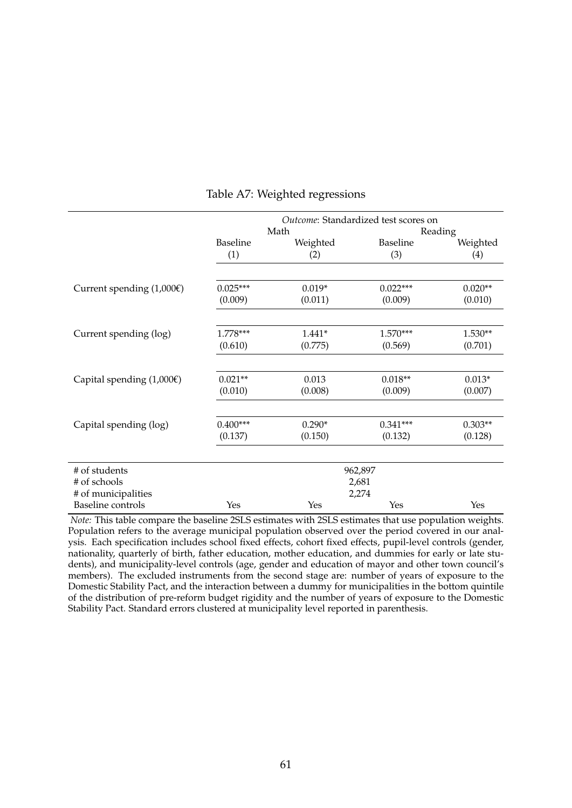|                                       | Outcome: Standardized test scores on |          |                 |           |  |  |
|---------------------------------------|--------------------------------------|----------|-----------------|-----------|--|--|
|                                       |                                      | Math     | Reading         |           |  |  |
|                                       | <b>Baseline</b>                      | Weighted | <b>Baseline</b> | Weighted  |  |  |
|                                       | (1)                                  | (2)      | (3)             | (4)       |  |  |
| Current spending $(1,000)$            | $0.025***$                           | $0.019*$ | $0.022***$      | $0.020**$ |  |  |
|                                       | (0.009)                              | (0.011)  | (0.009)         | (0.010)   |  |  |
|                                       |                                      |          |                 |           |  |  |
| Current spending (log)                | 1.778***                             | $1.441*$ | $1.570***$      | 1.530**   |  |  |
|                                       | (0.610)                              | (0.775)  | (0.569)         | (0.701)   |  |  |
|                                       |                                      |          |                 |           |  |  |
| Capital spending $(1,000\varepsilon)$ | $0.021**$                            | 0.013    | $0.018**$       | $0.013*$  |  |  |
|                                       | (0.010)                              | (0.008)  | (0.009)         | (0.007)   |  |  |
|                                       |                                      |          |                 |           |  |  |
| Capital spending (log)                | $0.400***$                           | $0.290*$ | $0.341***$      | $0.303**$ |  |  |
|                                       | (0.137)                              | (0.150)  | (0.132)         | (0.128)   |  |  |
|                                       |                                      |          |                 |           |  |  |
| # of students                         |                                      |          | 962,897         |           |  |  |
| # of schools                          |                                      |          | 2,681           |           |  |  |
| # of municipalities                   |                                      |          | 2,274           |           |  |  |
| <b>Baseline</b> controls              | Yes                                  | Yes      | Yes             | Yes       |  |  |

#### Table A7: Weighted regressions

*Note:* This table compare the baseline 2SLS estimates with 2SLS estimates that use population weights. Population refers to the average municipal population observed over the period covered in our analysis. Each specification includes school fixed effects, cohort fixed effects, pupil-level controls (gender, nationality, quarterly of birth, father education, mother education, and dummies for early or late students), and municipality-level controls (age, gender and education of mayor and other town council's members). The excluded instruments from the second stage are: number of years of exposure to the Domestic Stability Pact, and the interaction between a dummy for municipalities in the bottom quintile of the distribution of pre-reform budget rigidity and the number of years of exposure to the Domestic Stability Pact. Standard errors clustered at municipality level reported in parenthesis.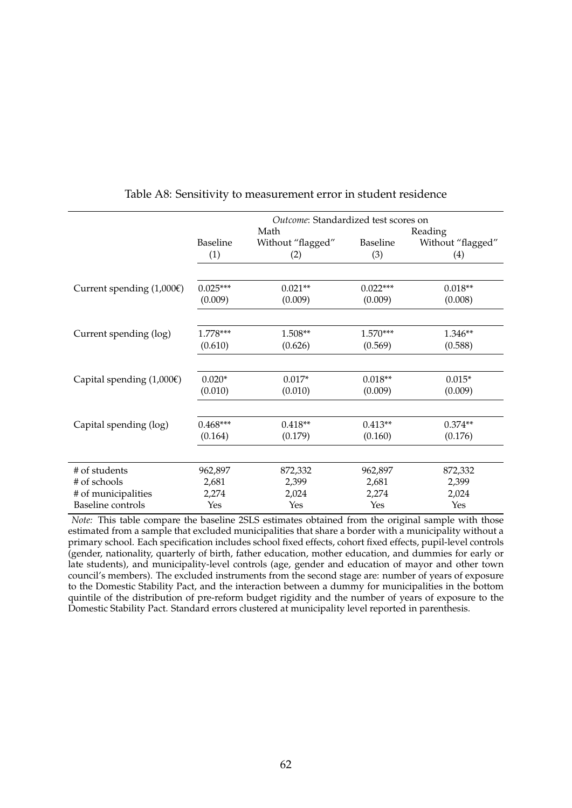|                                       | Outcome: Standardized test scores on |                          |                 |                          |  |  |  |
|---------------------------------------|--------------------------------------|--------------------------|-----------------|--------------------------|--|--|--|
|                                       |                                      | Math                     |                 | Reading                  |  |  |  |
|                                       | <b>Baseline</b><br>(1)               | Without "flagged"<br>(2) | Baseline<br>(3) | Without "flagged"<br>(4) |  |  |  |
|                                       |                                      |                          |                 |                          |  |  |  |
|                                       |                                      |                          |                 |                          |  |  |  |
| Current spending $(1,000)$            | $0.025***$                           | $0.021**$                | $0.022***$      | $0.018**$                |  |  |  |
|                                       | (0.009)                              | (0.009)                  | (0.009)         | (0.008)                  |  |  |  |
|                                       |                                      |                          |                 |                          |  |  |  |
| Current spending (log)                | 1.778***                             | 1.508**                  | 1.570***        | 1.346**                  |  |  |  |
|                                       | (0.610)                              | (0.626)                  | (0.569)         | (0.588)                  |  |  |  |
|                                       |                                      |                          |                 |                          |  |  |  |
| Capital spending $(1,000\varepsilon)$ | $0.020*$                             | $0.017*$                 | $0.018**$       | $0.015*$                 |  |  |  |
|                                       | (0.010)                              | (0.010)                  | (0.009)         | (0.009)                  |  |  |  |
|                                       |                                      |                          |                 |                          |  |  |  |
| Capital spending (log)                | $0.468***$                           | $0.418**$                | $0.413**$       | $0.374**$                |  |  |  |
|                                       | (0.164)                              | (0.179)                  | (0.160)         | (0.176)                  |  |  |  |
|                                       |                                      |                          |                 |                          |  |  |  |
| # of students                         | 962,897                              | 872,332                  | 962,897         | 872,332                  |  |  |  |
| # of schools                          | 2,681                                | 2,399                    | 2,681           | 2,399                    |  |  |  |
| # of municipalities                   | 2,274                                | 2,024                    | 2,274           | 2,024                    |  |  |  |
| <b>Baseline</b> controls              | Yes                                  | Yes                      | Yes             | Yes                      |  |  |  |

#### Table A8: Sensitivity to measurement error in student residence

*Note:* This table compare the baseline 2SLS estimates obtained from the original sample with those estimated from a sample that excluded municipalities that share a border with a municipality without a primary school. Each specification includes school fixed effects, cohort fixed effects, pupil-level controls (gender, nationality, quarterly of birth, father education, mother education, and dummies for early or late students), and municipality-level controls (age, gender and education of mayor and other town council's members). The excluded instruments from the second stage are: number of years of exposure to the Domestic Stability Pact, and the interaction between a dummy for municipalities in the bottom quintile of the distribution of pre-reform budget rigidity and the number of years of exposure to the Domestic Stability Pact. Standard errors clustered at municipality level reported in parenthesis.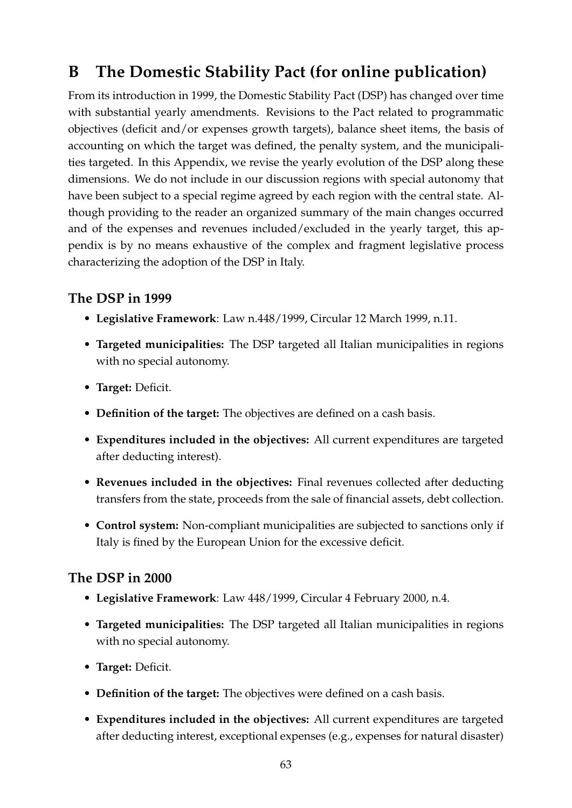# **B The Domestic Stability Pact (for online publication)**

From its introduction in 1999, the Domestic Stability Pact (DSP) has changed over time with substantial yearly amendments. Revisions to the Pact related to programmatic objectives (deficit and/or expenses growth targets), balance sheet items, the basis of accounting on which the target was defined, the penalty system, and the municipalities targeted. In this Appendix, we revise the yearly evolution of the DSP along these dimensions. We do not include in our discussion regions with special autonomy that have been subject to a special regime agreed by each region with the central state. Although providing to the reader an organized summary of the main changes occurred and of the expenses and revenues included/excluded in the yearly target, this appendix is by no means exhaustive of the complex and fragment legislative process characterizing the adoption of the DSP in Italy.

#### **The DSP in 1999**

- **Legislative Framework**: Law n.448/1999, Circular 12 March 1999, n.11.
- **Targeted municipalities:** The DSP targeted all Italian municipalities in regions with no special autonomy.
- **Target:** Deficit.
- **Definition of the target:** The objectives are defined on a cash basis.
- **Expenditures included in the objectives:** All current expenditures are targeted after deducting interest).
- **Revenues included in the objectives:** Final revenues collected after deducting transfers from the state, proceeds from the sale of financial assets, debt collection.
- **Control system:** Non-compliant municipalities are subjected to sanctions only if Italy is fined by the European Union for the excessive deficit.

- **Legislative Framework**: Law 448/1999, Circular 4 February 2000, n.4.
- **Targeted municipalities:** The DSP targeted all Italian municipalities in regions with no special autonomy.
- **Target:** Deficit.
- **Definition of the target:** The objectives were defined on a cash basis.
- **Expenditures included in the objectives:** All current expenditures are targeted after deducting interest, exceptional expenses (e.g., expenses for natural disaster)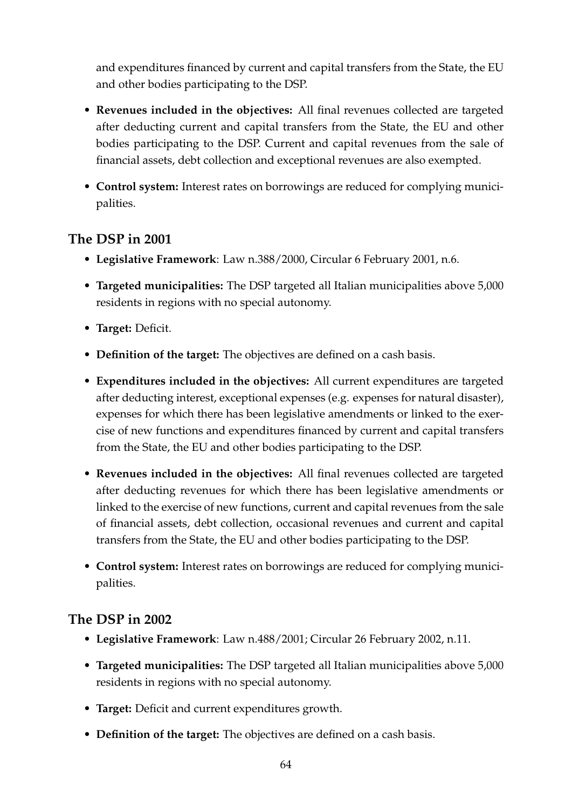and expenditures financed by current and capital transfers from the State, the EU and other bodies participating to the DSP.

- **Revenues included in the objectives:** All final revenues collected are targeted after deducting current and capital transfers from the State, the EU and other bodies participating to the DSP. Current and capital revenues from the sale of financial assets, debt collection and exceptional revenues are also exempted.
- **Control system:** Interest rates on borrowings are reduced for complying municipalities.

#### **The DSP in 2001**

- **Legislative Framework**: Law n.388/2000, Circular 6 February 2001, n.6.
- **Targeted municipalities:** The DSP targeted all Italian municipalities above 5,000 residents in regions with no special autonomy.
- **Target:** Deficit.
- **Definition of the target:** The objectives are defined on a cash basis.
- **Expenditures included in the objectives:** All current expenditures are targeted after deducting interest, exceptional expenses (e.g. expenses for natural disaster), expenses for which there has been legislative amendments or linked to the exercise of new functions and expenditures financed by current and capital transfers from the State, the EU and other bodies participating to the DSP.
- **Revenues included in the objectives:** All final revenues collected are targeted after deducting revenues for which there has been legislative amendments or linked to the exercise of new functions, current and capital revenues from the sale of financial assets, debt collection, occasional revenues and current and capital transfers from the State, the EU and other bodies participating to the DSP.
- **Control system:** Interest rates on borrowings are reduced for complying municipalities.

- **Legislative Framework**: Law n.488/2001; Circular 26 February 2002, n.11.
- **Targeted municipalities:** The DSP targeted all Italian municipalities above 5,000 residents in regions with no special autonomy.
- **Target:** Deficit and current expenditures growth.
- **Definition of the target:** The objectives are defined on a cash basis.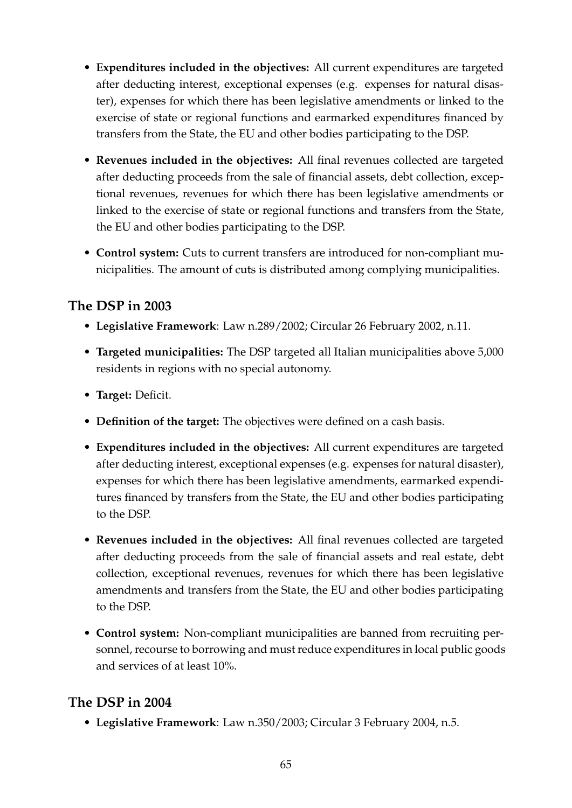- **Expenditures included in the objectives:** All current expenditures are targeted after deducting interest, exceptional expenses (e.g. expenses for natural disaster), expenses for which there has been legislative amendments or linked to the exercise of state or regional functions and earmarked expenditures financed by transfers from the State, the EU and other bodies participating to the DSP.
- **Revenues included in the objectives:** All final revenues collected are targeted after deducting proceeds from the sale of financial assets, debt collection, exceptional revenues, revenues for which there has been legislative amendments or linked to the exercise of state or regional functions and transfers from the State, the EU and other bodies participating to the DSP.
- **Control system:** Cuts to current transfers are introduced for non-compliant municipalities. The amount of cuts is distributed among complying municipalities.

#### **The DSP in 2003**

- **Legislative Framework**: Law n.289/2002; Circular 26 February 2002, n.11.
- **Targeted municipalities:** The DSP targeted all Italian municipalities above 5,000 residents in regions with no special autonomy.
- **Target:** Deficit.
- **Definition of the target:** The objectives were defined on a cash basis.
- **Expenditures included in the objectives:** All current expenditures are targeted after deducting interest, exceptional expenses (e.g. expenses for natural disaster), expenses for which there has been legislative amendments, earmarked expenditures financed by transfers from the State, the EU and other bodies participating to the DSP.
- **Revenues included in the objectives:** All final revenues collected are targeted after deducting proceeds from the sale of financial assets and real estate, debt collection, exceptional revenues, revenues for which there has been legislative amendments and transfers from the State, the EU and other bodies participating to the DSP.
- **Control system:** Non-compliant municipalities are banned from recruiting personnel, recourse to borrowing and must reduce expenditures in local public goods and services of at least 10%.

## **The DSP in 2004**

• **Legislative Framework**: Law n.350/2003; Circular 3 February 2004, n.5.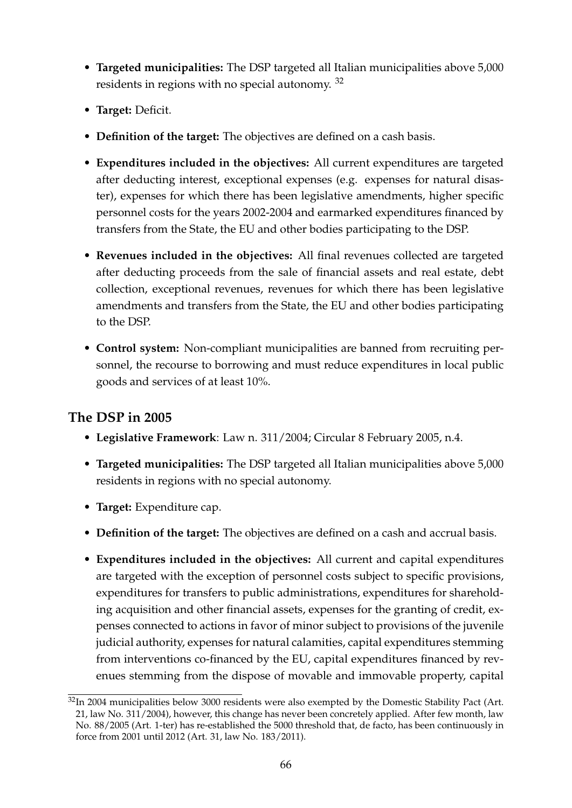- **Targeted municipalities:** The DSP targeted all Italian municipalities above 5,000 residents in regions with no special autonomy. <sup>[32](#page-66-0)</sup>
- **Target:** Deficit.
- **Definition of the target:** The objectives are defined on a cash basis.
- **Expenditures included in the objectives:** All current expenditures are targeted after deducting interest, exceptional expenses (e.g. expenses for natural disaster), expenses for which there has been legislative amendments, higher specific personnel costs for the years 2002-2004 and earmarked expenditures financed by transfers from the State, the EU and other bodies participating to the DSP.
- **Revenues included in the objectives:** All final revenues collected are targeted after deducting proceeds from the sale of financial assets and real estate, debt collection, exceptional revenues, revenues for which there has been legislative amendments and transfers from the State, the EU and other bodies participating to the DSP.
- **Control system:** Non-compliant municipalities are banned from recruiting personnel, the recourse to borrowing and must reduce expenditures in local public goods and services of at least 10%.

- **Legislative Framework**: Law n. 311/2004; Circular 8 February 2005, n.4.
- **Targeted municipalities:** The DSP targeted all Italian municipalities above 5,000 residents in regions with no special autonomy.
- **Target:** Expenditure cap.
- **Definition of the target:** The objectives are defined on a cash and accrual basis.
- **Expenditures included in the objectives:** All current and capital expenditures are targeted with the exception of personnel costs subject to specific provisions, expenditures for transfers to public administrations, expenditures for shareholding acquisition and other financial assets, expenses for the granting of credit, expenses connected to actions in favor of minor subject to provisions of the juvenile judicial authority, expenses for natural calamities, capital expenditures stemming from interventions co-financed by the EU, capital expenditures financed by revenues stemming from the dispose of movable and immovable property, capital

<span id="page-66-0"></span><sup>&</sup>lt;sup>32</sup>In 2004 municipalities below 3000 residents were also exempted by the Domestic Stability Pact (Art. 21, law No. 311/2004), however, this change has never been concretely applied. After few month, law No. 88/2005 (Art. 1-ter) has re-established the 5000 threshold that, de facto, has been continuously in force from 2001 until 2012 (Art. 31, law No. 183/2011).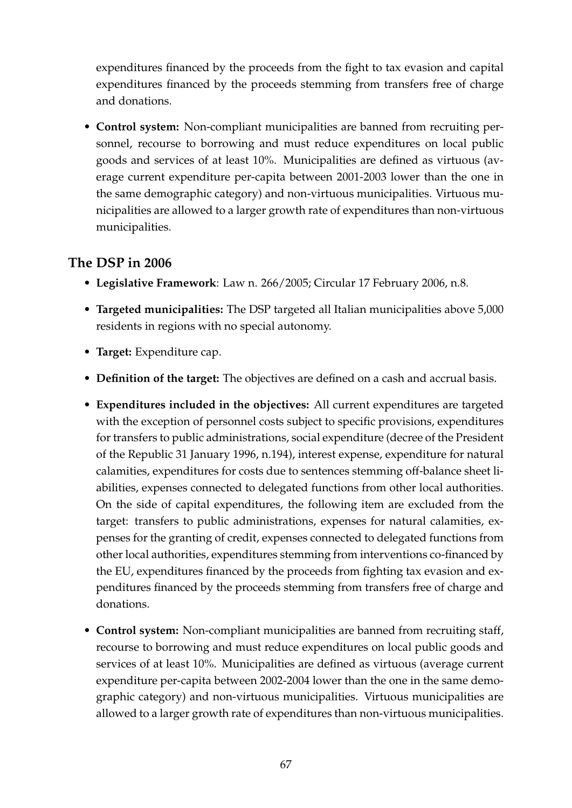expenditures financed by the proceeds from the fight to tax evasion and capital expenditures financed by the proceeds stemming from transfers free of charge and donations.

• **Control system:** Non-compliant municipalities are banned from recruiting personnel, recourse to borrowing and must reduce expenditures on local public goods and services of at least 10%. Municipalities are defined as virtuous (average current expenditure per-capita between 2001-2003 lower than the one in the same demographic category) and non-virtuous municipalities. Virtuous municipalities are allowed to a larger growth rate of expenditures than non-virtuous municipalities.

- **Legislative Framework**: Law n. 266/2005; Circular 17 February 2006, n.8.
- **Targeted municipalities:** The DSP targeted all Italian municipalities above 5,000 residents in regions with no special autonomy.
- **Target:** Expenditure cap.
- **Definition of the target:** The objectives are defined on a cash and accrual basis.
- **Expenditures included in the objectives:** All current expenditures are targeted with the exception of personnel costs subject to specific provisions, expenditures for transfers to public administrations, social expenditure (decree of the President of the Republic 31 January 1996, n.194), interest expense, expenditure for natural calamities, expenditures for costs due to sentences stemming off-balance sheet liabilities, expenses connected to delegated functions from other local authorities. On the side of capital expenditures, the following item are excluded from the target: transfers to public administrations, expenses for natural calamities, expenses for the granting of credit, expenses connected to delegated functions from other local authorities, expenditures stemming from interventions co-financed by the EU, expenditures financed by the proceeds from fighting tax evasion and expenditures financed by the proceeds stemming from transfers free of charge and donations.
- **Control system:** Non-compliant municipalities are banned from recruiting staff, recourse to borrowing and must reduce expenditures on local public goods and services of at least 10%. Municipalities are defined as virtuous (average current expenditure per-capita between 2002-2004 lower than the one in the same demographic category) and non-virtuous municipalities. Virtuous municipalities are allowed to a larger growth rate of expenditures than non-virtuous municipalities.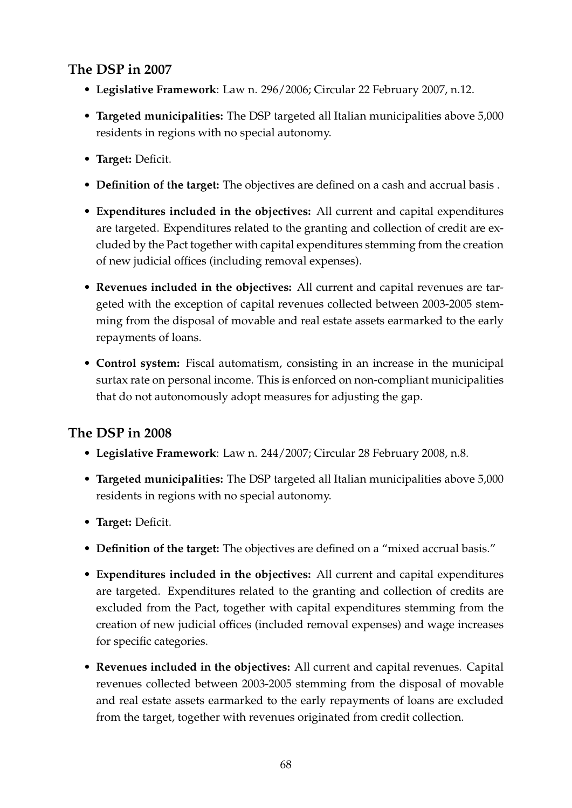## **The DSP in 2007**

- **Legislative Framework**: Law n. 296/2006; Circular 22 February 2007, n.12.
- **Targeted municipalities:** The DSP targeted all Italian municipalities above 5,000 residents in regions with no special autonomy.
- **Target:** Deficit.
- **Definition of the target:** The objectives are defined on a cash and accrual basis .
- **Expenditures included in the objectives:** All current and capital expenditures are targeted. Expenditures related to the granting and collection of credit are excluded by the Pact together with capital expenditures stemming from the creation of new judicial offices (including removal expenses).
- **Revenues included in the objectives:** All current and capital revenues are targeted with the exception of capital revenues collected between 2003-2005 stemming from the disposal of movable and real estate assets earmarked to the early repayments of loans.
- **Control system:** Fiscal automatism, consisting in an increase in the municipal surtax rate on personal income. This is enforced on non-compliant municipalities that do not autonomously adopt measures for adjusting the gap.

- **Legislative Framework**: Law n. 244/2007; Circular 28 February 2008, n.8.
- **Targeted municipalities:** The DSP targeted all Italian municipalities above 5,000 residents in regions with no special autonomy.
- **Target:** Deficit.
- **Definition of the target:** The objectives are defined on a "mixed accrual basis."
- **Expenditures included in the objectives:** All current and capital expenditures are targeted. Expenditures related to the granting and collection of credits are excluded from the Pact, together with capital expenditures stemming from the creation of new judicial offices (included removal expenses) and wage increases for specific categories.
- **Revenues included in the objectives:** All current and capital revenues. Capital revenues collected between 2003-2005 stemming from the disposal of movable and real estate assets earmarked to the early repayments of loans are excluded from the target, together with revenues originated from credit collection.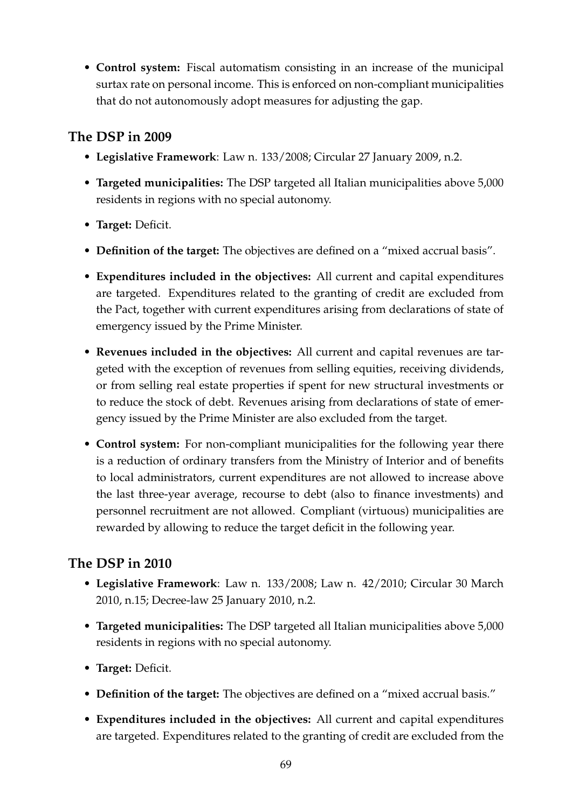• **Control system:** Fiscal automatism consisting in an increase of the municipal surtax rate on personal income. This is enforced on non-compliant municipalities that do not autonomously adopt measures for adjusting the gap.

#### **The DSP in 2009**

- **Legislative Framework**: Law n. 133/2008; Circular 27 January 2009, n.2.
- **Targeted municipalities:** The DSP targeted all Italian municipalities above 5,000 residents in regions with no special autonomy.
- **Target:** Deficit.
- **Definition of the target:** The objectives are defined on a "mixed accrual basis".
- **Expenditures included in the objectives:** All current and capital expenditures are targeted. Expenditures related to the granting of credit are excluded from the Pact, together with current expenditures arising from declarations of state of emergency issued by the Prime Minister.
- **Revenues included in the objectives:** All current and capital revenues are targeted with the exception of revenues from selling equities, receiving dividends, or from selling real estate properties if spent for new structural investments or to reduce the stock of debt. Revenues arising from declarations of state of emergency issued by the Prime Minister are also excluded from the target.
- **Control system:** For non-compliant municipalities for the following year there is a reduction of ordinary transfers from the Ministry of Interior and of benefits to local administrators, current expenditures are not allowed to increase above the last three-year average, recourse to debt (also to finance investments) and personnel recruitment are not allowed. Compliant (virtuous) municipalities are rewarded by allowing to reduce the target deficit in the following year.

- **Legislative Framework**: Law n. 133/2008; Law n. 42/2010; Circular 30 March 2010, n.15; Decree-law 25 January 2010, n.2.
- **Targeted municipalities:** The DSP targeted all Italian municipalities above 5,000 residents in regions with no special autonomy.
- **Target:** Deficit.
- **Definition of the target:** The objectives are defined on a "mixed accrual basis."
- **Expenditures included in the objectives:** All current and capital expenditures are targeted. Expenditures related to the granting of credit are excluded from the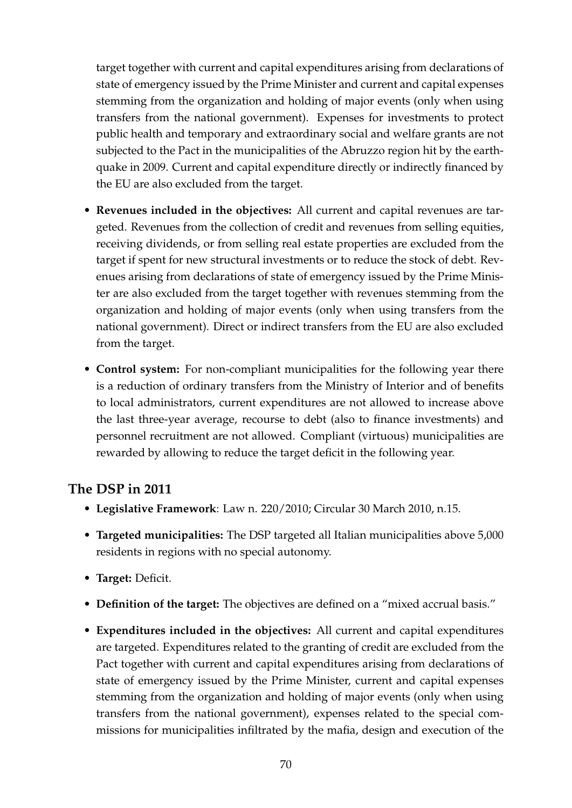target together with current and capital expenditures arising from declarations of state of emergency issued by the Prime Minister and current and capital expenses stemming from the organization and holding of major events (only when using transfers from the national government). Expenses for investments to protect public health and temporary and extraordinary social and welfare grants are not subjected to the Pact in the municipalities of the Abruzzo region hit by the earthquake in 2009. Current and capital expenditure directly or indirectly financed by the EU are also excluded from the target.

- **Revenues included in the objectives:** All current and capital revenues are targeted. Revenues from the collection of credit and revenues from selling equities, receiving dividends, or from selling real estate properties are excluded from the target if spent for new structural investments or to reduce the stock of debt. Revenues arising from declarations of state of emergency issued by the Prime Minister are also excluded from the target together with revenues stemming from the organization and holding of major events (only when using transfers from the national government). Direct or indirect transfers from the EU are also excluded from the target.
- **Control system:** For non-compliant municipalities for the following year there is a reduction of ordinary transfers from the Ministry of Interior and of benefits to local administrators, current expenditures are not allowed to increase above the last three-year average, recourse to debt (also to finance investments) and personnel recruitment are not allowed. Compliant (virtuous) municipalities are rewarded by allowing to reduce the target deficit in the following year.

- **Legislative Framework**: Law n. 220/2010; Circular 30 March 2010, n.15.
- **Targeted municipalities:** The DSP targeted all Italian municipalities above 5,000 residents in regions with no special autonomy.
- **Target:** Deficit.
- **Definition of the target:** The objectives are defined on a "mixed accrual basis."
- **Expenditures included in the objectives:** All current and capital expenditures are targeted. Expenditures related to the granting of credit are excluded from the Pact together with current and capital expenditures arising from declarations of state of emergency issued by the Prime Minister, current and capital expenses stemming from the organization and holding of major events (only when using transfers from the national government), expenses related to the special commissions for municipalities infiltrated by the mafia, design and execution of the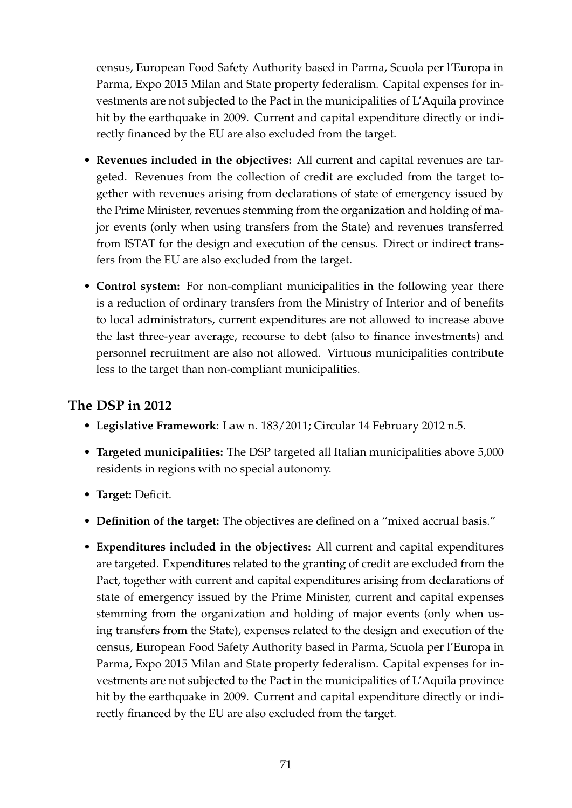census, European Food Safety Authority based in Parma, Scuola per l'Europa in Parma, Expo 2015 Milan and State property federalism. Capital expenses for investments are not subjected to the Pact in the municipalities of L'Aquila province hit by the earthquake in 2009. Current and capital expenditure directly or indirectly financed by the EU are also excluded from the target.

- **Revenues included in the objectives:** All current and capital revenues are targeted. Revenues from the collection of credit are excluded from the target together with revenues arising from declarations of state of emergency issued by the Prime Minister, revenues stemming from the organization and holding of major events (only when using transfers from the State) and revenues transferred from ISTAT for the design and execution of the census. Direct or indirect transfers from the EU are also excluded from the target.
- **Control system:** For non-compliant municipalities in the following year there is a reduction of ordinary transfers from the Ministry of Interior and of benefits to local administrators, current expenditures are not allowed to increase above the last three-year average, recourse to debt (also to finance investments) and personnel recruitment are also not allowed. Virtuous municipalities contribute less to the target than non-compliant municipalities.

- **Legislative Framework**: Law n. 183/2011; Circular 14 February 2012 n.5.
- **Targeted municipalities:** The DSP targeted all Italian municipalities above 5,000 residents in regions with no special autonomy.
- **Target:** Deficit.
- **Definition of the target:** The objectives are defined on a "mixed accrual basis."
- **Expenditures included in the objectives:** All current and capital expenditures are targeted. Expenditures related to the granting of credit are excluded from the Pact, together with current and capital expenditures arising from declarations of state of emergency issued by the Prime Minister, current and capital expenses stemming from the organization and holding of major events (only when using transfers from the State), expenses related to the design and execution of the census, European Food Safety Authority based in Parma, Scuola per l'Europa in Parma, Expo 2015 Milan and State property federalism. Capital expenses for investments are not subjected to the Pact in the municipalities of L'Aquila province hit by the earthquake in 2009. Current and capital expenditure directly or indirectly financed by the EU are also excluded from the target.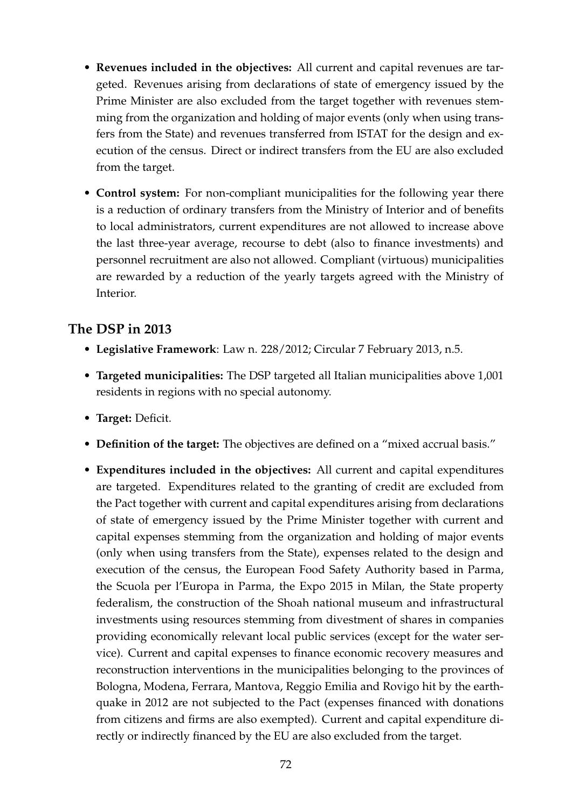- **Revenues included in the objectives:** All current and capital revenues are targeted. Revenues arising from declarations of state of emergency issued by the Prime Minister are also excluded from the target together with revenues stemming from the organization and holding of major events (only when using transfers from the State) and revenues transferred from ISTAT for the design and execution of the census. Direct or indirect transfers from the EU are also excluded from the target.
- **Control system:** For non-compliant municipalities for the following year there is a reduction of ordinary transfers from the Ministry of Interior and of benefits to local administrators, current expenditures are not allowed to increase above the last three-year average, recourse to debt (also to finance investments) and personnel recruitment are also not allowed. Compliant (virtuous) municipalities are rewarded by a reduction of the yearly targets agreed with the Ministry of Interior.

## **The DSP in 2013**

- **Legislative Framework**: Law n. 228/2012; Circular 7 February 2013, n.5.
- **Targeted municipalities:** The DSP targeted all Italian municipalities above 1,001 residents in regions with no special autonomy.
- **Target:** Deficit.
- **Definition of the target:** The objectives are defined on a "mixed accrual basis."
- **Expenditures included in the objectives:** All current and capital expenditures are targeted. Expenditures related to the granting of credit are excluded from the Pact together with current and capital expenditures arising from declarations of state of emergency issued by the Prime Minister together with current and capital expenses stemming from the organization and holding of major events (only when using transfers from the State), expenses related to the design and execution of the census, the European Food Safety Authority based in Parma, the Scuola per l'Europa in Parma, the Expo 2015 in Milan, the State property federalism, the construction of the Shoah national museum and infrastructural investments using resources stemming from divestment of shares in companies providing economically relevant local public services (except for the water service). Current and capital expenses to finance economic recovery measures and reconstruction interventions in the municipalities belonging to the provinces of Bologna, Modena, Ferrara, Mantova, Reggio Emilia and Rovigo hit by the earthquake in 2012 are not subjected to the Pact (expenses financed with donations from citizens and firms are also exempted). Current and capital expenditure directly or indirectly financed by the EU are also excluded from the target.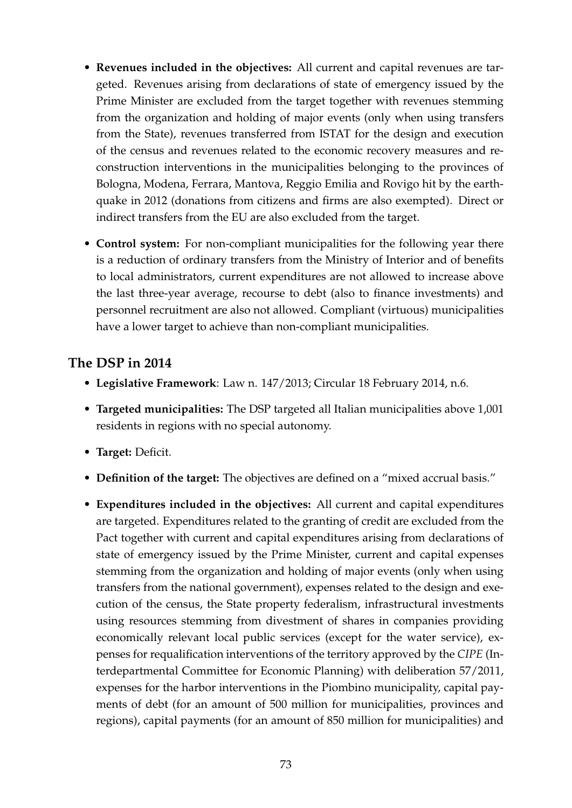- **Revenues included in the objectives:** All current and capital revenues are targeted. Revenues arising from declarations of state of emergency issued by the Prime Minister are excluded from the target together with revenues stemming from the organization and holding of major events (only when using transfers from the State), revenues transferred from ISTAT for the design and execution of the census and revenues related to the economic recovery measures and reconstruction interventions in the municipalities belonging to the provinces of Bologna, Modena, Ferrara, Mantova, Reggio Emilia and Rovigo hit by the earthquake in 2012 (donations from citizens and firms are also exempted). Direct or indirect transfers from the EU are also excluded from the target.
- **Control system:** For non-compliant municipalities for the following year there is a reduction of ordinary transfers from the Ministry of Interior and of benefits to local administrators, current expenditures are not allowed to increase above the last three-year average, recourse to debt (also to finance investments) and personnel recruitment are also not allowed. Compliant (virtuous) municipalities have a lower target to achieve than non-compliant municipalities.

## **The DSP in 2014**

- **Legislative Framework**: Law n. 147/2013; Circular 18 February 2014, n.6.
- **Targeted municipalities:** The DSP targeted all Italian municipalities above 1,001 residents in regions with no special autonomy.
- **Target:** Deficit.
- **Definition of the target:** The objectives are defined on a "mixed accrual basis."
- **Expenditures included in the objectives:** All current and capital expenditures are targeted. Expenditures related to the granting of credit are excluded from the Pact together with current and capital expenditures arising from declarations of state of emergency issued by the Prime Minister, current and capital expenses stemming from the organization and holding of major events (only when using transfers from the national government), expenses related to the design and execution of the census, the State property federalism, infrastructural investments using resources stemming from divestment of shares in companies providing economically relevant local public services (except for the water service), expenses for requalification interventions of the territory approved by the *CIPE* (Interdepartmental Committee for Economic Planning) with deliberation 57/2011, expenses for the harbor interventions in the Piombino municipality, capital payments of debt (for an amount of 500 million for municipalities, provinces and regions), capital payments (for an amount of 850 million for municipalities) and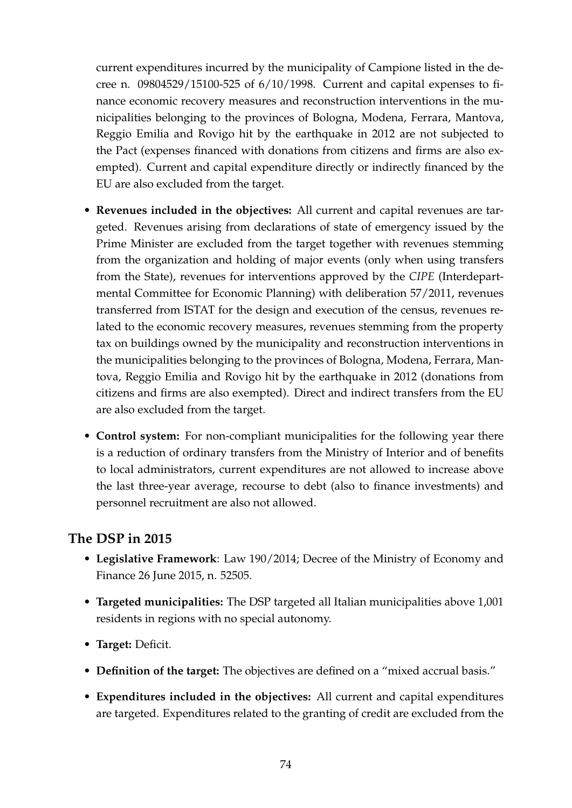current expenditures incurred by the municipality of Campione listed in the decree n. 09804529/15100-525 of 6/10/1998. Current and capital expenses to finance economic recovery measures and reconstruction interventions in the municipalities belonging to the provinces of Bologna, Modena, Ferrara, Mantova, Reggio Emilia and Rovigo hit by the earthquake in 2012 are not subjected to the Pact (expenses financed with donations from citizens and firms are also exempted). Current and capital expenditure directly or indirectly financed by the EU are also excluded from the target.

- **Revenues included in the objectives:** All current and capital revenues are targeted. Revenues arising from declarations of state of emergency issued by the Prime Minister are excluded from the target together with revenues stemming from the organization and holding of major events (only when using transfers from the State), revenues for interventions approved by the *CIPE* (Interdepartmental Committee for Economic Planning) with deliberation 57/2011, revenues transferred from ISTAT for the design and execution of the census, revenues related to the economic recovery measures, revenues stemming from the property tax on buildings owned by the municipality and reconstruction interventions in the municipalities belonging to the provinces of Bologna, Modena, Ferrara, Mantova, Reggio Emilia and Rovigo hit by the earthquake in 2012 (donations from citizens and firms are also exempted). Direct and indirect transfers from the EU are also excluded from the target.
- **Control system:** For non-compliant municipalities for the following year there is a reduction of ordinary transfers from the Ministry of Interior and of benefits to local administrators, current expenditures are not allowed to increase above the last three-year average, recourse to debt (also to finance investments) and personnel recruitment are also not allowed.

## **The DSP in 2015**

- **Legislative Framework**: Law 190/2014; Decree of the Ministry of Economy and Finance 26 June 2015, n. 52505.
- **Targeted municipalities:** The DSP targeted all Italian municipalities above 1,001 residents in regions with no special autonomy.
- **Target:** Deficit.
- **Definition of the target:** The objectives are defined on a "mixed accrual basis."
- **Expenditures included in the objectives:** All current and capital expenditures are targeted. Expenditures related to the granting of credit are excluded from the